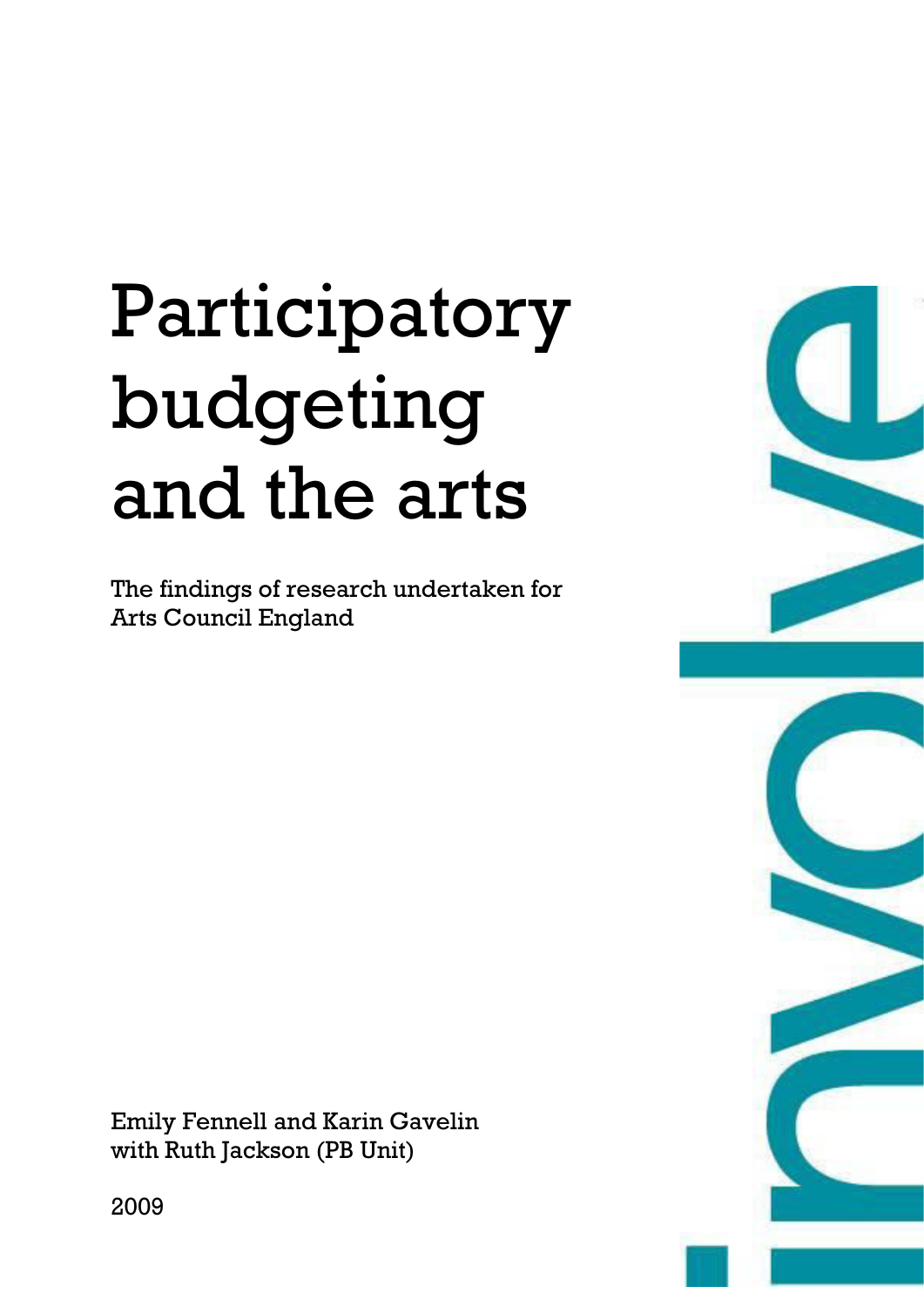# Participatory budgeting and the arts

The findings of research undertaken for Arts Council England

Emily Fennell and Karin Gavelin with Ruth Jackson (PB Unit)



2009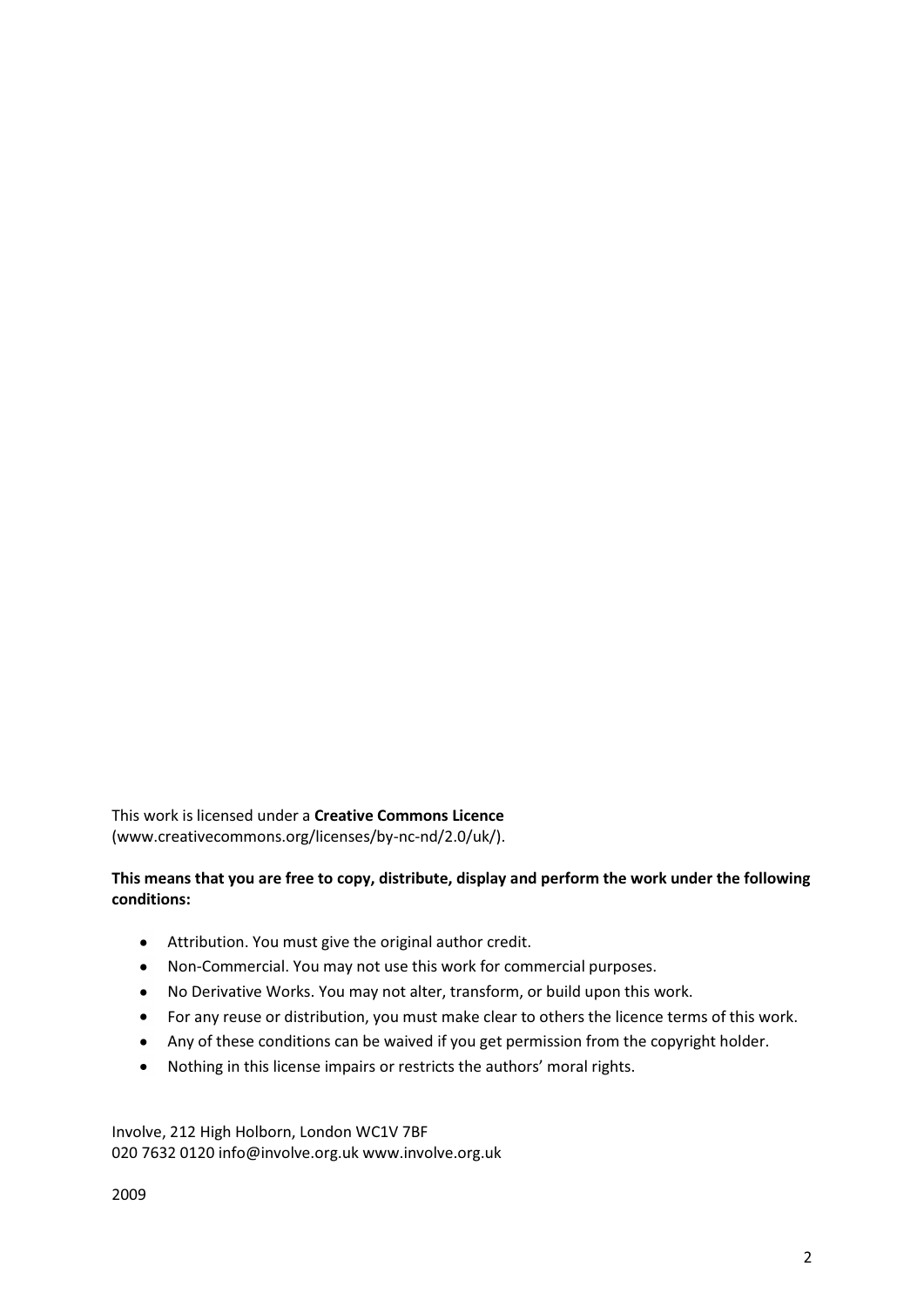This work is licensed under a **Creative Commons Licence** (www.creativecommons.org/licenses/by-nc-nd/2.0/uk/).

# **This means that you are free to copy, distribute, display and perform the work under the following conditions:**

- Attribution. You must give the original author credit.
- Non-Commercial. You may not use this work for commercial purposes.  $\bullet$
- No Derivative Works. You may not alter, transform, or build upon this work.
- For any reuse or distribution, you must make clear to others the licence terms of this work.
- Any of these conditions can be waived if you get permission from the copyright holder.
- Nothing in this license impairs or restricts the authors' moral rights.  $\bullet$

Involve, 212 High Holborn, London WC1V 7BF 020 7632 0120 info@involve.org.uk www.involve.org.uk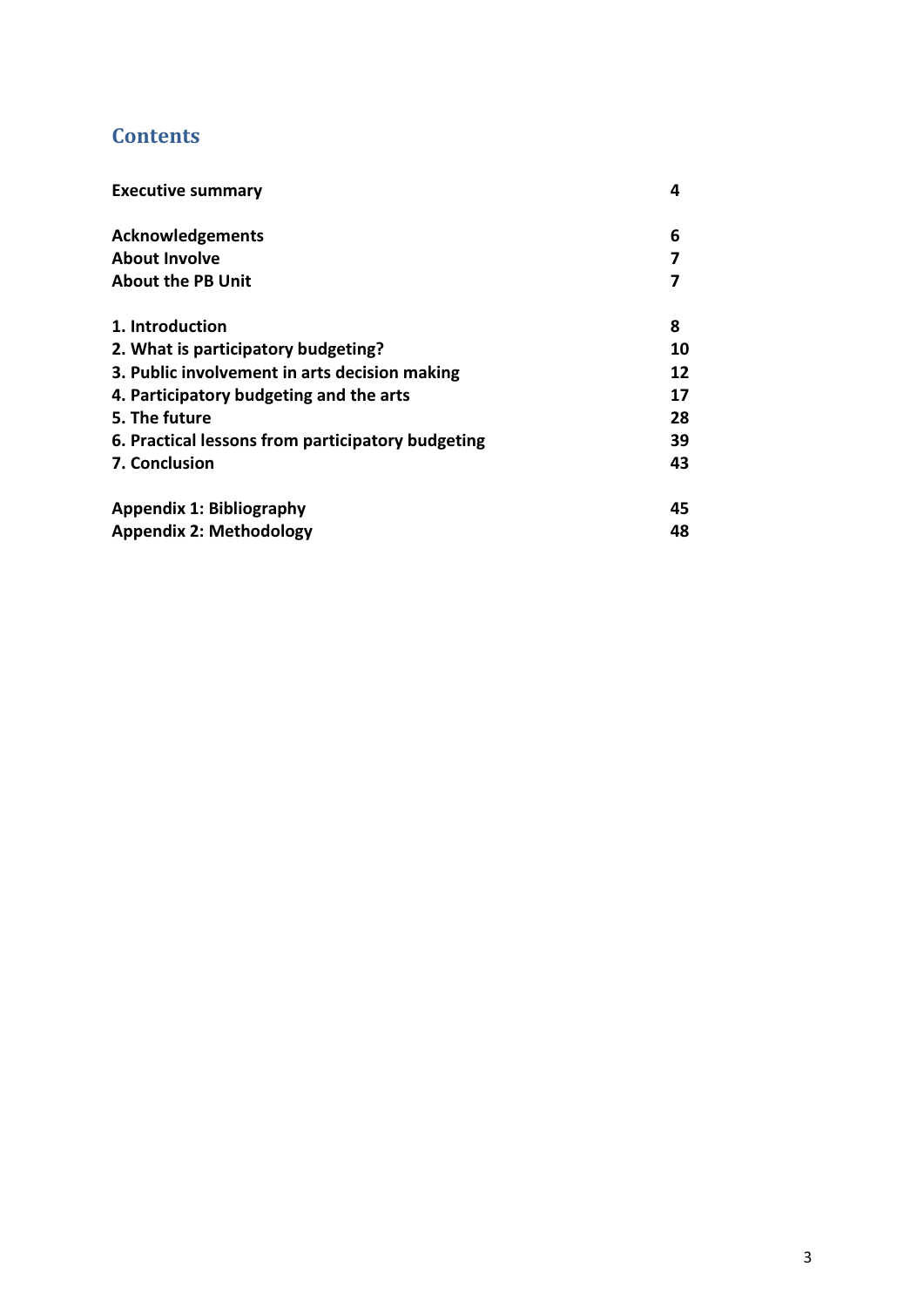# **Contents**

| <b>Executive summary</b>                          | 4  |
|---------------------------------------------------|----|
| <b>Acknowledgements</b>                           | 6  |
| <b>About Involve</b>                              |    |
| <b>About the PB Unit</b>                          |    |
| 1. Introduction                                   | 8  |
| 2. What is participatory budgeting?               | 10 |
| 3. Public involvement in arts decision making     | 12 |
| 4. Participatory budgeting and the arts           | 17 |
| 5. The future                                     | 28 |
| 6. Practical lessons from participatory budgeting | 39 |
| 7. Conclusion                                     | 43 |
| <b>Appendix 1: Bibliography</b>                   | 45 |
| <b>Appendix 2: Methodology</b>                    | 48 |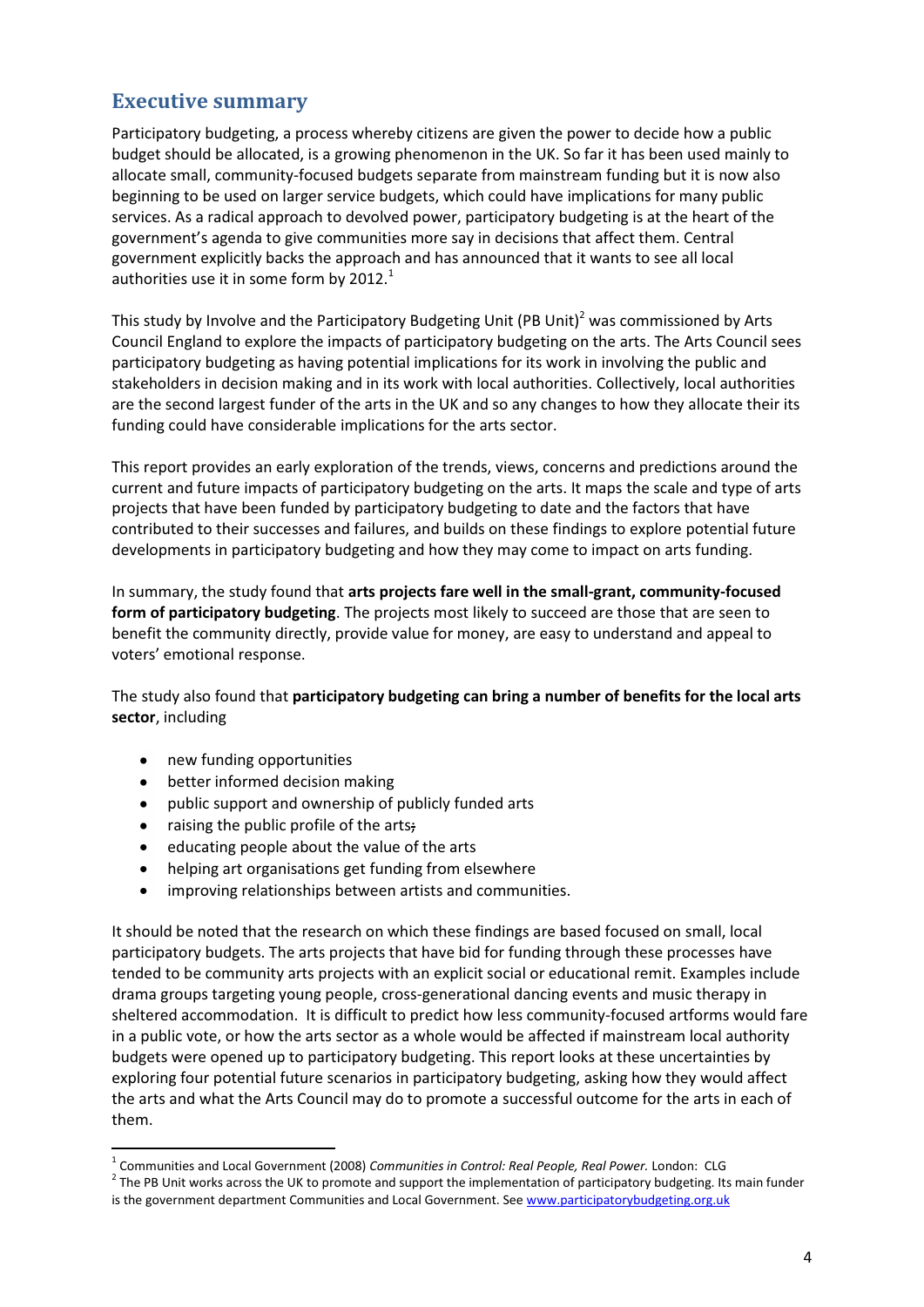# **Executive summary**

Participatory budgeting, a process whereby citizens are given the power to decide how a public budget should be allocated, is a growing phenomenon in the UK. So far it has been used mainly to allocate small, community-focused budgets separate from mainstream funding but it is now also beginning to be used on larger service budgets, which could have implications for many public services. As a radical approach to devolved power, participatory budgeting is at the heart of the government's agenda to give communities more say in decisions that affect them. Central government explicitly backs the approach and has announced that it wants to see all local authorities use it in some form by  $2012.<sup>1</sup>$ 

This study by Involve and the Participatory Budgeting Unit (PB Unit)<sup>2</sup> was commissioned by Arts Council England to explore the impacts of participatory budgeting on the arts. The Arts Council sees participatory budgeting as having potential implications for its work in involving the public and stakeholders in decision making and in its work with local authorities. Collectively, local authorities are the second largest funder of the arts in the UK and so any changes to how they allocate their its funding could have considerable implications for the arts sector.

This report provides an early exploration of the trends, views, concerns and predictions around the current and future impacts of participatory budgeting on the arts. It maps the scale and type of arts projects that have been funded by participatory budgeting to date and the factors that have contributed to their successes and failures, and builds on these findings to explore potential future developments in participatory budgeting and how they may come to impact on arts funding.

In summary, the study found that **arts projects fare well in the small-grant, community-focused form of participatory budgeting**. The projects most likely to succeed are those that are seen to benefit the community directly, provide value for money, are easy to understand and appeal to voters' emotional response.

The study also found that **participatory budgeting can bring a number of benefits for the local arts sector**, including

new funding opportunities  $\bullet$ 

<u>.</u>

- better informed decision making  $\bullet$
- $\bullet$ public support and ownership of publicly funded arts
- raising the public profile of the arts;  $\bullet$
- $\bullet$ educating people about the value of the arts
- helping art organisations get funding from elsewhere  $\bullet$
- improving relationships between artists and communities.  $\bullet$

It should be noted that the research on which these findings are based focused on small, local participatory budgets. The arts projects that have bid for funding through these processes have tended to be community arts projects with an explicit social or educational remit. Examples include drama groups targeting young people, cross-generational dancing events and music therapy in sheltered accommodation. It is difficult to predict how less community-focused artforms would fare in a public vote, or how the arts sector as a whole would be affected if mainstream local authority budgets were opened up to participatory budgeting. This report looks at these uncertainties by exploring four potential future scenarios in participatory budgeting, asking how they would affect the arts and what the Arts Council may do to promote a successful outcome for the arts in each of them.

<sup>&</sup>lt;sup>1</sup> Communities and Local Government (2008) *Communities in Control: Real People, Real Power.* London: CLG

 $2$  The PB Unit works across the UK to promote and support the implementation of participatory budgeting. Its main funder is the government department Communities and Local Government. See www.participatorybudgeting.org.uk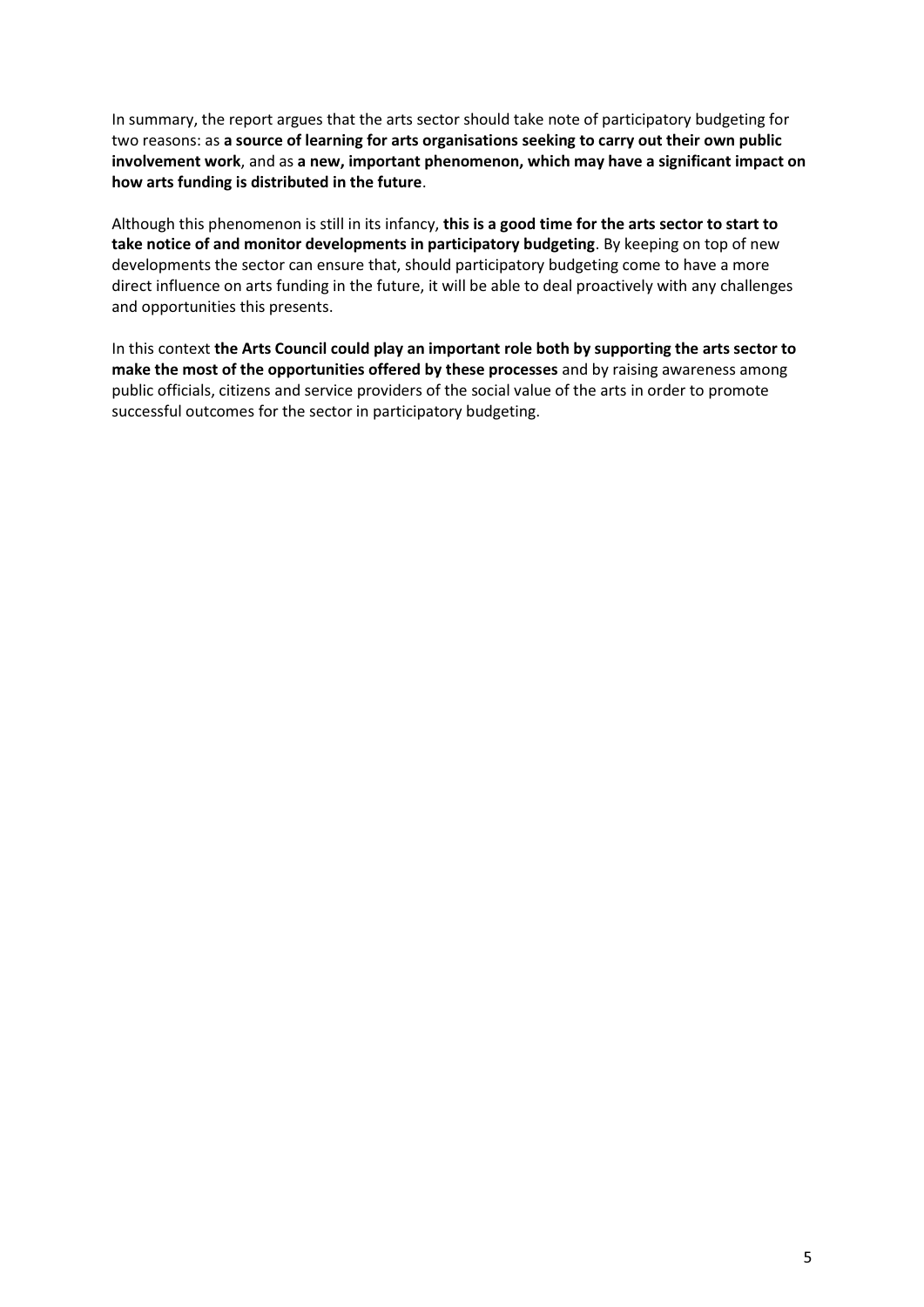In summary, the report argues that the arts sector should take note of participatory budgeting for two reasons: as **a source of learning for arts organisations seeking to carry out their own public involvement work**, and as **a new, important phenomenon, which may have a significant impact on how arts funding is distributed in the future**.

Although this phenomenon is still in its infancy, **this is a good time for the arts sector to start to take notice of and monitor developments in participatory budgeting**. By keeping on top of new developments the sector can ensure that, should participatory budgeting come to have a more direct influence on arts funding in the future, it will be able to deal proactively with any challenges and opportunities this presents.

In this context **the Arts Council could play an important role both by supporting the arts sector to make the most of the opportunities offered by these processes** and by raising awareness among public officials, citizens and service providers of the social value of the arts in order to promote successful outcomes for the sector in participatory budgeting.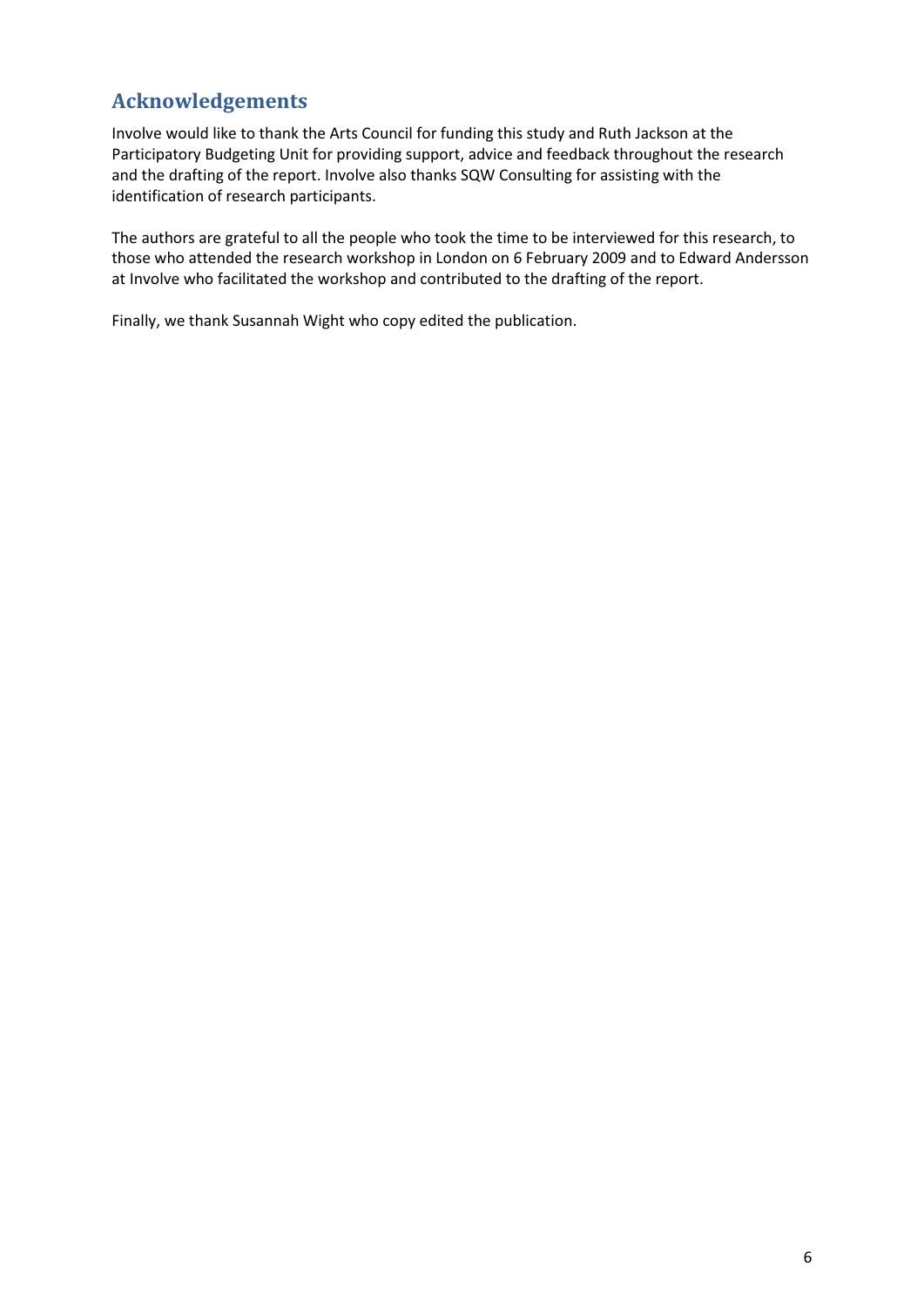# **Acknowledgements**

Involve would like to thank the Arts Council for funding this study and Ruth Jackson at the Participatory Budgeting Unit for providing support, advice and feedback throughout the research and the drafting of the report. Involve also thanks SQW Consulting for assisting with the identification of research participants.

The authors are grateful to all the people who took the time to be interviewed for this research, to those who attended the research workshop in London on 6 February 2009 and to Edward Andersson at Involve who facilitated the workshop and contributed to the drafting of the report.

Finally, we thank Susannah Wight who copy edited the publication.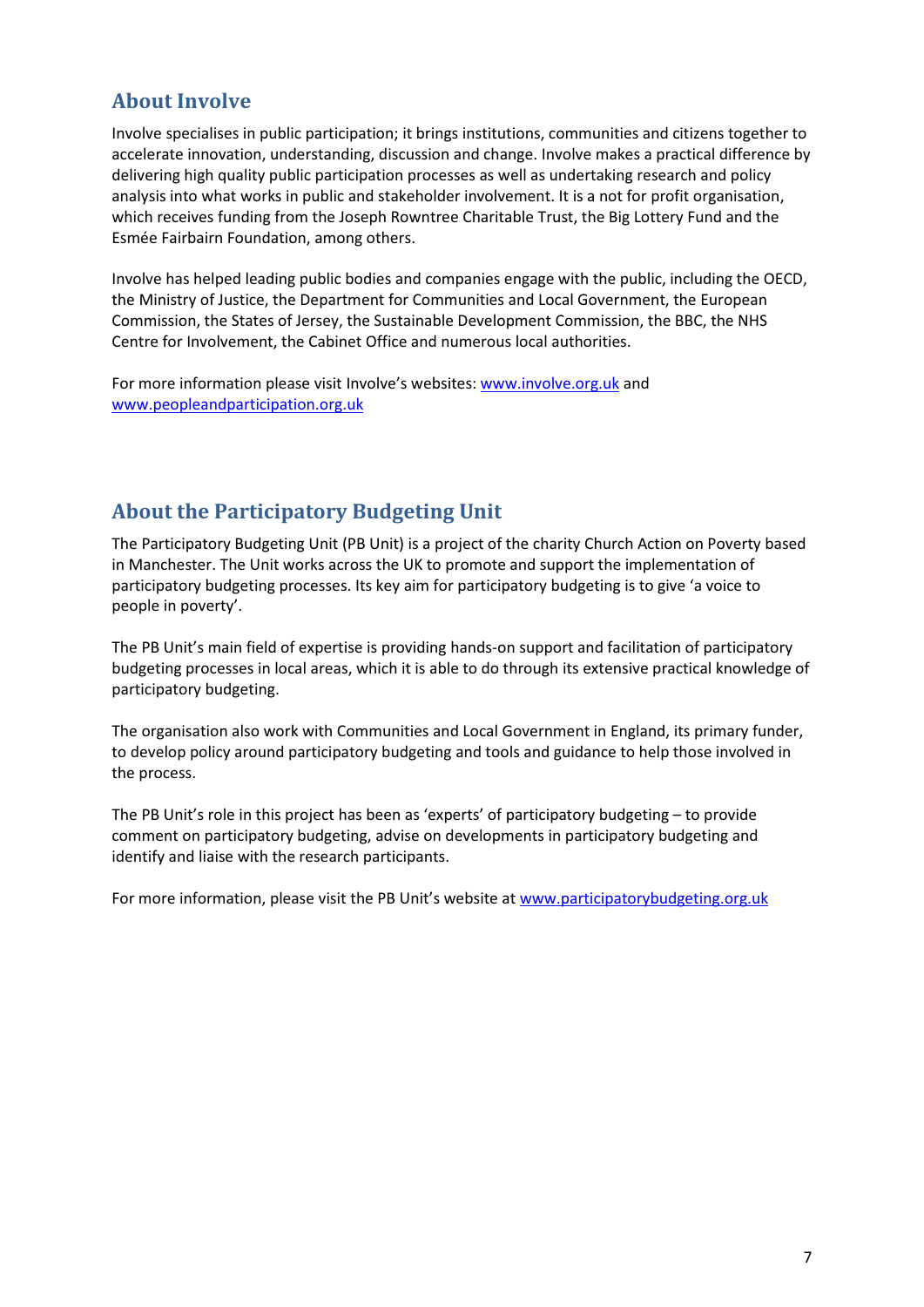# **About Involve**

Involve specialises in public participation; it brings institutions, communities and citizens together to accelerate innovation, understanding, discussion and change. Involve makes a practical difference by delivering high quality public participation processes as well as undertaking research and policy analysis into what works in public and stakeholder involvement. It is a not for profit organisation, which receives funding from the Joseph Rowntree Charitable Trust, the Big Lottery Fund and the Esmée Fairbairn Foundation, among others.

Involve has helped leading public bodies and companies engage with the public, including the OECD, the Ministry of Justice, the Department for Communities and Local Government, the European Commission, the States of Jersey, the Sustainable Development Commission, the BBC, the NHS Centre for Involvement, the Cabinet Office and numerous local authorities.

For more information please visit Involve's websites: www.involve.org.uk and www.peopleandparticipation.org.uk

# **About the Participatory Budgeting Unit**

The Participatory Budgeting Unit (PB Unit) is a project of the charity Church Action on Poverty based in Manchester. The Unit works across the UK to promote and support the implementation of participatory budgeting processes. Its key aim for participatory budgeting is to give 'a voice to people in poverty'.

The PB Unit's main field of expertise is providing hands-on support and facilitation of participatory budgeting processes in local areas, which it is able to do through its extensive practical knowledge of participatory budgeting.

The organisation also work with Communities and Local Government in England, its primary funder, to develop policy around participatory budgeting and tools and guidance to help those involved in the process.

The PB Unit's role in this project has been as 'experts' of participatory budgeting – to provide comment on participatory budgeting, advise on developments in participatory budgeting and identify and liaise with the research participants.

For more information, please visit the PB Unit's website at www.participatorybudgeting.org.uk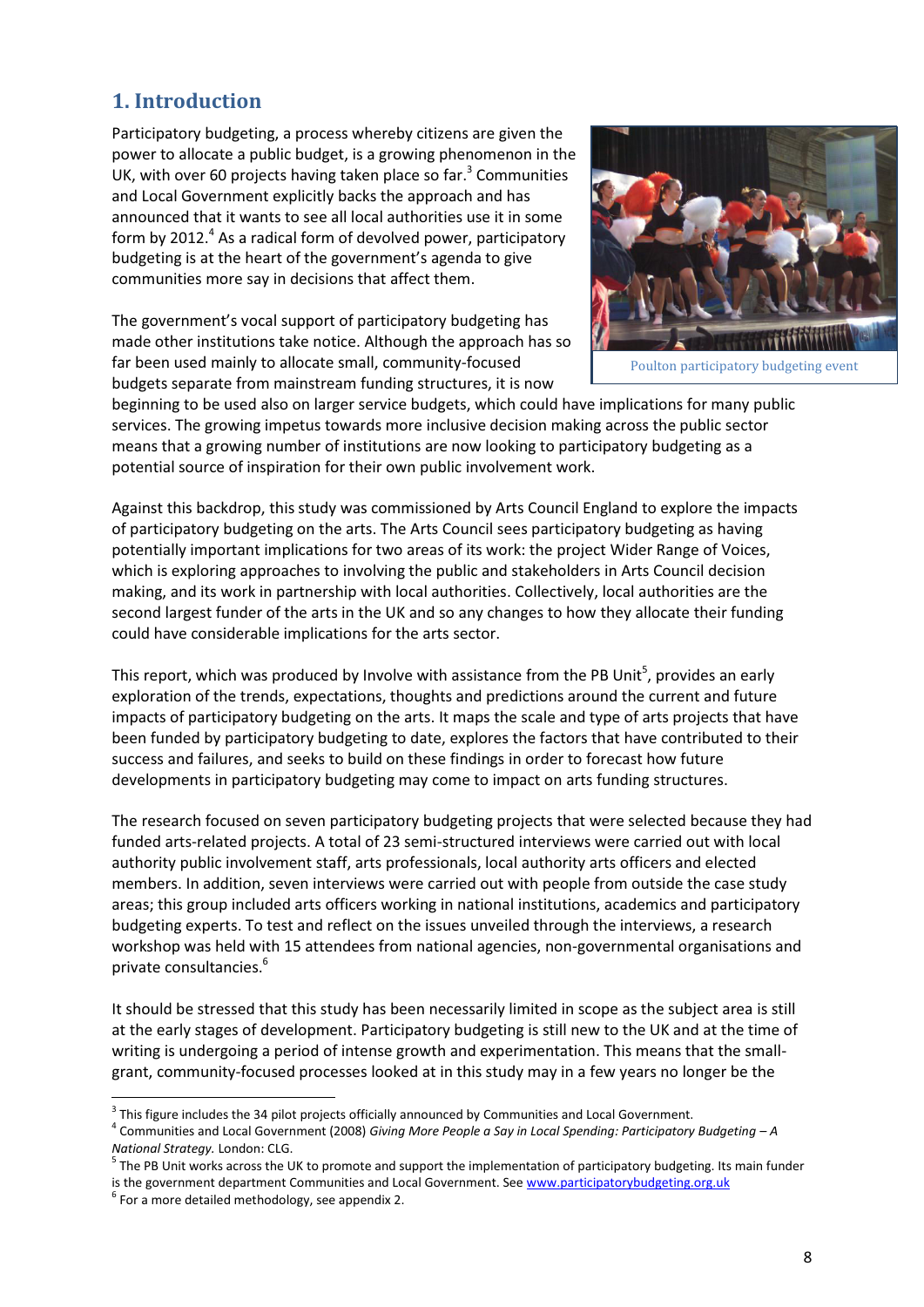# **1. Introduction**

Participatory budgeting, a process whereby citizens are given the power to allocate a public budget, is a growing phenomenon in the UK, with over 60 projects having taken place so far.<sup>3</sup> Communities and Local Government explicitly backs the approach and has announced that it wants to see all local authorities use it in some form by 2012. $<sup>4</sup>$  As a radical form of devolved power, participatory</sup> budgeting is at the heart of the government's agenda to give communities more say in decisions that affect them.

The government's vocal support of participatory budgeting has made other institutions take notice. Although the approach has so far been used mainly to allocate small, community-focused budgets separate from mainstream funding structures, it is now



beginning to be used also on larger service budgets, which could have implications for many public services. The growing impetus towards more inclusive decision making across the public sector means that a growing number of institutions are now looking to participatory budgeting as a potential source of inspiration for their own public involvement work.

Against this backdrop, this study was commissioned by Arts Council England to explore the impacts of participatory budgeting on the arts. The Arts Council sees participatory budgeting as having potentially important implications for two areas of its work: the project Wider Range of Voices, which is exploring approaches to involving the public and stakeholders in Arts Council decision making, and its work in partnership with local authorities. Collectively, local authorities are the second largest funder of the arts in the UK and so any changes to how they allocate their funding could have considerable implications for the arts sector.

This report, which was produced by Involve with assistance from the PB Unit<sup>5</sup>, provides an early exploration of the trends, expectations, thoughts and predictions around the current and future impacts of participatory budgeting on the arts. It maps the scale and type of arts projects that have been funded by participatory budgeting to date, explores the factors that have contributed to their success and failures, and seeks to build on these findings in order to forecast how future developments in participatory budgeting may come to impact on arts funding structures.

The research focused on seven participatory budgeting projects that were selected because they had funded arts-related projects. A total of 23 semi-structured interviews were carried out with local authority public involvement staff, arts professionals, local authority arts officers and elected members. In addition, seven interviews were carried out with people from outside the case study areas; this group included arts officers working in national institutions, academics and participatory budgeting experts. To test and reflect on the issues unveiled through the interviews, a research workshop was held with 15 attendees from national agencies, non-governmental organisations and private consultancies.<sup>6</sup>

It should be stressed that this study has been necessarily limited in scope as the subject area is still at the early stages of development. Participatory budgeting is still new to the UK and at the time of writing is undergoing a period of intense growth and experimentation. This means that the smallgrant, community-focused processes looked at in this study may in a few years no longer be the

<u>.</u>

 $3$  This figure includes the 34 pilot projects officially announced by Communities and Local Government.

<sup>&</sup>lt;sup>4</sup> Communities and Local Government (2008) *Giving More People a Say in Local Spending: Participatory Budgeting - A National Strategy.* London: CLG.

<sup>&</sup>lt;sup>5</sup> The PB Unit works across the UK to promote and support the implementation of participatory budgeting. Its main funder is the government department Communities and Local Government. See www.participatorybudgeting.org.uk

 $6$  For a more detailed methodology, see appendix 2.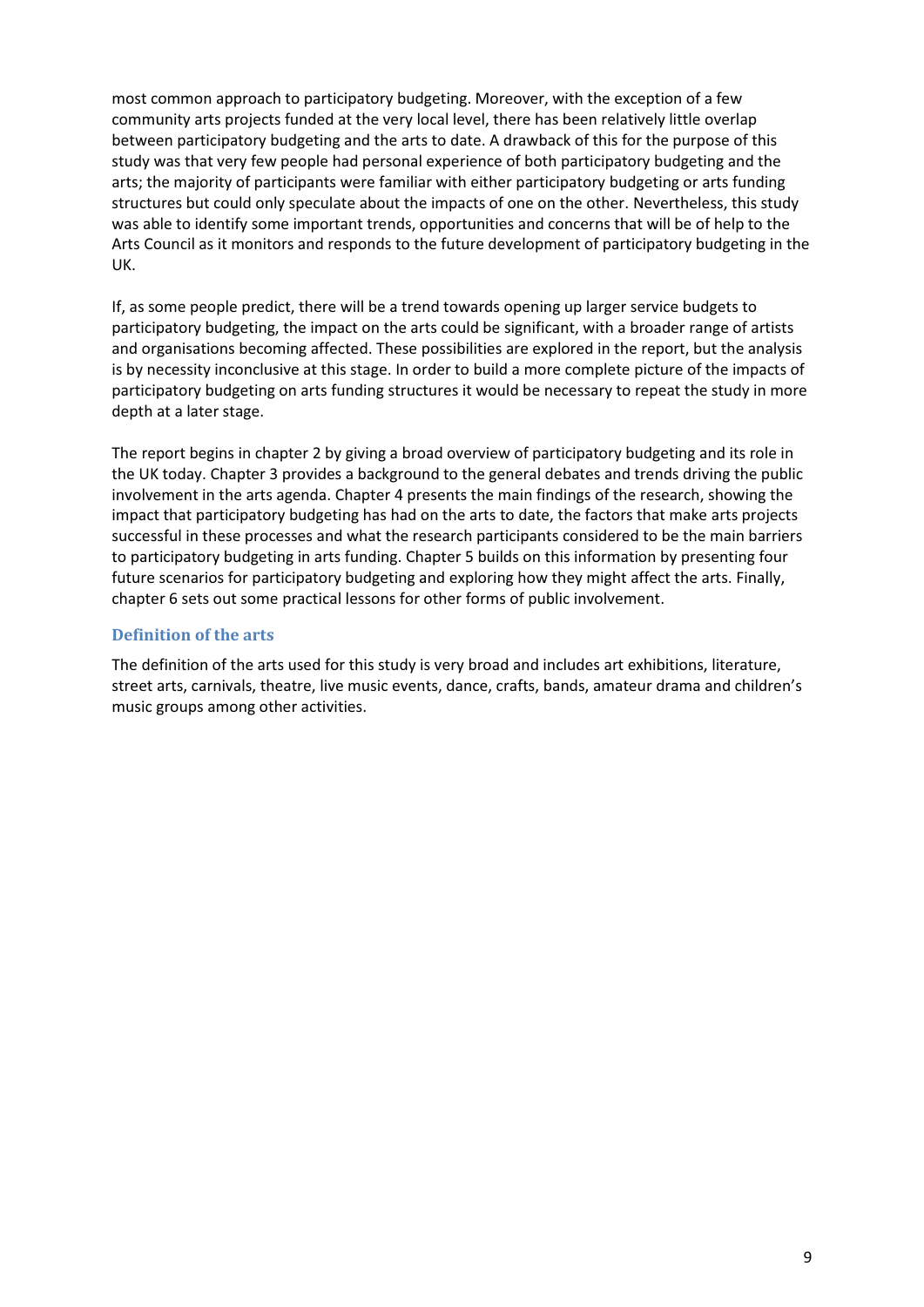most common approach to participatory budgeting. Moreover, with the exception of a few community arts projects funded at the very local level, there has been relatively little overlap between participatory budgeting and the arts to date. A drawback of this for the purpose of this study was that very few people had personal experience of both participatory budgeting and the arts; the majority of participants were familiar with either participatory budgeting or arts funding structures but could only speculate about the impacts of one on the other. Nevertheless, this study was able to identify some important trends, opportunities and concerns that will be of help to the Arts Council as it monitors and responds to the future development of participatory budgeting in the UK.

If, as some people predict, there will be a trend towards opening up larger service budgets to participatory budgeting, the impact on the arts could be significant, with a broader range of artists and organisations becoming affected. These possibilities are explored in the report, but the analysis is by necessity inconclusive at this stage. In order to build a more complete picture of the impacts of participatory budgeting on arts funding structures it would be necessary to repeat the study in more depth at a later stage.

The report begins in chapter 2 by giving a broad overview of participatory budgeting and its role in the UK today. Chapter 3 provides a background to the general debates and trends driving the public involvement in the arts agenda. Chapter 4 presents the main findings of the research, showing the impact that participatory budgeting has had on the arts to date, the factors that make arts projects successful in these processes and what the research participants considered to be the main barriers to participatory budgeting in arts funding. Chapter 5 builds on this information by presenting four future scenarios for participatory budgeting and exploring how they might affect the arts. Finally, chapter 6 sets out some practical lessons for other forms of public involvement.

# **Definition of the arts**

The definition of the arts used for this study is very broad and includes art exhibitions, literature, street arts, carnivals, theatre, live music events, dance, crafts, bands, amateur drama and children's music groups among other activities.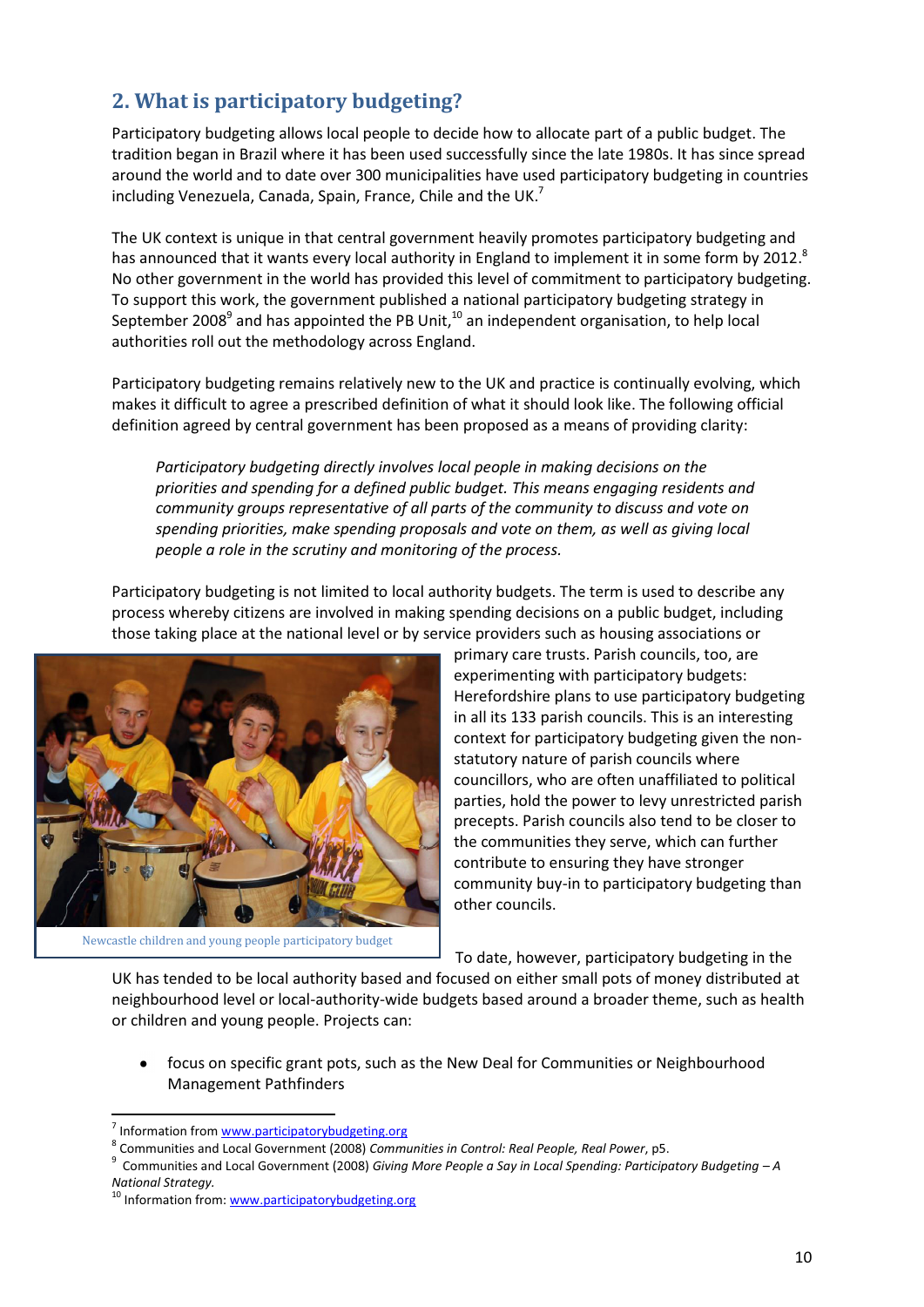# **2. What is participatory budgeting?**

Participatory budgeting allows local people to decide how to allocate part of a public budget. The tradition began in Brazil where it has been used successfully since the late 1980s. It has since spread around the world and to date over 300 municipalities have used participatory budgeting in countries including Venezuela, Canada, Spain, France, Chile and the UK.<sup>7</sup>

The UK context is unique in that central government heavily promotes participatory budgeting and has announced that it wants every local authority in England to implement it in some form by 2012.<sup>8</sup> No other government in the world has provided this level of commitment to participatory budgeting. To support this work, the government published a national participatory budgeting strategy in September 2008<sup>9</sup> and has appointed the PB Unit,<sup>10</sup> an independent organisation, to help local authorities roll out the methodology across England.

Participatory budgeting remains relatively new to the UK and practice is continually evolving, which makes it difficult to agree a prescribed definition of what it should look like. The following official definition agreed by central government has been proposed as a means of providing clarity:

*Participatory budgeting directly involves local people in making decisions on the priorities and spending for a defined public budget. This means engaging residents and community groups representative of all parts of the community to discuss and vote on spending priorities, make spending proposals and vote on them, as well as giving local people a role in the scrutiny and monitoring of the process.* 

Participatory budgeting is not limited to local authority budgets. The term is used to describe any process whereby citizens are involved in making spending decisions on a public budget, including those taking place at the national level or by service providers such as housing associations or



Newcastle children and young people participatory budget

primary care trusts. Parish councils, too, are experimenting with participatory budgets: Herefordshire plans to use participatory budgeting in all its 133 parish councils. This is an interesting context for participatory budgeting given the nonstatutory nature of parish councils where councillors, who are often unaffiliated to political parties, hold the power to levy unrestricted parish precepts. Parish councils also tend to be closer to the communities they serve, which can further contribute to ensuring they have stronger community buy-in to participatory budgeting than other councils.

To date, however, participatory budgeting in the

UK has tended to be local authority based and focused on either small pots of money distributed at neighbourhood level or local-authority-wide budgets based around a broader theme, such as health or children and young people. Projects can:

focus on specific grant pots, such as the New Deal for Communities or Neighbourhood Management Pathfinders

<sup>&</sup>lt;sup>7</sup> Information from www.participatorybudgeting.org

<sup>8</sup> Communities and Local Government (2008) *Communities in Control: Real People, Real Power*, p5.

<sup>&</sup>lt;sup>9</sup> Communities and Local Government (2008) *Giving More People a Say in Local Spending: Participatory Budgeting – A National Strategy.*

<sup>&</sup>lt;sup>10</sup> Information from: www.participatorybudgeting.org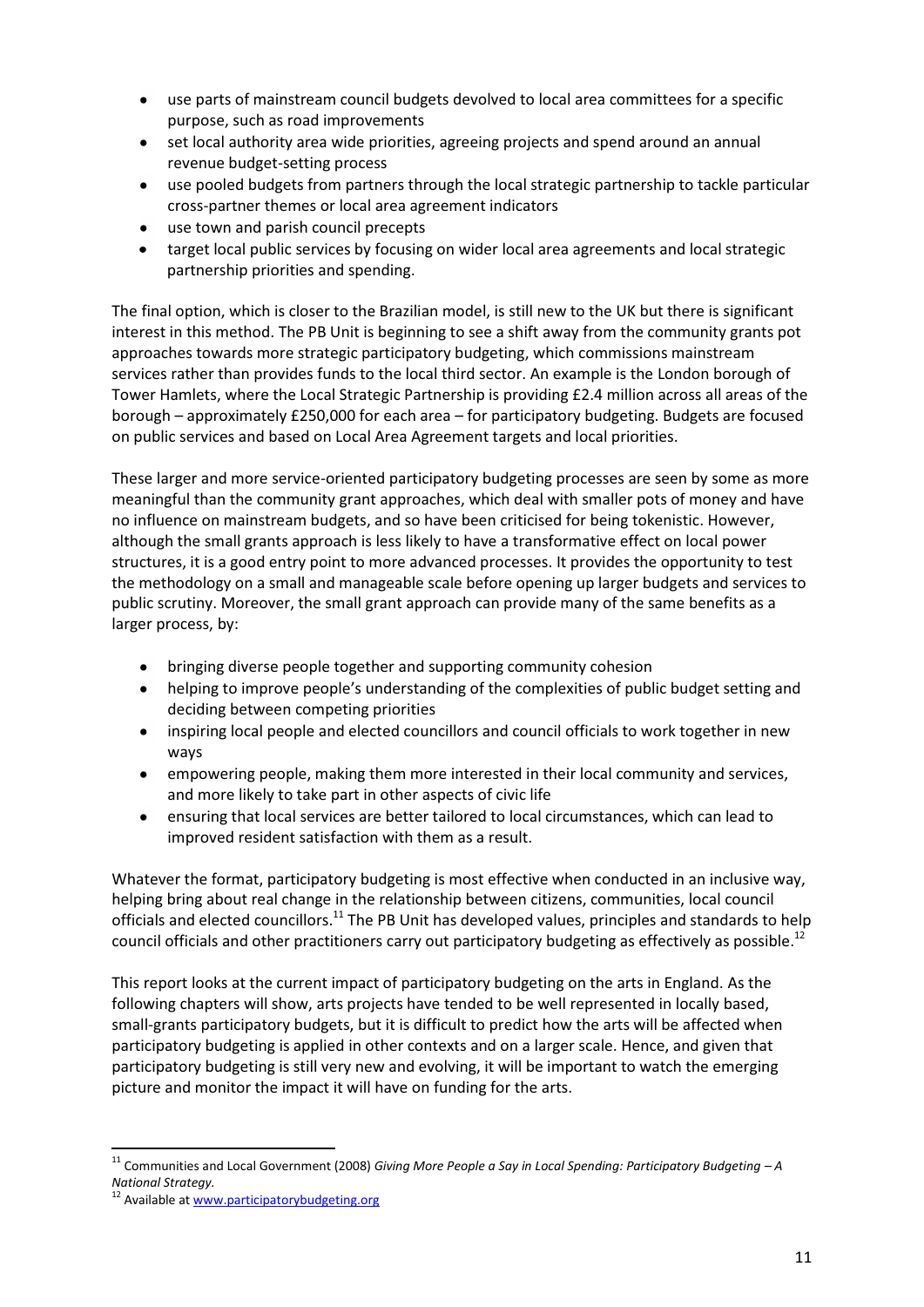- use parts of mainstream council budgets devolved to local area committees for a specific  $\bullet$ purpose, such as road improvements
- set local authority area wide priorities, agreeing projects and spend around an annual  $\bullet$ revenue budget-setting process
- use pooled budgets from partners through the local strategic partnership to tackle particular  $\bullet$ cross-partner themes or local area agreement indicators
- use town and parish council precepts
- $\bullet$ target local public services by focusing on wider local area agreements and local strategic partnership priorities and spending.

The final option, which is closer to the Brazilian model, is still new to the UK but there is significant interest in this method. The PB Unit is beginning to see a shift away from the community grants pot approaches towards more strategic participatory budgeting, which commissions mainstream services rather than provides funds to the local third sector. An example is the London borough of Tower Hamlets, where the Local Strategic Partnership is providing £2.4 million across all areas of the borough – approximately £250,000 for each area – for participatory budgeting. Budgets are focused on public services and based on Local Area Agreement targets and local priorities.

These larger and more service-oriented participatory budgeting processes are seen by some as more meaningful than the community grant approaches, which deal with smaller pots of money and have no influence on mainstream budgets, and so have been criticised for being tokenistic. However, although the small grants approach is less likely to have a transformative effect on local power structures, it is a good entry point to more advanced processes. It provides the opportunity to test the methodology on a small and manageable scale before opening up larger budgets and services to public scrutiny. Moreover, the small grant approach can provide many of the same benefits as a larger process, by:

- $\bullet$ bringing diverse people together and supporting community cohesion
- helping to improve people's understanding of the complexities of public budget setting and  $\bullet$ deciding between competing priorities
- inspiring local people and elected councillors and council officials to work together in new  $\bullet$ ways
- $\bullet$ empowering people, making them more interested in their local community and services, and more likely to take part in other aspects of civic life
- ensuring that local services are better tailored to local circumstances, which can lead to  $\bullet$ improved resident satisfaction with them as a result.

Whatever the format, participatory budgeting is most effective when conducted in an inclusive way, helping bring about real change in the relationship between citizens, communities, local council officials and elected councillors.<sup>11</sup> The PB Unit has developed values, principles and standards to help council officials and other practitioners carry out participatory budgeting as effectively as possible.<sup>12</sup>

This report looks at the current impact of participatory budgeting on the arts in England. As the following chapters will show, arts projects have tended to be well represented in locally based, small-grants participatory budgets, but it is difficult to predict how the arts will be affected when participatory budgeting is applied in other contexts and on a larger scale. Hence, and given that participatory budgeting is still very new and evolving, it will be important to watch the emerging picture and monitor the impact it will have on funding for the arts.

<u>.</u>

<sup>&</sup>lt;sup>11</sup> Communities and Local Government (2008) *Giving More People a Say in Local Spending: Participatory Budgeting - A National Strategy.*

<sup>&</sup>lt;sup>12</sup> Available at www.participatorybudgeting.org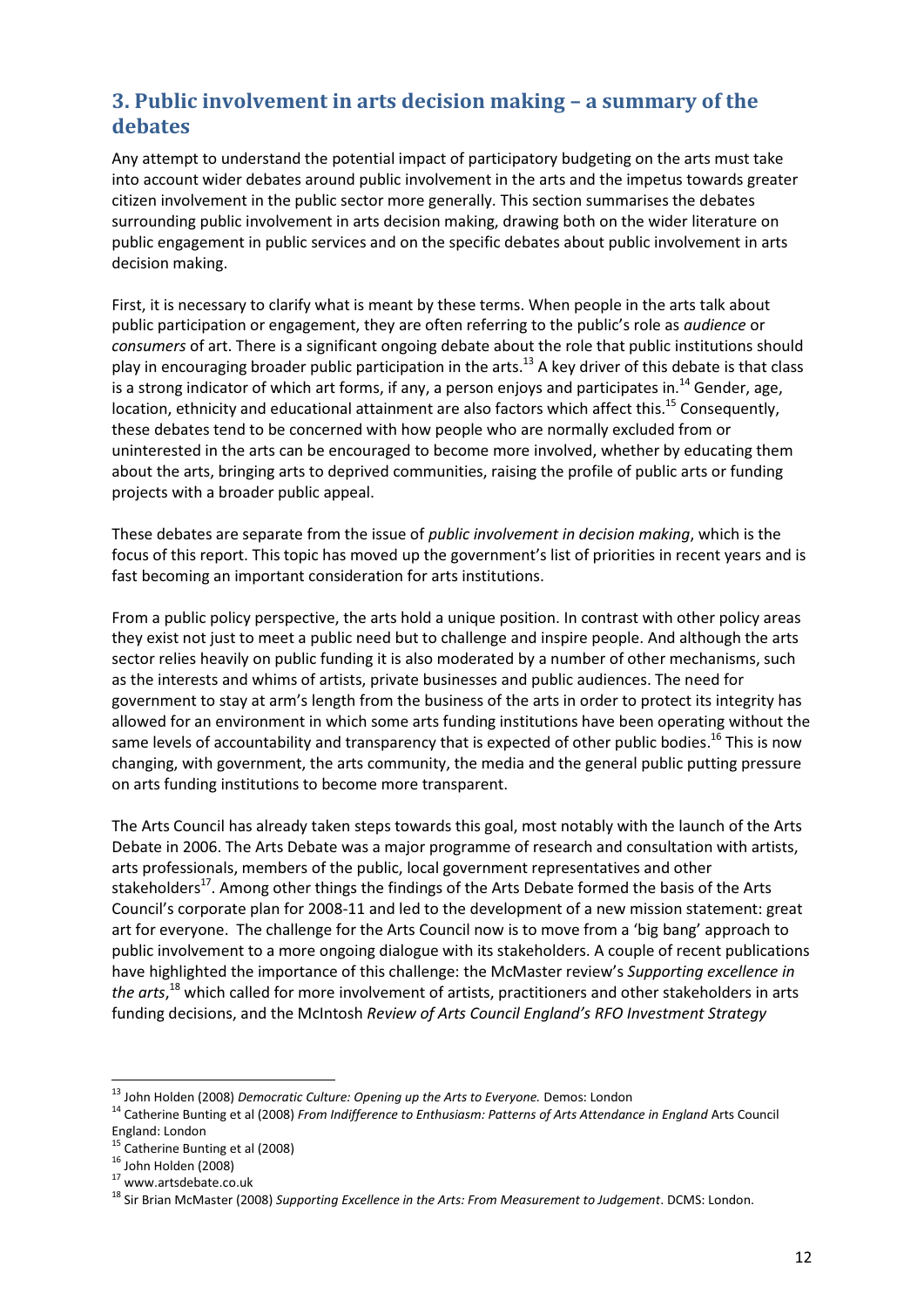# **3. Public involvement in arts decision making – a summary of the debates**

Any attempt to understand the potential impact of participatory budgeting on the arts must take into account wider debates around public involvement in the arts and the impetus towards greater citizen involvement in the public sector more generally. This section summarises the debates surrounding public involvement in arts decision making, drawing both on the wider literature on public engagement in public services and on the specific debates about public involvement in arts decision making.

First, it is necessary to clarify what is meant by these terms. When people in the arts talk about public participation or engagement, they are often referring to the public's role as *audience* or *consumers* of art. There is a significant ongoing debate about the role that public institutions should play in encouraging broader public participation in the arts.<sup>13</sup> A key driver of this debate is that class is a strong indicator of which art forms, if any, a person enjoys and participates in.<sup>14</sup> Gender, age, location, ethnicity and educational attainment are also factors which affect this.<sup>15</sup> Consequently, these debates tend to be concerned with how people who are normally excluded from or uninterested in the arts can be encouraged to become more involved, whether by educating them about the arts, bringing arts to deprived communities, raising the profile of public arts or funding projects with a broader public appeal.

These debates are separate from the issue of *public involvement in decision making*, which is the focus of this report. This topic has moved up the government's list of priorities in recent years and is fast becoming an important consideration for arts institutions.

From a public policy perspective, the arts hold a unique position. In contrast with other policy areas they exist not just to meet a public need but to challenge and inspire people. And although the arts sector relies heavily on public funding it is also moderated by a number of other mechanisms, such as the interests and whims of artists, private businesses and public audiences. The need for government to stay at arm's length from the business of the arts in order to protect its integrity has allowed for an environment in which some arts funding institutions have been operating without the same levels of accountability and transparency that is expected of other public bodies.<sup>16</sup> This is now changing, with government, the arts community, the media and the general public putting pressure on arts funding institutions to become more transparent.

The Arts Council has already taken steps towards this goal, most notably with the launch of the Arts Debate in 2006. The Arts Debate was a major programme of research and consultation with artists, arts professionals, members of the public, local government representatives and other stakeholders<sup>17</sup>. Among other things the findings of the Arts Debate formed the basis of the Arts Council's corporate plan for 2008-11 and led to the development of a new mission statement: great art for everyone. The challenge for the Arts Council now is to move from a 'big bang' approach to public involvement to a more ongoing dialogue with its stakeholders. A couple of recent publications have highlighted the importance of this challenge: the McMaster review's *Supporting excellence in the arts*, <sup>18</sup> which called for more involvement of artists, practitioners and other stakeholders in arts funding decisions, and the McIntosh *Review of Arts Council England's RFO Investment Strategy* 

<sup>13</sup> John Holden (2008) *Democratic Culture: Opening up the Arts to Everyone.* Demos: London

<sup>&</sup>lt;sup>14</sup> Catherine Bunting et al (2008) *From Indifference to Enthusiasm: Patterns of Arts Attendance in England Arts Council* England: London

<sup>&</sup>lt;sup>15</sup> Catherine Bunting et al (2008)

<sup>16</sup> John Holden (2008)

<sup>17</sup> www.artsdebate.co.uk

<sup>18</sup> Sir Brian McMaster (2008) *Supporting Excellence in the Arts: From Measurement to Judgement*. DCMS: London.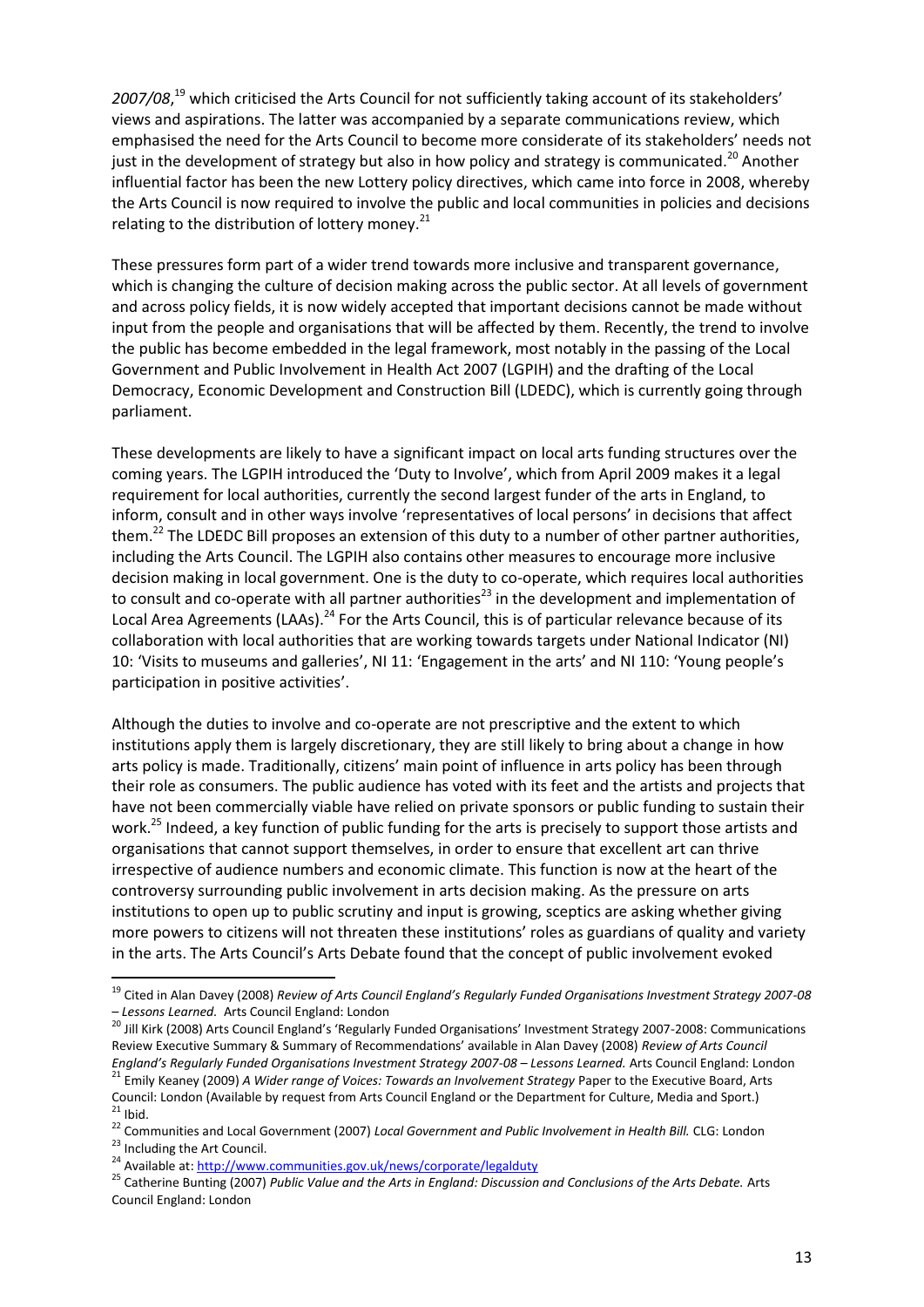*2007/08*, <sup>19</sup> which criticised the Arts Council for not sufficiently taking account of its stakeholders' views and aspirations. The latter was accompanied by a separate communications review, which emphasised the need for the Arts Council to become more considerate of its stakeholders' needs not just in the development of strategy but also in how policy and strategy is communicated.<sup>20</sup> Another influential factor has been the new Lottery policy directives, which came into force in 2008, whereby the Arts Council is now required to involve the public and local communities in policies and decisions relating to the distribution of lottery money. $^{21}$ 

These pressures form part of a wider trend towards more inclusive and transparent governance, which is changing the culture of decision making across the public sector. At all levels of government and across policy fields, it is now widely accepted that important decisions cannot be made without input from the people and organisations that will be affected by them. Recently, the trend to involve the public has become embedded in the legal framework, most notably in the passing of the Local Government and Public Involvement in Health Act 2007 (LGPIH) and the drafting of the Local Democracy, Economic Development and Construction Bill (LDEDC), which is currently going through parliament.

These developments are likely to have a significant impact on local arts funding structures over the coming years. The LGPIH introduced the 'Duty to Involve', which from April 2009 makes it a legal requirement for local authorities, currently the second largest funder of the arts in England, to inform, consult and in other ways involve 'representatives of local persons' in decisions that affect them.<sup>22</sup> The LDEDC Bill proposes an extension of this duty to a number of other partner authorities, including the Arts Council. The LGPIH also contains other measures to encourage more inclusive decision making in local government. One is the duty to co-operate, which requires local authorities to consult and co-operate with all partner authorities<sup>23</sup> in the development and implementation of Local Area Agreements (LAAs).<sup>24</sup> For the Arts Council, this is of particular relevance because of its collaboration with local authorities that are working towards targets under National Indicator (NI) 10: 'Visits to museums and galleries', NI 11: 'Engagement in the arts' and NI 110: 'Young people's participation in positive activities'.

Although the duties to involve and co-operate are not prescriptive and the extent to which institutions apply them is largely discretionary, they are still likely to bring about a change in how arts policy is made. Traditionally, citizens' main point of influence in arts policy has been through their role as consumers. The public audience has voted with its feet and the artists and projects that have not been commercially viable have relied on private sponsors or public funding to sustain their work.<sup>25</sup> Indeed, a key function of public funding for the arts is precisely to support those artists and organisations that cannot support themselves, in order to ensure that excellent art can thrive irrespective of audience numbers and economic climate. This function is now at the heart of the controversy surrounding public involvement in arts decision making. As the pressure on arts institutions to open up to public scrutiny and input is growing, sceptics are asking whether giving more powers to citizens will not threaten these institutions' roles as guardians of quality and variety in the arts. The Arts Council's Arts Debate found that the concept of public involvement evoked

<u>.</u>

<sup>19</sup> Cited in Alan Davey (2008) *Review of Arts Council England's Regularly Funded Organisations Investment Strategy 2007-08 – Lessons Learned.* Arts Council England: London

<sup>&</sup>lt;sup>20</sup> Jill Kirk (2008) Arts Council England's 'Regularly Funded Organisations' Investment Strategy 2007-2008: Communications Review Executive Summary & Summary of Recommendations' available in Alan Davey (2008) *Review of Arts Council England's Regularly Funded Organisations Investment Strategy 2007-08 – Lessons Learned.* Arts Council England: London

<sup>21</sup> Emily Keaney (2009) *A Wider range of Voices: Towards an Involvement Strategy* Paper to the Executive Board, Arts Council: London (Available by request from Arts Council England or the Department for Culture, Media and Sport.)  $21$  Ibid.

<sup>22</sup> Communities and Local Government (2007) *Local Government and Public Involvement in Health Bill.* CLG: London <sup>23</sup> Including the Art Council.

<sup>&</sup>lt;sup>24</sup> Available at: http://www.communities.gov.uk/news/corporate/legalduty

<sup>&</sup>lt;sup>25</sup> Catherine Bunting (2007) Public Value and the Arts in England: Discussion and Conclusions of the Arts Debate. Arts Council England: London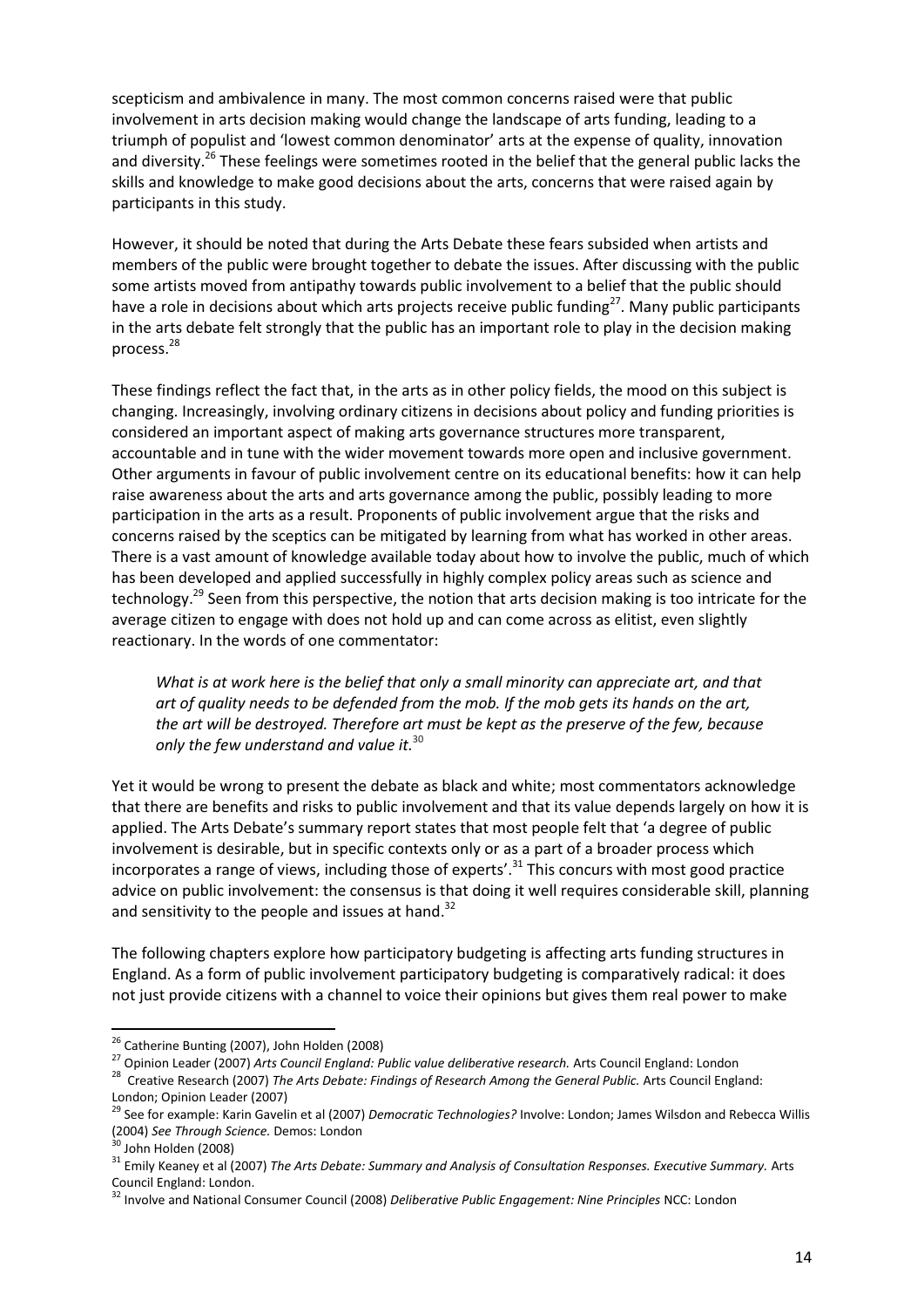scepticism and ambivalence in many. The most common concerns raised were that public involvement in arts decision making would change the landscape of arts funding, leading to a triumph of populist and 'lowest common denominator' arts at the expense of quality, innovation and diversity.<sup>26</sup> These feelings were sometimes rooted in the belief that the general public lacks the skills and knowledge to make good decisions about the arts, concerns that were raised again by participants in this study.

However, it should be noted that during the Arts Debate these fears subsided when artists and members of the public were brought together to debate the issues. After discussing with the public some artists moved from antipathy towards public involvement to a belief that the public should have a role in decisions about which arts projects receive public funding<sup>27</sup>. Many public participants in the arts debate felt strongly that the public has an important role to play in the decision making process.<sup>28</sup>

These findings reflect the fact that, in the arts as in other policy fields, the mood on this subject is changing. Increasingly, involving ordinary citizens in decisions about policy and funding priorities is considered an important aspect of making arts governance structures more transparent, accountable and in tune with the wider movement towards more open and inclusive government. Other arguments in favour of public involvement centre on its educational benefits: how it can help raise awareness about the arts and arts governance among the public, possibly leading to more participation in the arts as a result. Proponents of public involvement argue that the risks and concerns raised by the sceptics can be mitigated by learning from what has worked in other areas. There is a vast amount of knowledge available today about how to involve the public, much of which has been developed and applied successfully in highly complex policy areas such as science and technology.<sup>29</sup> Seen from this perspective, the notion that arts decision making is too intricate for the average citizen to engage with does not hold up and can come across as elitist, even slightly reactionary. In the words of one commentator:

*What is at work here is the belief that only a small minority can appreciate art, and that art of quality needs to be defended from the mob. If the mob gets its hands on the art, the art will be destroyed. Therefore art must be kept as the preserve of the few, because only the few understand and value it.*<sup>30</sup>

Yet it would be wrong to present the debate as black and white; most commentators acknowledge that there are benefits and risks to public involvement and that its value depends largely on how it is applied. The Arts Debate's summary report states that most people felt that 'a degree of public involvement is desirable, but in specific contexts only or as a part of a broader process which incorporates a range of views, including those of experts'. <sup>31</sup> This concurs with most good practice advice on public involvement: the consensus is that doing it well requires considerable skill, planning and sensitivity to the people and issues at hand.<sup>32</sup>

The following chapters explore how participatory budgeting is affecting arts funding structures in England. As a form of public involvement participatory budgeting is comparatively radical: it does not just provide citizens with a channel to voice their opinions but gives them real power to make

<u>.</u>

<sup>&</sup>lt;sup>26</sup> Catherine Bunting (2007), John Holden (2008)

<sup>27</sup> Opinion Leader (2007) *Arts Council England: Public value deliberative research.* Arts Council England: London

<sup>&</sup>lt;sup>28</sup> Creative Research (2007) *The Arts Debate: Findings of Research Among the General Public. Arts Council England:* London; Opinion Leader (2007)

<sup>29</sup> See for example: Karin Gavelin et al (2007) *Democratic Technologies?* Involve: London; James Wilsdon and Rebecca Willis (2004) *See Through Science.* Demos: London

 $30$  John Holden (2008)

<sup>&</sup>lt;sup>31</sup> Emily Keaney et al (2007) *The Arts Debate: Summary and Analysis of Consultation Responses. Executive Summary. Arts* Council England: London.

<sup>32</sup> Involve and National Consumer Council (2008) *Deliberative Public Engagement: Nine Principles* NCC: London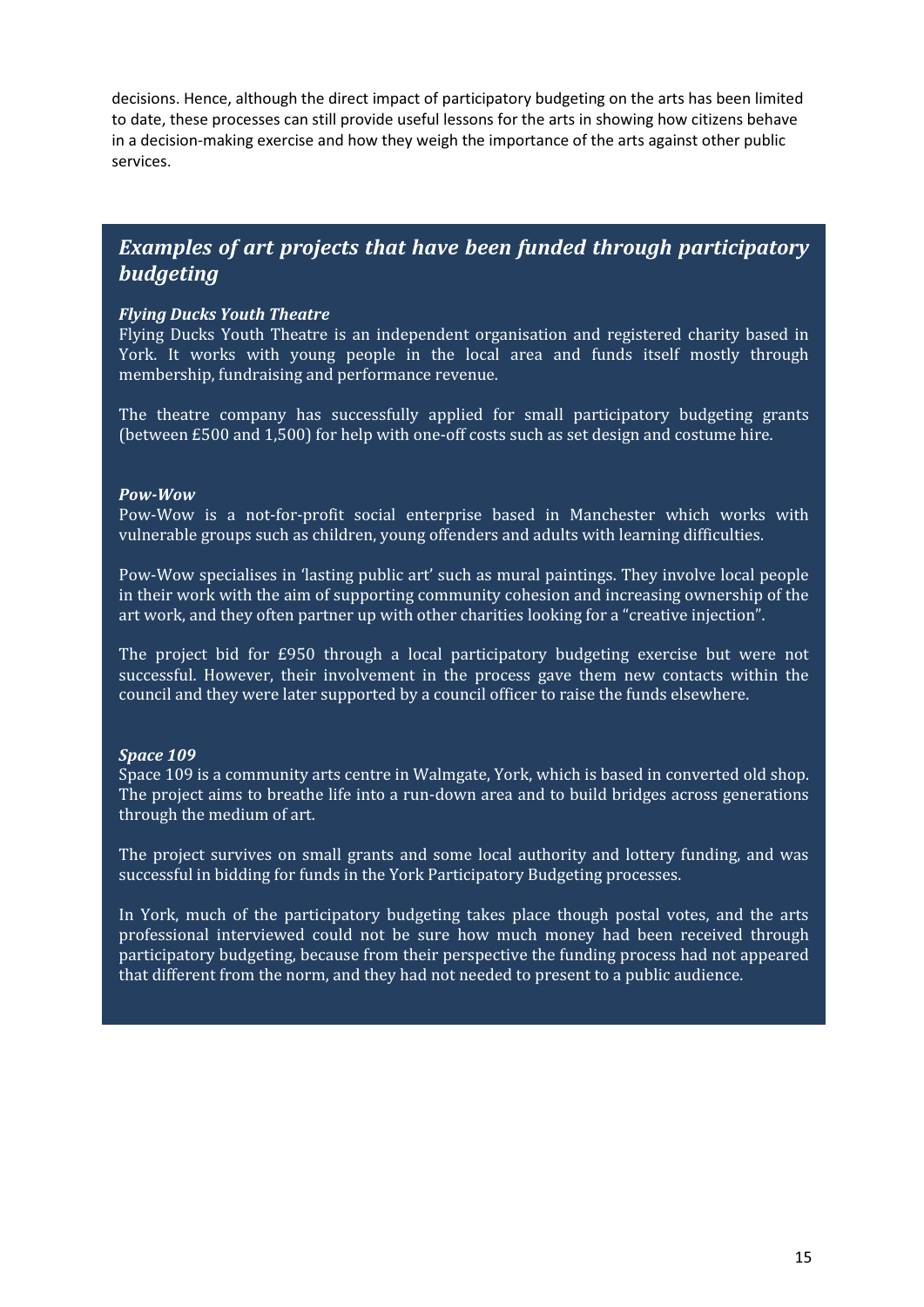decisions. Hence, although the direct impact of participatory budgeting on the arts has been limited to date, these processes can still provide useful lessons for the arts in showing how citizens behave in a decision-making exercise and how they weigh the importance of the arts against other public services.

# *Examples of art projects that have been funded through participatory budgeting*

#### *Flying Ducks Youth Theatre*

Flying Ducks Youth Theatre is an independent organisation and registered charity based in York. It works with young people in the local area and funds itself mostly through membership, fundraising and performance revenue.

The theatre company has successfully applied for small participatory budgeting grants (between £500 and 1,500) for help with one-off costs such as set design and costume hire.

#### *Pow-Wow*

Pow-Wow is a not-for-profit social enterprise based in Manchester which works with vulnerable groups such as children, young offenders and adults with learning difficulties.

Pow-Wow specialises in 'lasting public art' such as mural paintings. They involve local people in their work with the aim of supporting community cohesion and increasing ownership of the art work, and they often partner up with other charities looking for a "creative injection".

The project bid for £950 through a local participatory budgeting exercise but were not successful. However, their involvement in the process gave them new contacts within the council and they were later supported by a council officer to raise the funds elsewhere.

#### *Space 109*

Space 109 is a community arts centre in Walmgate, York, which is based in converted old shop. The project aims to breathe life into a run-down area and to build bridges across generations through the medium of art.

The project survives on small grants and some local authority and lottery funding, and was successful in bidding for funds in the York Participatory Budgeting processes.

In York, much of the participatory budgeting takes place though postal votes, and the arts professional interviewed could not be sure how much money had been received through participatory budgeting, because from their perspective the funding process had not appeared that different from the norm, and they had not needed to present to a public audience.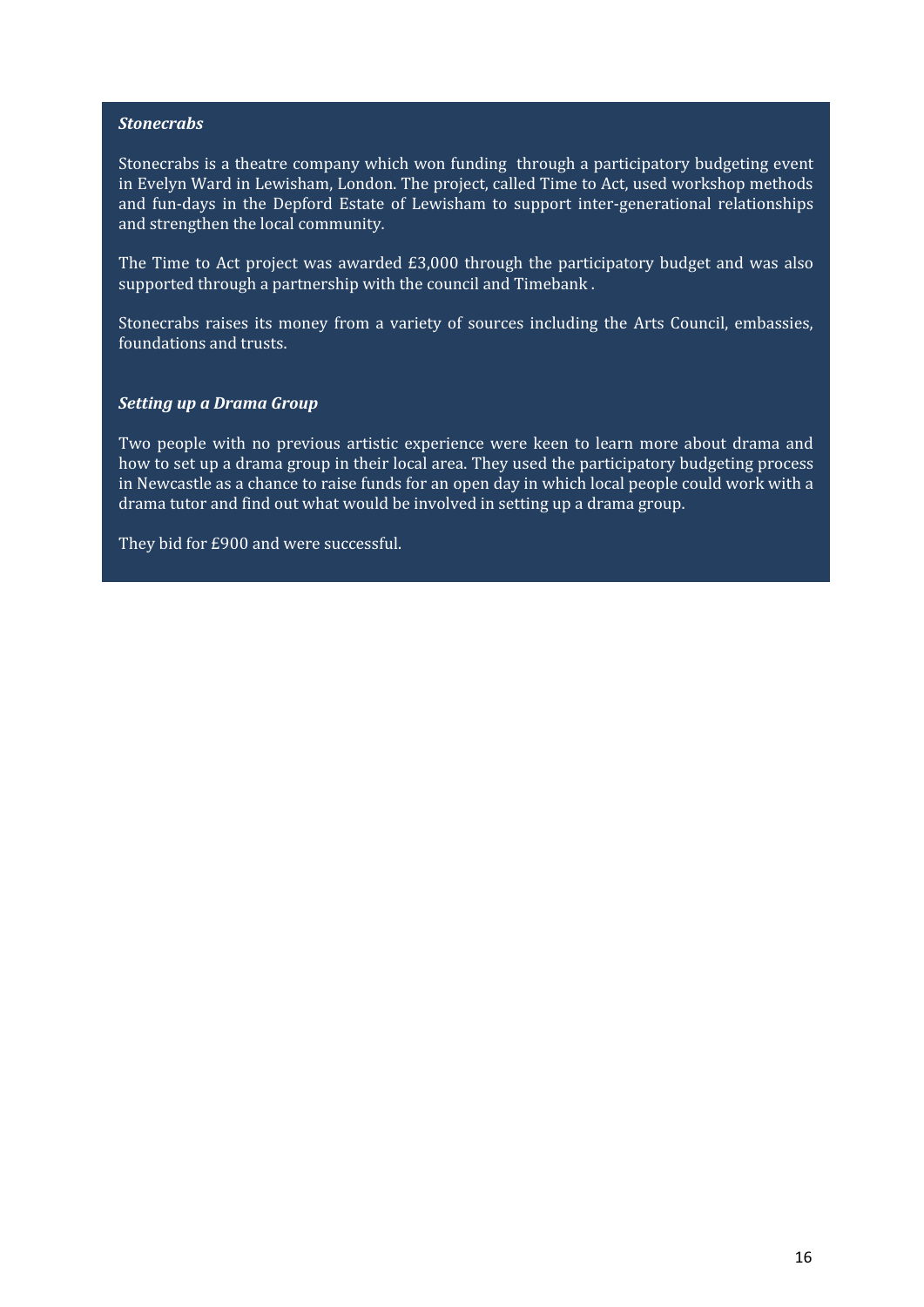#### *Stonecrabs*

Stonecrabs is a theatre company which won funding through a participatory budgeting event in Evelyn Ward in Lewisham, London. The project, called Time to Act, used workshop methods and fun-days in the Depford Estate of Lewisham to support inter-generational relationships and strengthen the local community.

The Time to Act project was awarded £3,000 through the participatory budget and was also supported through a partnership with the council and Timebank .

Stonecrabs raises its money from a variety of sources including the Arts Council, embassies, foundations and trusts.

#### *Setting up a Drama Group*

Two people with no previous artistic experience were keen to learn more about drama and how to set up a drama group in their local area. They used the participatory budgeting process in Newcastle as a chance to raise funds for an open day in which local people could work with a drama tutor and find out what would be involved in setting up a drama group.

They bid for £900 and were successful.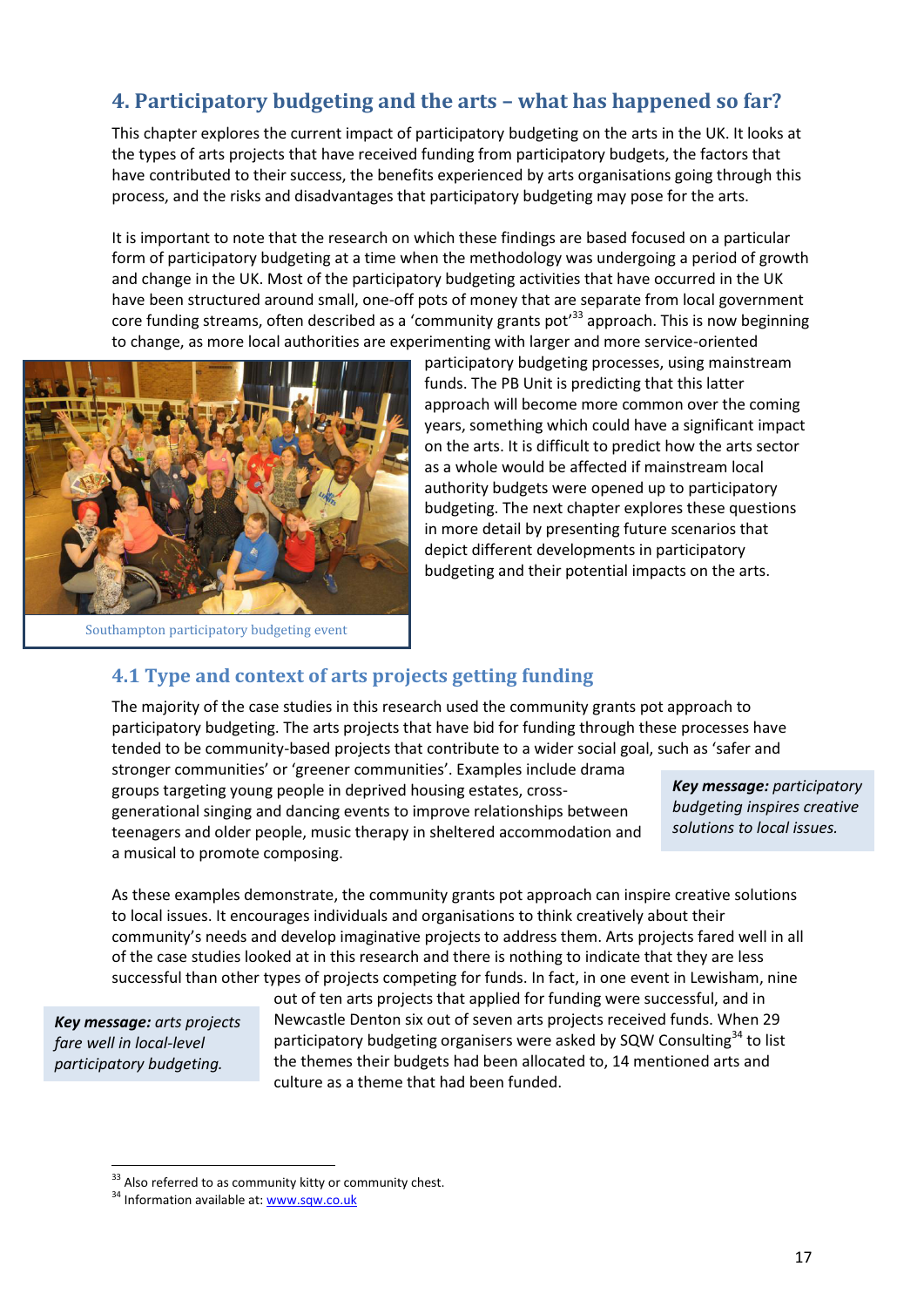# **4. Participatory budgeting and the arts – what has happened so far?**

This chapter explores the current impact of participatory budgeting on the arts in the UK. It looks at the types of arts projects that have received funding from participatory budgets, the factors that have contributed to their success, the benefits experienced by arts organisations going through this process, and the risks and disadvantages that participatory budgeting may pose for the arts.

It is important to note that the research on which these findings are based focused on a particular form of participatory budgeting at a time when the methodology was undergoing a period of growth and change in the UK. Most of the participatory budgeting activities that have occurred in the UK have been structured around small, one-off pots of money that are separate from local government core funding streams, often described as a 'community grants pot'<sup>33</sup> approach. This is now beginning to change, as more local authorities are experimenting with larger and more service-oriented



Southampton participatory budgeting event

participatory budgeting processes, using mainstream funds. The PB Unit is predicting that this latter approach will become more common over the coming years, something which could have a significant impact on the arts. It is difficult to predict how the arts sector as a whole would be affected if mainstream local authority budgets were opened up to participatory budgeting. The next chapter explores these questions in more detail by presenting future scenarios that depict different developments in participatory budgeting and their potential impacts on the arts.

# **4.1 Type and context of arts projects getting funding**

The majority of the case studies in this research used the community grants pot approach to participatory budgeting. The arts projects that have bid for funding through these processes have tended to be community-based projects that contribute to a wider social goal, such as 'safer and

stronger communities' or 'greener communities'. Examples include drama groups targeting young people in deprived housing estates, crossgenerational singing and dancing events to improve relationships between teenagers and older people, music therapy in sheltered accommodation and a musical to promote composing.

*Key message: participatory budgeting inspires creative solutions to local issues.*

As these examples demonstrate, the community grants pot approach can inspire creative solutions to local issues. It encourages individuals and organisations to think creatively about their community's needs and develop imaginative projects to address them. Arts projects fared well in all of the case studies looked at in this research and there is nothing to indicate that they are less successful than other types of projects competing for funds. In fact, in one event in Lewisham, nine

*Key message: arts projects fare well in local-level participatory budgeting.*

<u>.</u>

out of ten arts projects that applied for funding were successful, and in Newcastle Denton six out of seven arts projects received funds. When 29 participatory budgeting organisers were asked by SQW Consulting<sup>34</sup> to list the themes their budgets had been allocated to, 14 mentioned arts and culture as a theme that had been funded.

 $33$  Also referred to as community kitty or community chest.

<sup>&</sup>lt;sup>34</sup> Information available at: www.sqw.co.uk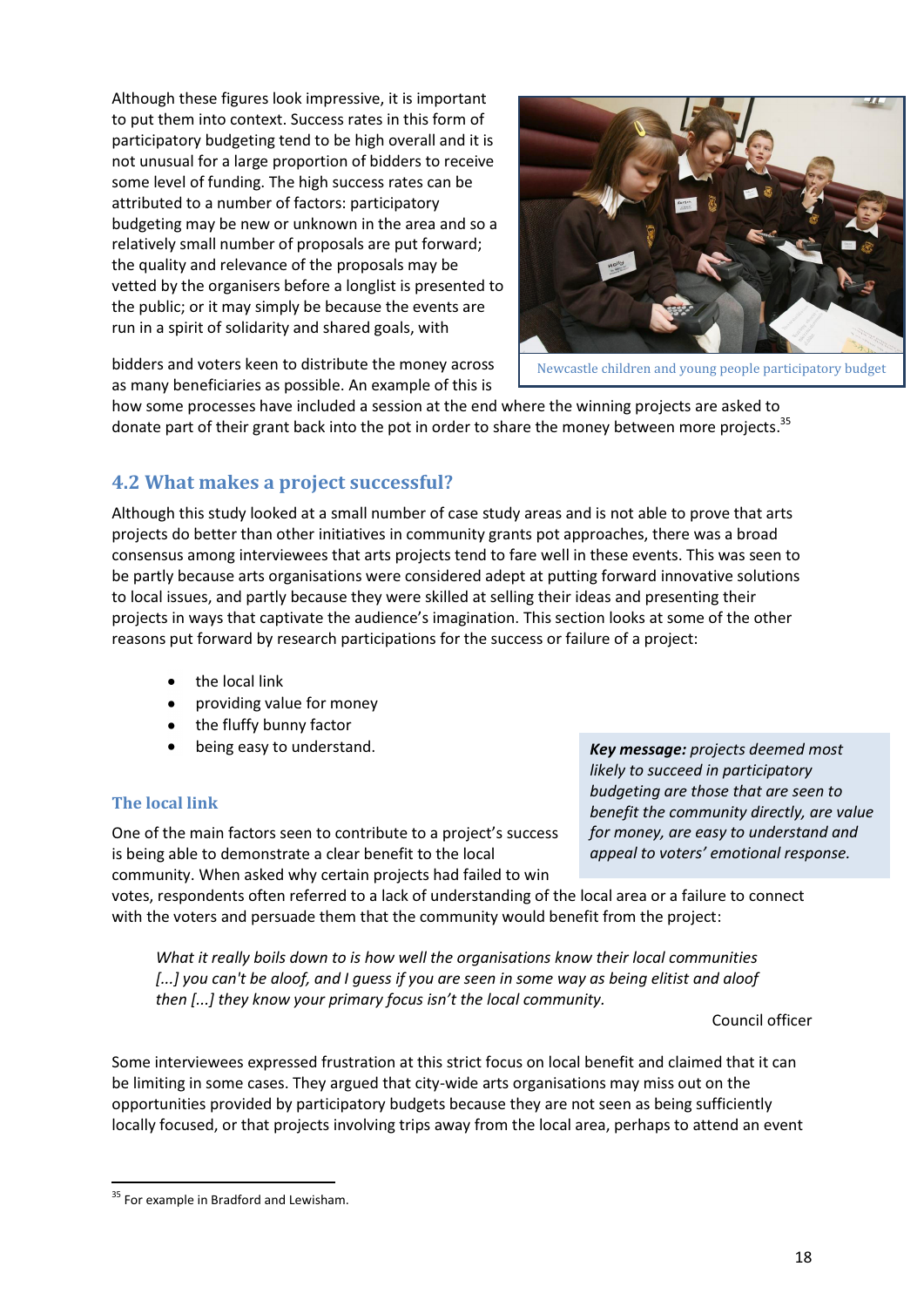Although these figures look impressive, it is important to put them into context. Success rates in this form of participatory budgeting tend to be high overall and it is not unusual for a large proportion of bidders to receive some level of funding. The high success rates can be attributed to a number of factors: participatory budgeting may be new or unknown in the area and so a relatively small number of proposals are put forward; the quality and relevance of the proposals may be vetted by the organisers before a longlist is presented to the public; or it may simply be because the events are run in a spirit of solidarity and shared goals, with



Newcastle children and young people participatory budget

bidders and voters keen to distribute the money across as many beneficiaries as possible. An example of this is

how some processes have included a session at the end where the winning projects are asked to donate part of their grant back into the pot in order to share the money between more projects.<sup>35</sup>

# **4.2 What makes a project successful?**

Although this study looked at a small number of case study areas and is not able to prove that arts projects do better than other initiatives in community grants pot approaches, there was a broad consensus among interviewees that arts projects tend to fare well in these events. This was seen to be partly because arts organisations were considered adept at putting forward innovative solutions to local issues, and partly because they were skilled at selling their ideas and presenting their projects in ways that captivate the audience's imagination. This section looks at some of the other reasons put forward by research participations for the success or failure of a project:

- the local link
- providing value for money
- the fluffy bunny factor
- being easy to understand.

# **The local link**

One of the main factors seen to contribute to a project's success is being able to demonstrate a clear benefit to the local community. When asked why certain projects had failed to win

*Key message: projects deemed most likely to succeed in participatory budgeting are those that are seen to benefit the community directly, are value for money, are easy to understand and appeal to voters' emotional response.*

votes, respondents often referred to a lack of understanding of the local area or a failure to connect with the voters and persuade them that the community would benefit from the project:

*What it really boils down to is how well the organisations know their local communities [...] you can't be aloof, and I guess if you are seen in some way as being elitist and aloof then [...] they know your primary focus isn't the local community.* 

Council officer

Some interviewees expressed frustration at this strict focus on local benefit and claimed that it can be limiting in some cases. They argued that city-wide arts organisations may miss out on the opportunities provided by participatory budgets because they are not seen as being sufficiently locally focused, or that projects involving trips away from the local area, perhaps to attend an event

<sup>&</sup>lt;sup>35</sup> For example in Bradford and Lewisham.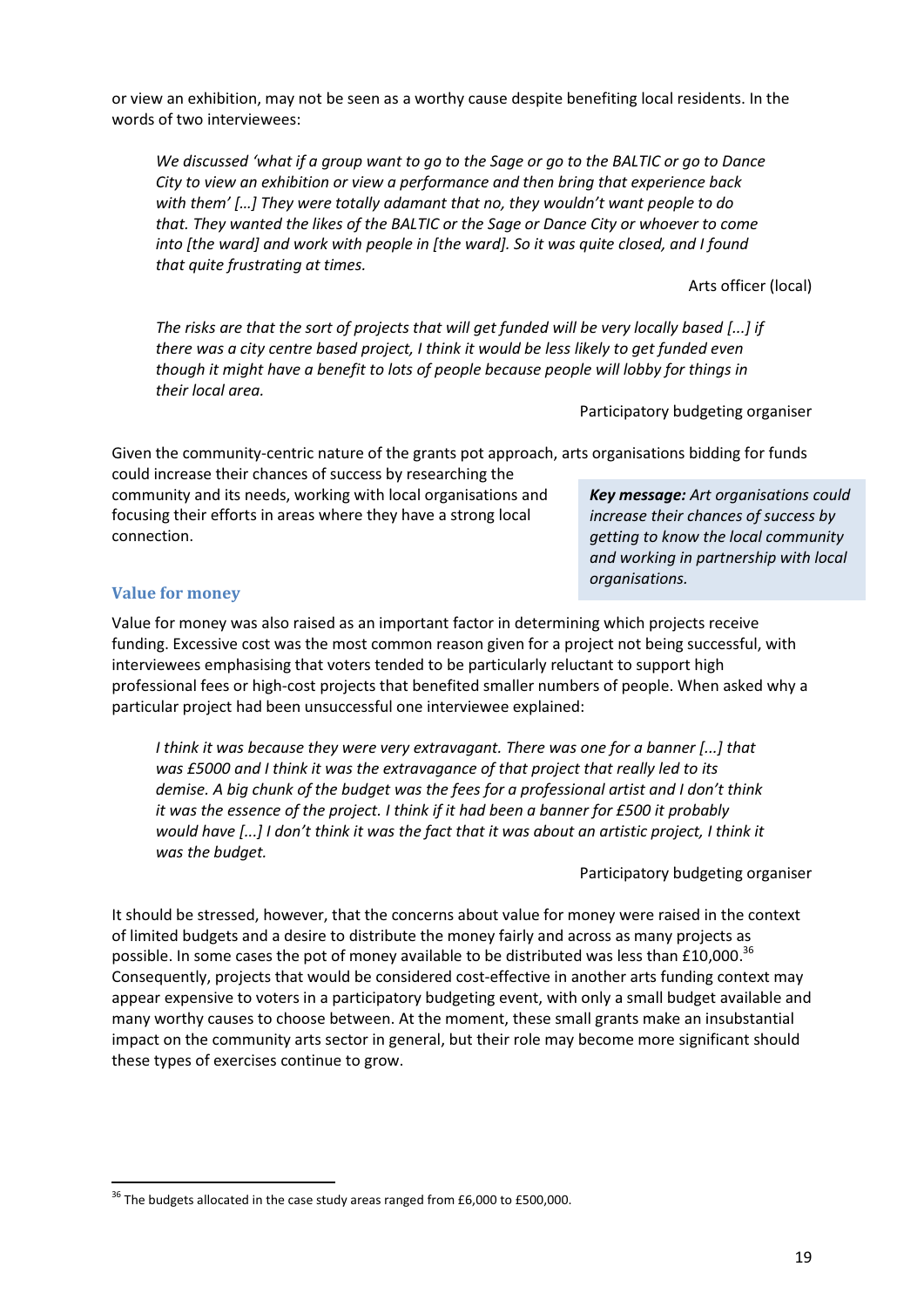or view an exhibition, may not be seen as a worthy cause despite benefiting local residents. In the words of two interviewees:

*We discussed 'what if a group want to go to the Sage or go to the BALTIC or go to Dance City to view an exhibition or view a performance and then bring that experience back with them' […] They were totally adamant that no, they wouldn't want people to do that. They wanted the likes of the BALTIC or the Sage or Dance City or whoever to come into [the ward] and work with people in [the ward]. So it was quite closed, and I found that quite frustrating at times.* 

Arts officer (local)

*The risks are that the sort of projects that will get funded will be very locally based [...] if there was a city centre based project, I think it would be less likely to get funded even though it might have a benefit to lots of people because people will lobby for things in their local area.* 

Participatory budgeting organiser

*organisations.*

*Key message: Art organisations could increase their chances of success by getting to know the local community and working in partnership with local* 

Given the community-centric nature of the grants pot approach, arts organisations bidding for funds

could increase their chances of success by researching the community and its needs, working with local organisations and focusing their efforts in areas where they have a strong local connection.

# **Value for money**

Value for money was also raised as an important factor in determining which projects receive funding. Excessive cost was the most common reason given for a project not being successful, with interviewees emphasising that voters tended to be particularly reluctant to support high professional fees or high-cost projects that benefited smaller numbers of people. When asked why a particular project had been unsuccessful one interviewee explained:

*I think it was because they were very extravagant. There was one for a banner [...] that was £5000 and I think it was the extravagance of that project that really led to its demise. A big chunk of the budget was the fees for a professional artist and I don't think it was the essence of the project. I think if it had been a banner for £500 it probably would have [...] I don't think it was the fact that it was about an artistic project, I think it was the budget.* 

Participatory budgeting organiser

It should be stressed, however, that the concerns about value for money were raised in the context of limited budgets and a desire to distribute the money fairly and across as many projects as possible. In some cases the pot of money available to be distributed was less than £10,000.<sup>36</sup> Consequently, projects that would be considered cost-effective in another arts funding context may appear expensive to voters in a participatory budgeting event, with only a small budget available and many worthy causes to choose between. At the moment, these small grants make an insubstantial impact on the community arts sector in general, but their role may become more significant should these types of exercises continue to grow.

 $36$  The budgets allocated in the case study areas ranged from £6,000 to £500,000.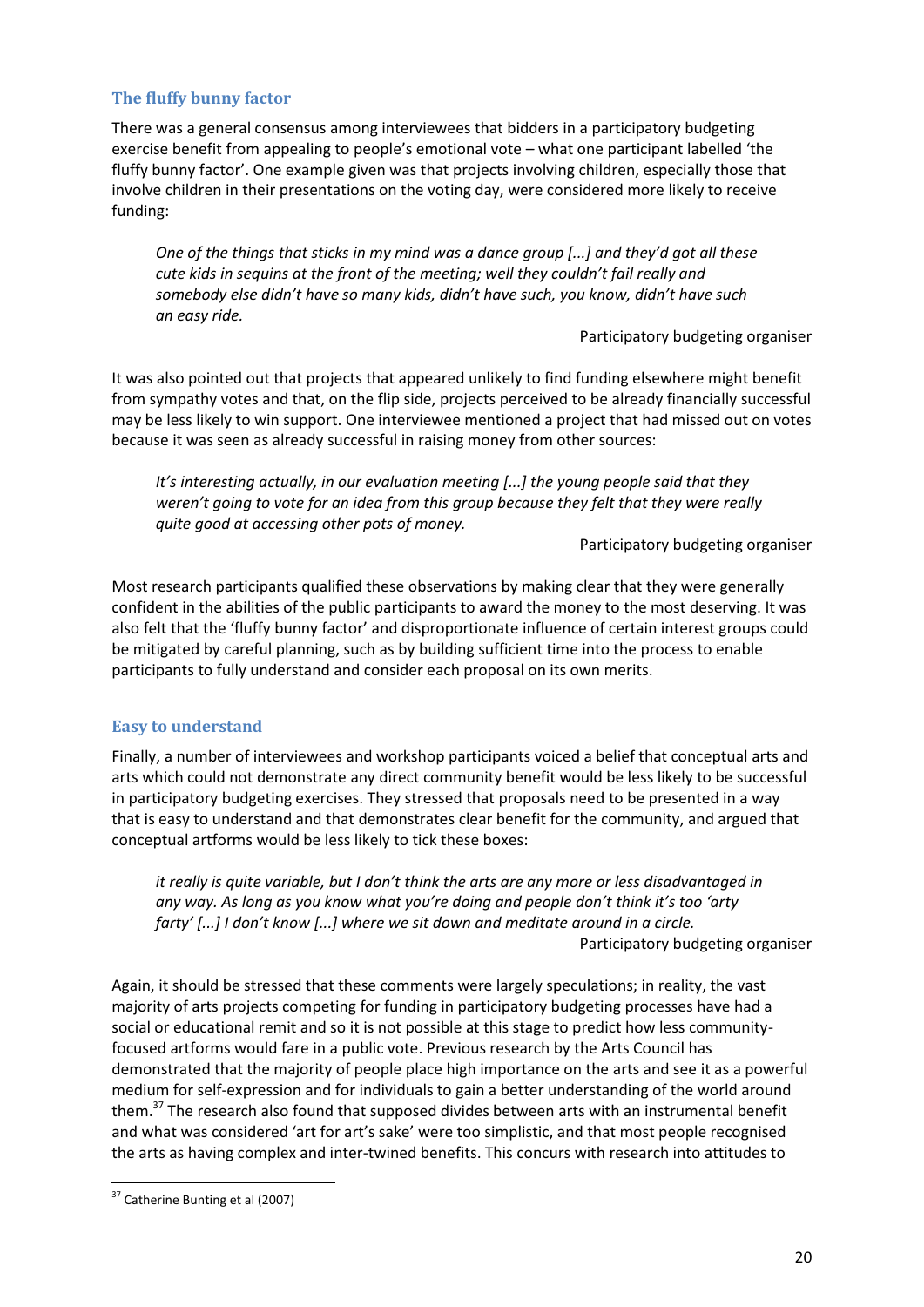# **The fluffy bunny factor**

There was a general consensus among interviewees that bidders in a participatory budgeting exercise benefit from appealing to people's emotional vote – what one participant labelled 'the fluffy bunny factor'. One example given was that projects involving children, especially those that involve children in their presentations on the voting day, were considered more likely to receive funding:

*One of the things that sticks in my mind was a dance group [...] and they'd got all these cute kids in sequins at the front of the meeting; well they couldn't fail really and somebody else didn't have so many kids, didn't have such, you know, didn't have such an easy ride.* 

Participatory budgeting organiser

It was also pointed out that projects that appeared unlikely to find funding elsewhere might benefit from sympathy votes and that, on the flip side, projects perceived to be already financially successful may be less likely to win support. One interviewee mentioned a project that had missed out on votes because it was seen as already successful in raising money from other sources:

*It's interesting actually, in our evaluation meeting [...] the young people said that they weren't going to vote for an idea from this group because they felt that they were really quite good at accessing other pots of money.* 

Participatory budgeting organiser

Most research participants qualified these observations by making clear that they were generally confident in the abilities of the public participants to award the money to the most deserving. It was also felt that the 'fluffy bunny factor' and disproportionate influence of certain interest groups could be mitigated by careful planning, such as by building sufficient time into the process to enable participants to fully understand and consider each proposal on its own merits.

# **Easy to understand**

Finally, a number of interviewees and workshop participants voiced a belief that conceptual arts and arts which could not demonstrate any direct community benefit would be less likely to be successful in participatory budgeting exercises. They stressed that proposals need to be presented in a way that is easy to understand and that demonstrates clear benefit for the community, and argued that conceptual artforms would be less likely to tick these boxes:

*it really is quite variable, but I don't think the arts are any more or less disadvantaged in any way. As long as you know what you're doing and people don't think it's too 'arty farty' [...] I don't know [...] where we sit down and meditate around in a circle.*  Participatory budgeting organiser

Again, it should be stressed that these comments were largely speculations; in reality, the vast majority of arts projects competing for funding in participatory budgeting processes have had a social or educational remit and so it is not possible at this stage to predict how less communityfocused artforms would fare in a public vote. Previous research by the Arts Council has demonstrated that the majority of people place high importance on the arts and see it as a powerful medium for self-expression and for individuals to gain a better understanding of the world around them.<sup>37</sup> The research also found that supposed divides between arts with an instrumental benefit and what was considered 'art for art's sake' were too simplistic, and that most people recognised the arts as having complex and inter-twined benefits. This concurs with research into attitudes to

<sup>&</sup>lt;sup>37</sup> Catherine Bunting et al (2007)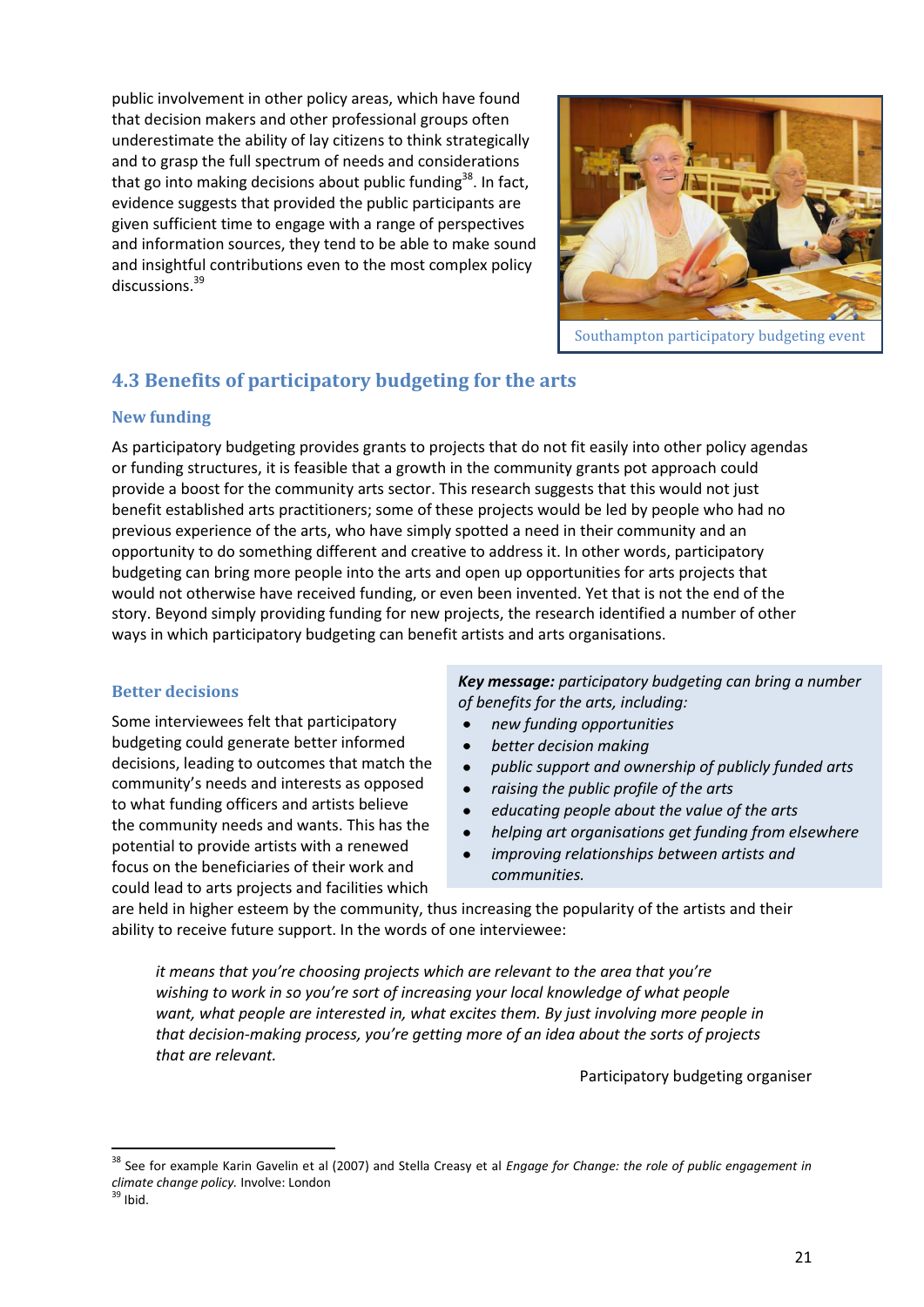public involvement in other policy areas, which have found that decision makers and other professional groups often underestimate the ability of lay citizens to think strategically and to grasp the full spectrum of needs and considerations that go into making decisions about public funding<sup>38</sup>. In fact, evidence suggests that provided the public participants are given sufficient time to engage with a range of perspectives and information sources, they tend to be able to make sound and insightful contributions even to the most complex policy discussions.<sup>39</sup>



Southampton participatory budgeting event

# **4.3 Benefits of participatory budgeting for the arts**

# **New funding**

As participatory budgeting provides grants to projects that do not fit easily into other policy agendas or funding structures, it is feasible that a growth in the community grants pot approach could provide a boost for the community arts sector. This research suggests that this would not just benefit established arts practitioners; some of these projects would be led by people who had no previous experience of the arts, who have simply spotted a need in their community and an opportunity to do something different and creative to address it. In other words, participatory budgeting can bring more people into the arts and open up opportunities for arts projects that would not otherwise have received funding, or even been invented. Yet that is not the end of the story. Beyond simply providing funding for new projects, the research identified a number of other ways in which participatory budgeting can benefit artists and arts organisations.

# **Better decisions**

Some interviewees felt that participatory budgeting could generate better informed decisions, leading to outcomes that match the community's needs and interests as opposed to what funding officers and artists believe the community needs and wants. This has the potential to provide artists with a renewed focus on the beneficiaries of their work and could lead to arts projects and facilities which

*Key message: participatory budgeting can bring a number of benefits for the arts, including:* 

- $\bullet$ *new funding opportunities*
- *better decision making*
- *public support and ownership of publicly funded arts*
- *raising the public profile of the arts*
- *educating people about the value of the arts*
- *helping art organisations get funding from elsewhere*
- *improving relationships between artists and communities.*

are held in higher esteem by the community, thus increasing the popularity of the artists and their ability to receive future support. In the words of one interviewee:

*it means that you're choosing projects which are relevant to the area that you're wishing to work in so you're sort of increasing your local knowledge of what people want, what people are interested in, what excites them. By just involving more people in that decision-making process, you're getting more of an idea about the sorts of projects that are relevant.* 

Participatory budgeting organiser

.<br>-

<sup>38</sup> See for example Karin Gavelin et al (2007) and Stella Creasy et al *Engage for Change: the role of public engagement in climate change policy.* Involve: London

 $39$  Ibid.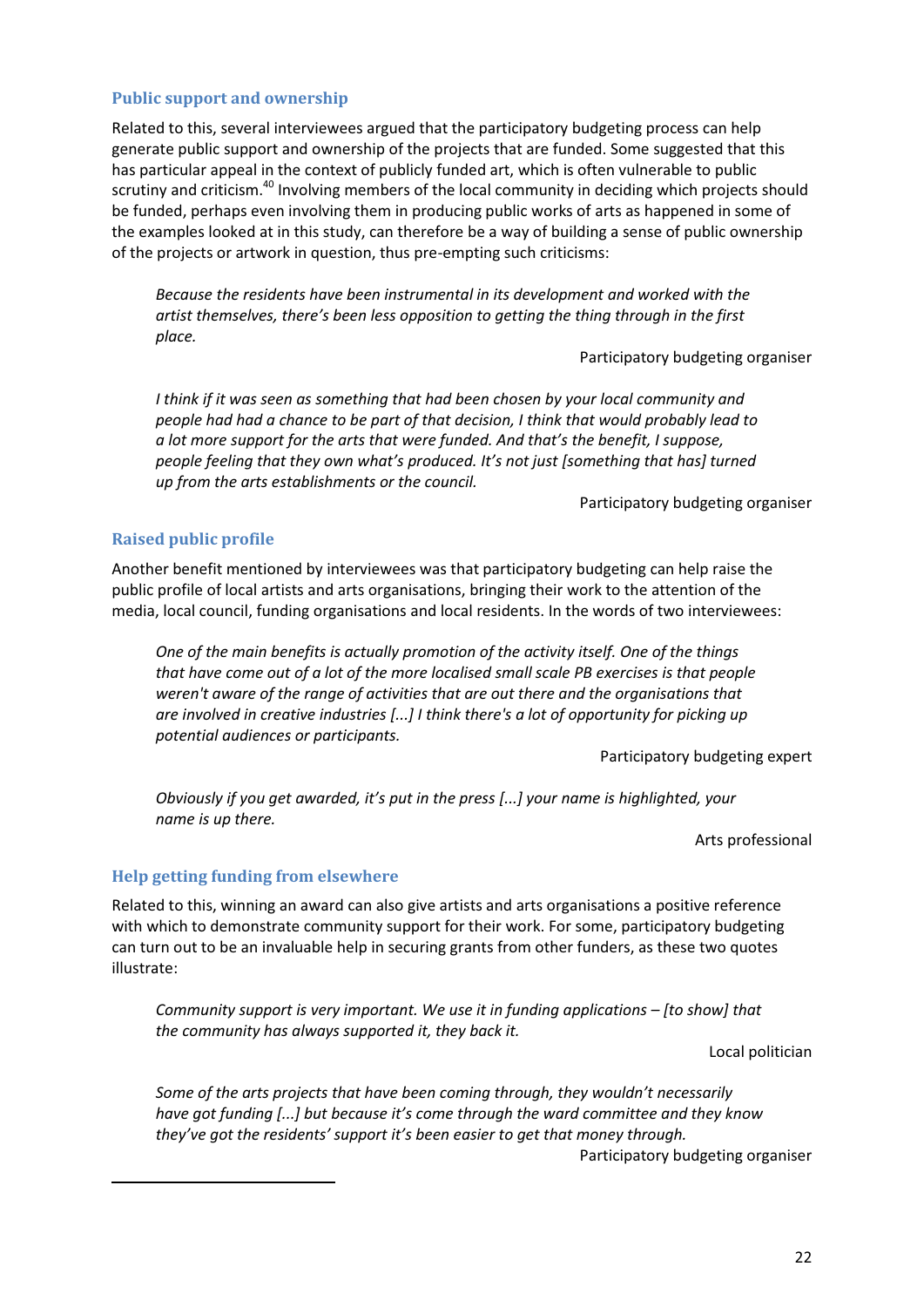#### **Public support and ownership**

Related to this, several interviewees argued that the participatory budgeting process can help generate public support and ownership of the projects that are funded. Some suggested that this has particular appeal in the context of publicly funded art, which is often vulnerable to public scrutiny and criticism.<sup>40</sup> Involving members of the local community in deciding which projects should be funded, perhaps even involving them in producing public works of arts as happened in some of the examples looked at in this study, can therefore be a way of building a sense of public ownership of the projects or artwork in question, thus pre-empting such criticisms:

*Because the residents have been instrumental in its development and worked with the artist themselves, there's been less opposition to getting the thing through in the first place.* 

Participatory budgeting organiser

*I think if it was seen as something that had been chosen by your local community and people had had a chance to be part of that decision, I think that would probably lead to a lot more support for the arts that were funded. And that's the benefit, I suppose, people feeling that they own what's produced. It's not just [something that has] turned up from the arts establishments or the council.* 

Participatory budgeting organiser

#### **Raised public profile**

Another benefit mentioned by interviewees was that participatory budgeting can help raise the public profile of local artists and arts organisations, bringing their work to the attention of the media, local council, funding organisations and local residents. In the words of two interviewees:

*One of the main benefits is actually promotion of the activity itself. One of the things that have come out of a lot of the more localised small scale PB exercises is that people weren't aware of the range of activities that are out there and the organisations that are involved in creative industries [...] I think there's a lot of opportunity for picking up potential audiences or participants.* 

Participatory budgeting expert

*Obviously if you get awarded, it's put in the press [...] your name is highlighted, your name is up there.* 

Arts professional

#### **Help getting funding from elsewhere**

-

Related to this, winning an award can also give artists and arts organisations a positive reference with which to demonstrate community support for their work. For some, participatory budgeting can turn out to be an invaluable help in securing grants from other funders, as these two quotes illustrate:

*Community support is very important. We use it in funding applications – [to show] that the community has always supported it, they back it.* 

Local politician

*Some of the arts projects that have been coming through, they wouldn't necessarily have got funding [...] but because it's come through the ward committee and they know they've got the residents' support it's been easier to get that money through.*

Participatory budgeting organiser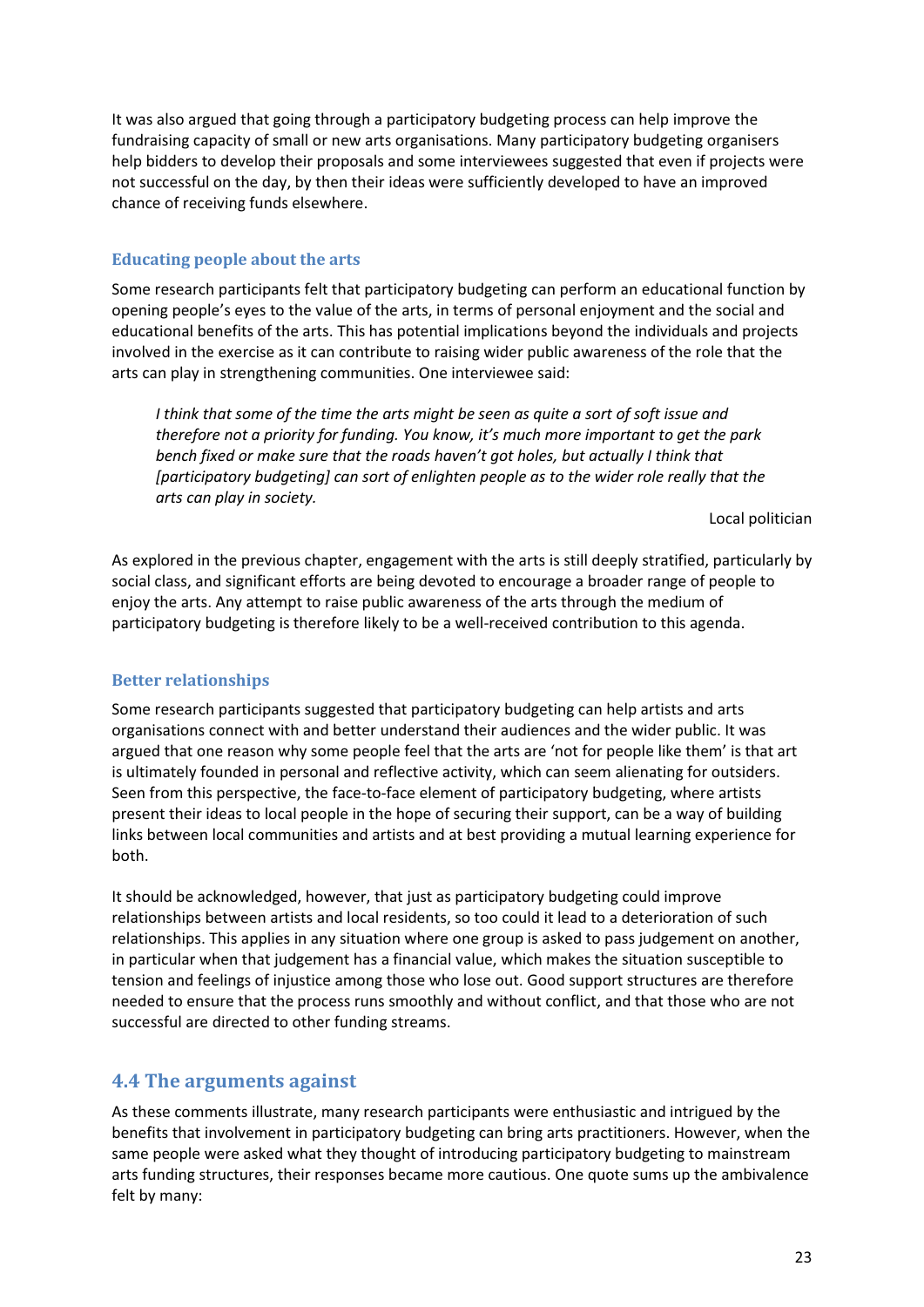It was also argued that going through a participatory budgeting process can help improve the fundraising capacity of small or new arts organisations. Many participatory budgeting organisers help bidders to develop their proposals and some interviewees suggested that even if projects were not successful on the day, by then their ideas were sufficiently developed to have an improved chance of receiving funds elsewhere.

# **Educating people about the arts**

Some research participants felt that participatory budgeting can perform an educational function by opening people's eyes to the value of the arts, in terms of personal enjoyment and the social and educational benefits of the arts. This has potential implications beyond the individuals and projects involved in the exercise as it can contribute to raising wider public awareness of the role that the arts can play in strengthening communities. One interviewee said:

*I think that some of the time the arts might be seen as quite a sort of soft issue and therefore not a priority for funding. You know, it's much more important to get the park bench fixed or make sure that the roads haven't got holes, but actually I think that [participatory budgeting] can sort of enlighten people as to the wider role really that the arts can play in society.* 

Local politician

As explored in the previous chapter, engagement with the arts is still deeply stratified, particularly by social class, and significant efforts are being devoted to encourage a broader range of people to enjoy the arts. Any attempt to raise public awareness of the arts through the medium of participatory budgeting is therefore likely to be a well-received contribution to this agenda.

# **Better relationships**

Some research participants suggested that participatory budgeting can help artists and arts organisations connect with and better understand their audiences and the wider public. It was argued that one reason why some people feel that the arts are 'not for people like them' is that art is ultimately founded in personal and reflective activity, which can seem alienating for outsiders. Seen from this perspective, the face-to-face element of participatory budgeting, where artists present their ideas to local people in the hope of securing their support, can be a way of building links between local communities and artists and at best providing a mutual learning experience for both.

It should be acknowledged, however, that just as participatory budgeting could improve relationships between artists and local residents, so too could it lead to a deterioration of such relationships. This applies in any situation where one group is asked to pass judgement on another, in particular when that judgement has a financial value, which makes the situation susceptible to tension and feelings of injustice among those who lose out. Good support structures are therefore needed to ensure that the process runs smoothly and without conflict, and that those who are not successful are directed to other funding streams.

# **4.4 The arguments against**

As these comments illustrate, many research participants were enthusiastic and intrigued by the benefits that involvement in participatory budgeting can bring arts practitioners. However, when the same people were asked what they thought of introducing participatory budgeting to mainstream arts funding structures, their responses became more cautious. One quote sums up the ambivalence felt by many: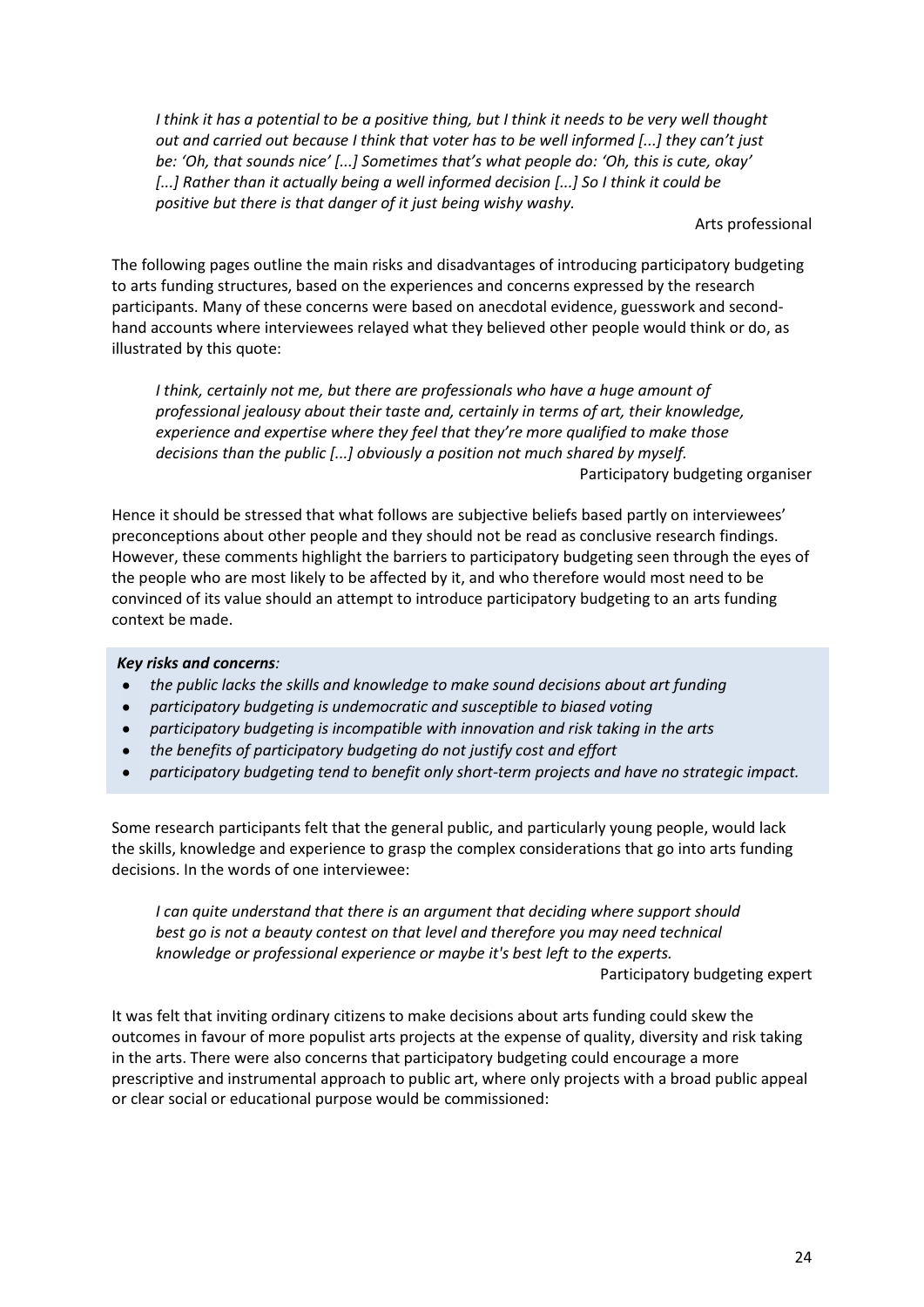*I think it has a potential to be a positive thing, but I think it needs to be very well thought out and carried out because I think that voter has to be well informed [...] they can't just be: 'Oh, that sounds nice' [...] Sometimes that's what people do: 'Oh, this is cute, okay' [...] Rather than it actually being a well informed decision [...] So I think it could be positive but there is that danger of it just being wishy washy.* 

Arts professional

The following pages outline the main risks and disadvantages of introducing participatory budgeting to arts funding structures, based on the experiences and concerns expressed by the research participants. Many of these concerns were based on anecdotal evidence, guesswork and secondhand accounts where interviewees relayed what they believed other people would think or do, as illustrated by this quote:

*I think, certainly not me, but there are professionals who have a huge amount of professional jealousy about their taste and, certainly in terms of art, their knowledge, experience and expertise where they feel that they're more qualified to make those decisions than the public [...] obviously a position not much shared by myself.*  Participatory budgeting organiser

Hence it should be stressed that what follows are subjective beliefs based partly on interviewees' preconceptions about other people and they should not be read as conclusive research findings. However, these comments highlight the barriers to participatory budgeting seen through the eyes of the people who are most likely to be affected by it, and who therefore would most need to be convinced of its value should an attempt to introduce participatory budgeting to an arts funding context be made.

# *Key risks and concerns:*

- *the public lacks the skills and knowledge to make sound decisions about art funding*   $\bullet$
- $\bullet$ *participatory budgeting is undemocratic and susceptible to biased voting*
- *participatory budgeting is incompatible with innovation and risk taking in the arts*
- *the benefits of participatory budgeting do not justify cost and effort*
- *participatory budgeting tend to benefit only short-term projects and have no strategic impact.*

Some research participants felt that the general public, and particularly young people, would lack the skills, knowledge and experience to grasp the complex considerations that go into arts funding decisions. In the words of one interviewee:

*I can quite understand that there is an argument that deciding where support should best go is not a beauty contest on that level and therefore you may need technical knowledge or professional experience or maybe it's best left to the experts.* 

Participatory budgeting expert

It was felt that inviting ordinary citizens to make decisions about arts funding could skew the outcomes in favour of more populist arts projects at the expense of quality, diversity and risk taking in the arts. There were also concerns that participatory budgeting could encourage a more prescriptive and instrumental approach to public art, where only projects with a broad public appeal or clear social or educational purpose would be commissioned: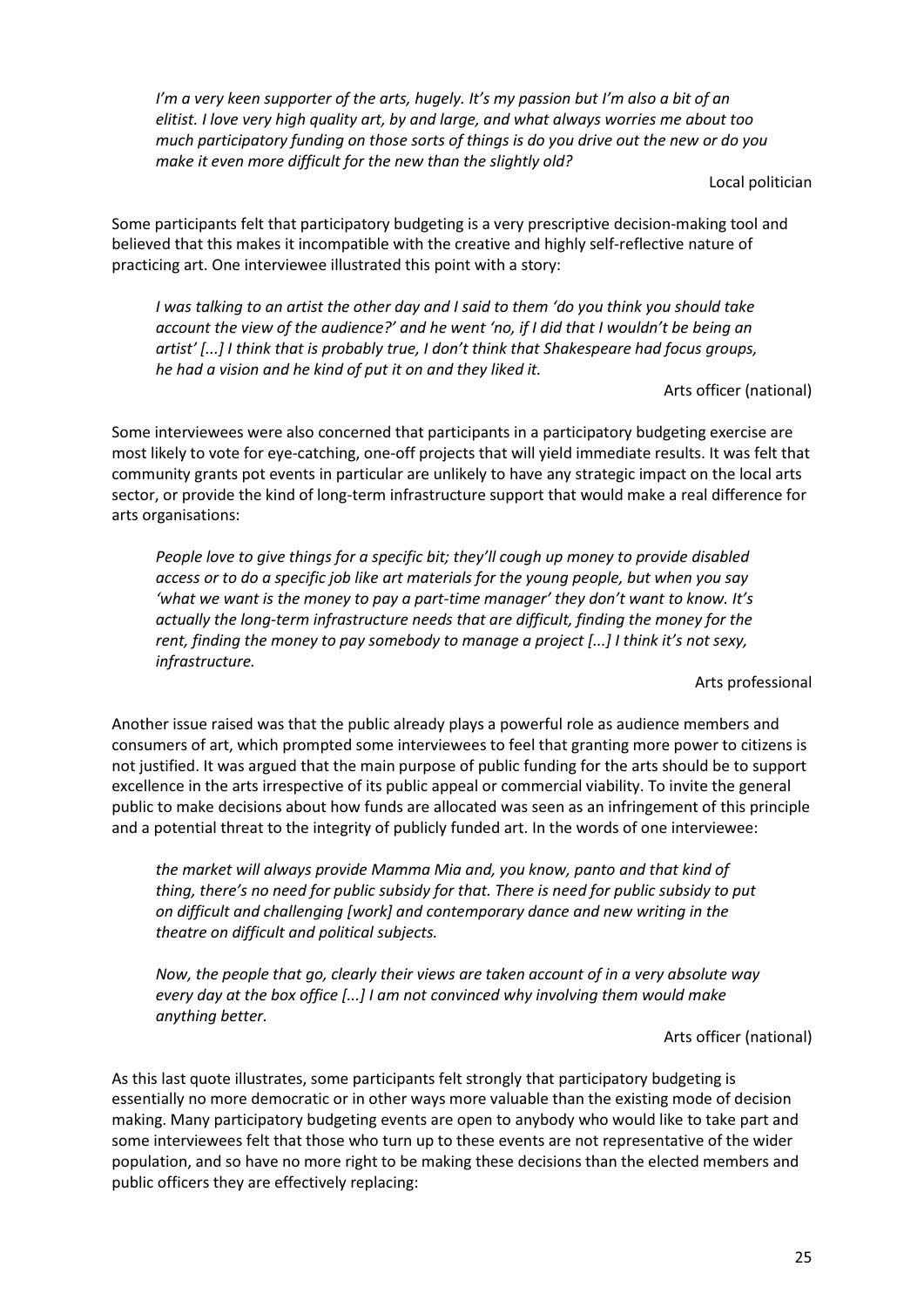*I'm a very keen supporter of the arts, hugely. It's my passion but I'm also a bit of an elitist. I love very high quality art, by and large, and what always worries me about too much participatory funding on those sorts of things is do you drive out the new or do you make it even more difficult for the new than the slightly old?* 

Local politician

Some participants felt that participatory budgeting is a very prescriptive decision-making tool and believed that this makes it incompatible with the creative and highly self-reflective nature of practicing art. One interviewee illustrated this point with a story:

*I was talking to an artist the other day and I said to them 'do you think you should take account the view of the audience?' and he went 'no, if I did that I wouldn't be being an artist' [...] I think that is probably true, I don't think that Shakespeare had focus groups, he had a vision and he kind of put it on and they liked it.* 

Arts officer (national)

Some interviewees were also concerned that participants in a participatory budgeting exercise are most likely to vote for eye-catching, one-off projects that will yield immediate results. It was felt that community grants pot events in particular are unlikely to have any strategic impact on the local arts sector, or provide the kind of long-term infrastructure support that would make a real difference for arts organisations:

*People love to give things for a specific bit; they'll cough up money to provide disabled access or to do a specific job like art materials for the young people, but when you say 'what we want is the money to pay a part-time manager' they don't want to know. It's actually the long-term infrastructure needs that are difficult, finding the money for the rent, finding the money to pay somebody to manage a project [...] I think it's not sexy, infrastructure.* 

Arts professional

Another issue raised was that the public already plays a powerful role as audience members and consumers of art, which prompted some interviewees to feel that granting more power to citizens is not justified. It was argued that the main purpose of public funding for the arts should be to support excellence in the arts irrespective of its public appeal or commercial viability. To invite the general public to make decisions about how funds are allocated was seen as an infringement of this principle and a potential threat to the integrity of publicly funded art. In the words of one interviewee:

*the market will always provide Mamma Mia and, you know, panto and that kind of thing, there's no need for public subsidy for that. There is need for public subsidy to put on difficult and challenging [work] and contemporary dance and new writing in the theatre on difficult and political subjects.* 

*Now, the people that go, clearly their views are taken account of in a very absolute way every day at the box office [...] I am not convinced why involving them would make anything better.* 

Arts officer (national)

As this last quote illustrates, some participants felt strongly that participatory budgeting is essentially no more democratic or in other ways more valuable than the existing mode of decision making. Many participatory budgeting events are open to anybody who would like to take part and some interviewees felt that those who turn up to these events are not representative of the wider population, and so have no more right to be making these decisions than the elected members and public officers they are effectively replacing: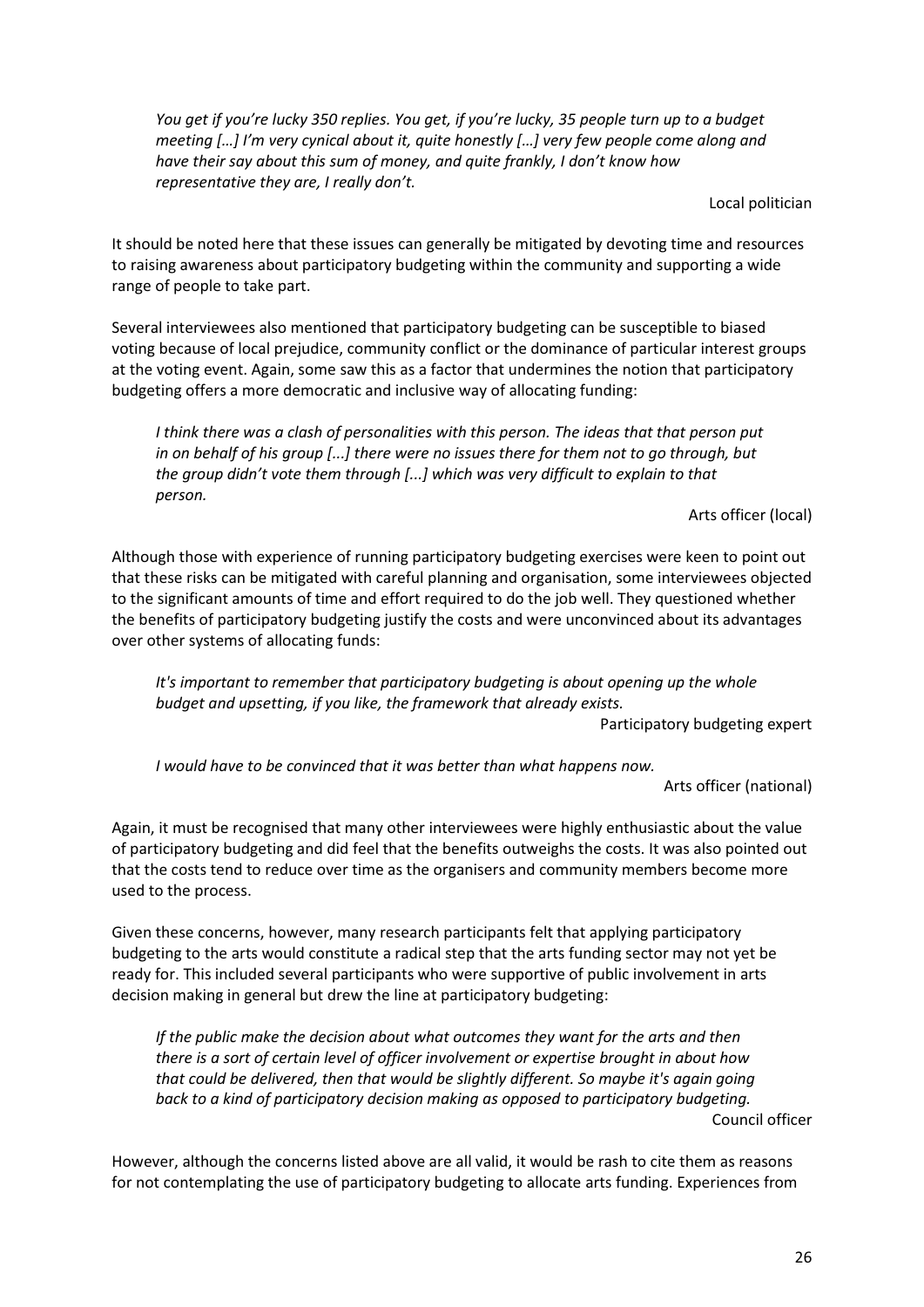*You get if you're lucky 350 replies. You get, if you're lucky, 35 people turn up to a budget meeting […] I'm very cynical about it, quite honestly […] very few people come along and have their say about this sum of money, and quite frankly, I don't know how representative they are, I really don't.*

Local politician

It should be noted here that these issues can generally be mitigated by devoting time and resources to raising awareness about participatory budgeting within the community and supporting a wide range of people to take part.

Several interviewees also mentioned that participatory budgeting can be susceptible to biased voting because of local prejudice, community conflict or the dominance of particular interest groups at the voting event. Again, some saw this as a factor that undermines the notion that participatory budgeting offers a more democratic and inclusive way of allocating funding:

*I think there was a clash of personalities with this person. The ideas that that person put in on behalf of his group [...] there were no issues there for them not to go through, but the group didn't vote them through [...] which was very difficult to explain to that person.* 

Arts officer (local)

Although those with experience of running participatory budgeting exercises were keen to point out that these risks can be mitigated with careful planning and organisation, some interviewees objected to the significant amounts of time and effort required to do the job well. They questioned whether the benefits of participatory budgeting justify the costs and were unconvinced about its advantages over other systems of allocating funds:

*It's important to remember that participatory budgeting is about opening up the whole budget and upsetting, if you like, the framework that already exists.* 

Participatory budgeting expert

*I would have to be convinced that it was better than what happens now.* 

Arts officer (national)

Again, it must be recognised that many other interviewees were highly enthusiastic about the value of participatory budgeting and did feel that the benefits outweighs the costs. It was also pointed out that the costs tend to reduce over time as the organisers and community members become more used to the process.

Given these concerns, however, many research participants felt that applying participatory budgeting to the arts would constitute a radical step that the arts funding sector may not yet be ready for. This included several participants who were supportive of public involvement in arts decision making in general but drew the line at participatory budgeting:

*If the public make the decision about what outcomes they want for the arts and then there is a sort of certain level of officer involvement or expertise brought in about how that could be delivered, then that would be slightly different. So maybe it's again going back to a kind of participatory decision making as opposed to participatory budgeting.*  Council officer

However, although the concerns listed above are all valid, it would be rash to cite them as reasons for not contemplating the use of participatory budgeting to allocate arts funding. Experiences from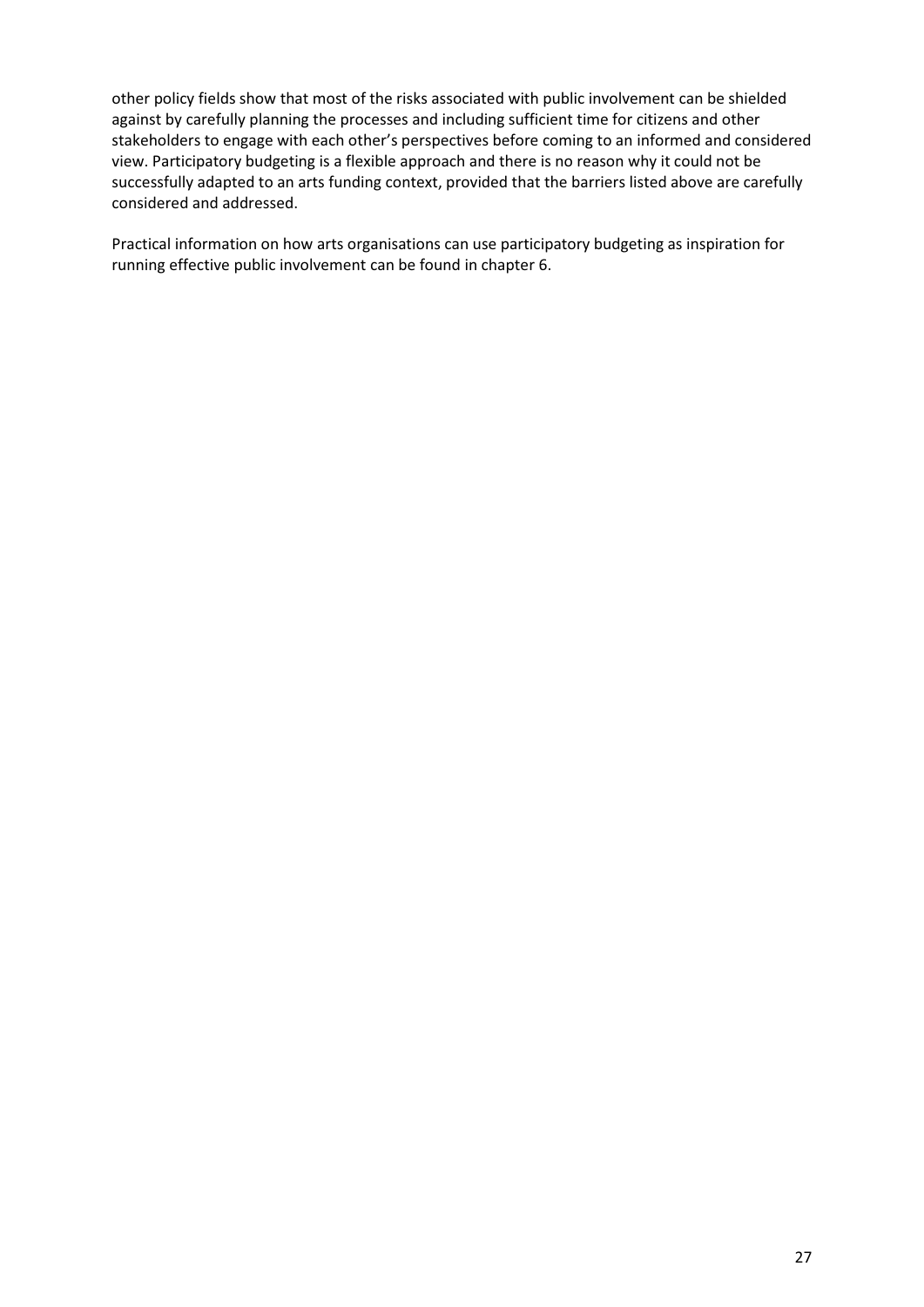other policy fields show that most of the risks associated with public involvement can be shielded against by carefully planning the processes and including sufficient time for citizens and other stakeholders to engage with each other's perspectives before coming to an informed and considered view. Participatory budgeting is a flexible approach and there is no reason why it could not be successfully adapted to an arts funding context, provided that the barriers listed above are carefully considered and addressed.

Practical information on how arts organisations can use participatory budgeting as inspiration for running effective public involvement can be found in chapter 6.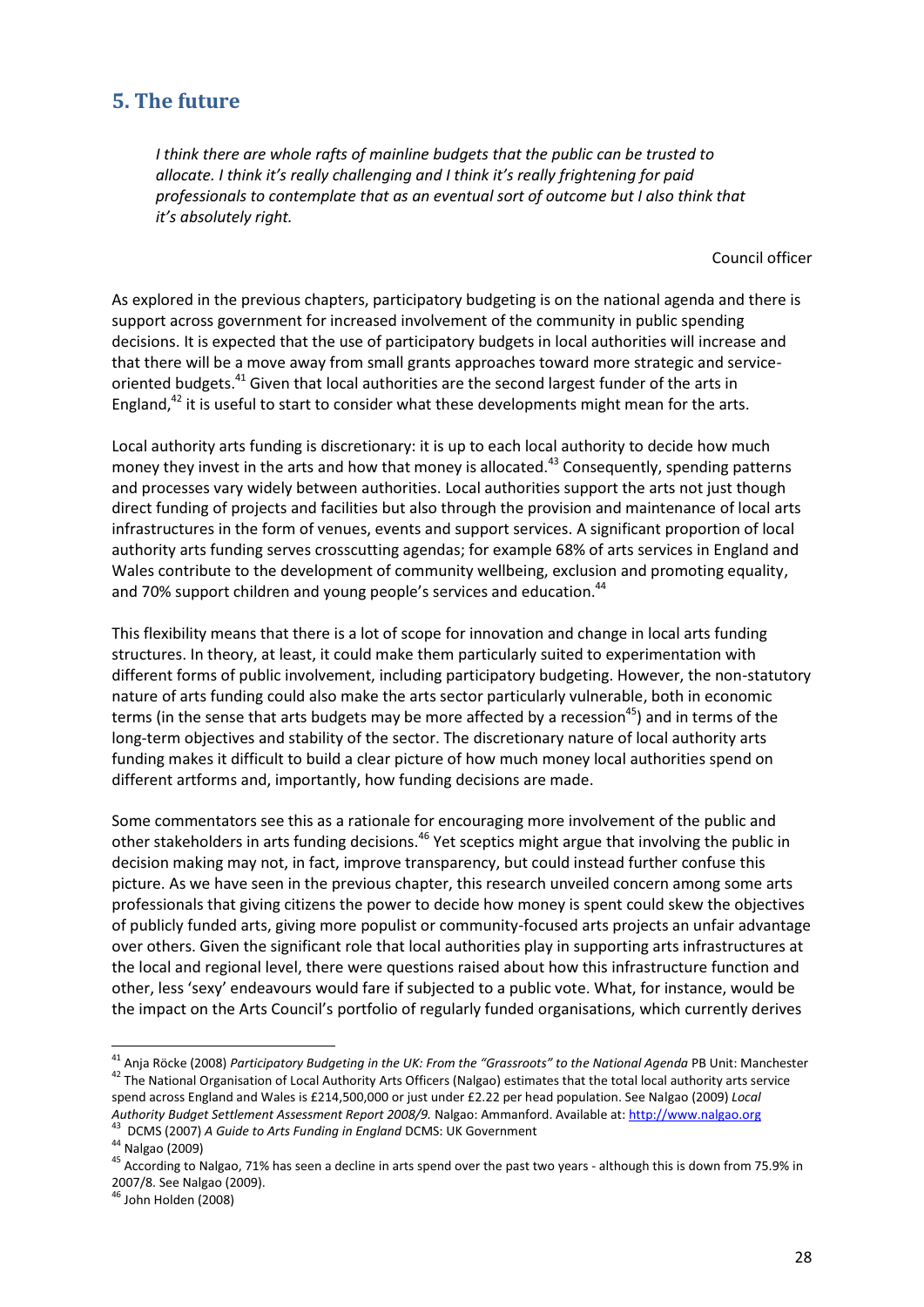# **5. The future**

*I think there are whole rafts of mainline budgets that the public can be trusted to allocate. I think it's really challenging and I think it's really frightening for paid professionals to contemplate that as an eventual sort of outcome but I also think that it's absolutely right.*

Council officer

As explored in the previous chapters, participatory budgeting is on the national agenda and there is support across government for increased involvement of the community in public spending decisions. It is expected that the use of participatory budgets in local authorities will increase and that there will be a move away from small grants approaches toward more strategic and serviceoriented budgets.<sup>41</sup> Given that local authorities are the second largest funder of the arts in England, $42$  it is useful to start to consider what these developments might mean for the arts.

Local authority arts funding is discretionary: it is up to each local authority to decide how much money they invest in the arts and how that money is allocated.<sup>43</sup> Consequently, spending patterns and processes vary widely between authorities. Local authorities support the arts not just though direct funding of projects and facilities but also through the provision and maintenance of local arts infrastructures in the form of venues, events and support services. A significant proportion of local authority arts funding serves crosscutting agendas; for example 68% of arts services in England and Wales contribute to the development of community wellbeing, exclusion and promoting equality, and 70% support children and young people's services and education.<sup>44</sup>

This flexibility means that there is a lot of scope for innovation and change in local arts funding structures. In theory, at least, it could make them particularly suited to experimentation with different forms of public involvement, including participatory budgeting. However, the non-statutory nature of arts funding could also make the arts sector particularly vulnerable, both in economic terms (in the sense that arts budgets may be more affected by a recession<sup>45</sup>) and in terms of the long-term objectives and stability of the sector. The discretionary nature of local authority arts funding makes it difficult to build a clear picture of how much money local authorities spend on different artforms and, importantly, how funding decisions are made.

Some commentators see this as a rationale for encouraging more involvement of the public and other stakeholders in arts funding decisions.<sup>46</sup> Yet sceptics might argue that involving the public in decision making may not, in fact, improve transparency, but could instead further confuse this picture. As we have seen in the previous chapter, this research unveiled concern among some arts professionals that giving citizens the power to decide how money is spent could skew the objectives of publicly funded arts, giving more populist or community-focused arts projects an unfair advantage over others. Given the significant role that local authorities play in supporting arts infrastructures at the local and regional level, there were questions raised about how this infrastructure function and other, less 'sexy' endeavours would fare if subjected to a public vote. What, for instance, would be the impact on the Arts Council's portfolio of regularly funded organisations, which currently derives

<u>.</u>

<sup>41</sup> Anja Röcke (2008) *Participatory Budgeting in the UK: From the "Grassroots" to the National Agenda* PB Unit: Manchester <sup>42</sup> The National Organisation of Local Authority Arts Officers (Nalgao) estimates that the total local authority arts service

spend across England and Wales is £214,500,000 or just under £2.22 per head population. See Nalgao (2009) *Local Authority Budget Settlement Assessment Report 2008/9.* Nalgao: Ammanford. Available at: http://www.nalgao.org

<sup>43</sup> DCMS (2007) *A Guide to Arts Funding in England* DCMS: UK Government

<sup>44</sup> Nalgao (2009)

<sup>&</sup>lt;sup>45</sup> According to Nalgao, 71% has seen a decline in arts spend over the past two years - although this is down from 75.9% in 2007/8. See Nalgao (2009).

<sup>46</sup> John Holden (2008)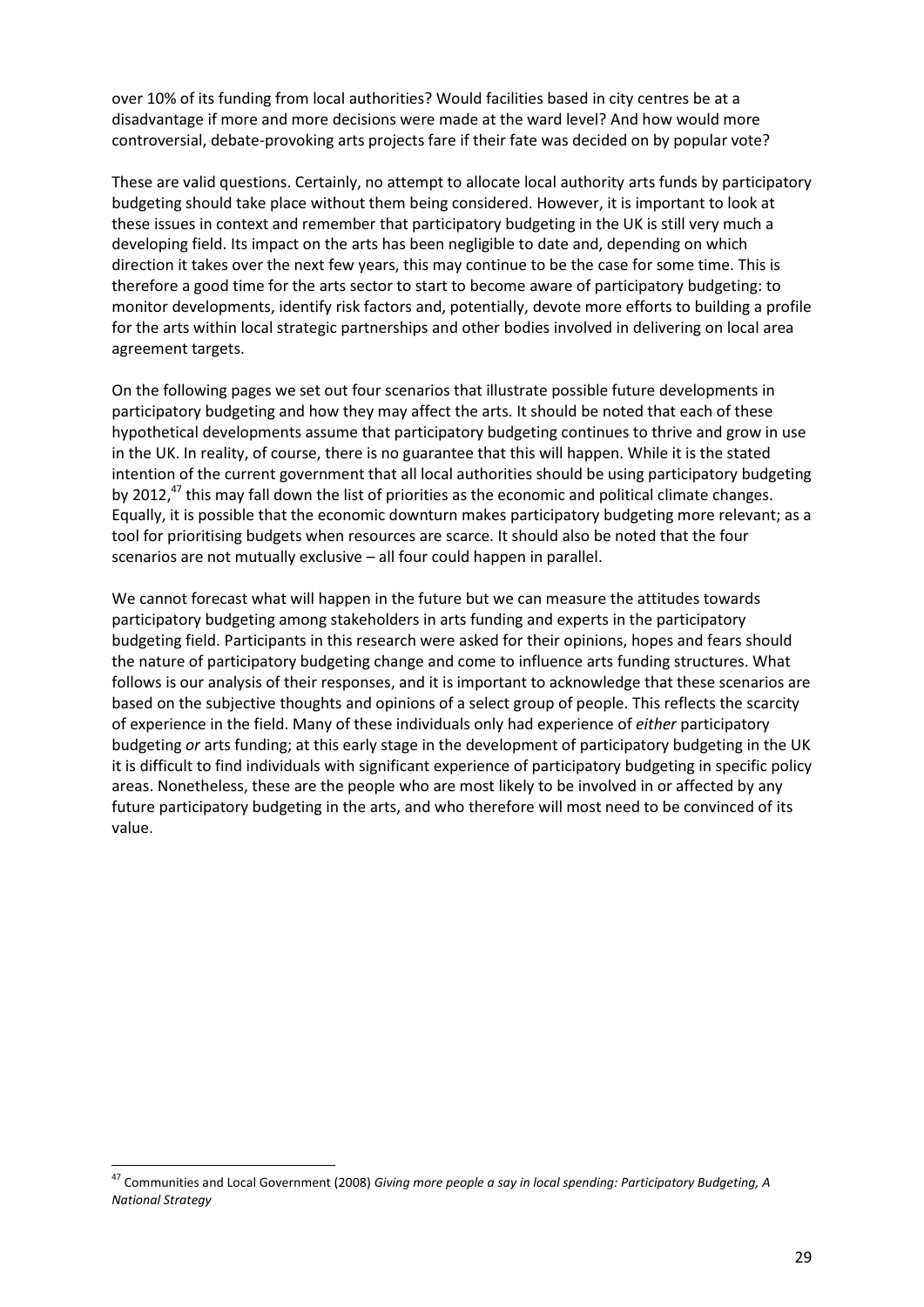over 10% of its funding from local authorities? Would facilities based in city centres be at a disadvantage if more and more decisions were made at the ward level? And how would more controversial, debate-provoking arts projects fare if their fate was decided on by popular vote?

These are valid questions. Certainly, no attempt to allocate local authority arts funds by participatory budgeting should take place without them being considered. However, it is important to look at these issues in context and remember that participatory budgeting in the UK is still very much a developing field. Its impact on the arts has been negligible to date and, depending on which direction it takes over the next few years, this may continue to be the case for some time. This is therefore a good time for the arts sector to start to become aware of participatory budgeting: to monitor developments, identify risk factors and, potentially, devote more efforts to building a profile for the arts within local strategic partnerships and other bodies involved in delivering on local area agreement targets.

On the following pages we set out four scenarios that illustrate possible future developments in participatory budgeting and how they may affect the arts. It should be noted that each of these hypothetical developments assume that participatory budgeting continues to thrive and grow in use in the UK. In reality, of course, there is no guarantee that this will happen. While it is the stated intention of the current government that all local authorities should be using participatory budgeting by 2012, $^{47}$  this may fall down the list of priorities as the economic and political climate changes. Equally, it is possible that the economic downturn makes participatory budgeting more relevant; as a tool for prioritising budgets when resources are scarce. It should also be noted that the four scenarios are not mutually exclusive – all four could happen in parallel.

We cannot forecast what will happen in the future but we can measure the attitudes towards participatory budgeting among stakeholders in arts funding and experts in the participatory budgeting field. Participants in this research were asked for their opinions, hopes and fears should the nature of participatory budgeting change and come to influence arts funding structures. What follows is our analysis of their responses, and it is important to acknowledge that these scenarios are based on the subjective thoughts and opinions of a select group of people. This reflects the scarcity of experience in the field. Many of these individuals only had experience of *either* participatory budgeting *or* arts funding; at this early stage in the development of participatory budgeting in the UK it is difficult to find individuals with significant experience of participatory budgeting in specific policy areas. Nonetheless, these are the people who are most likely to be involved in or affected by any future participatory budgeting in the arts, and who therefore will most need to be convinced of its value.

.<br>-

<sup>47</sup> Communities and Local Government (2008) *Giving more people a say in local spending: Participatory Budgeting, A National Strategy*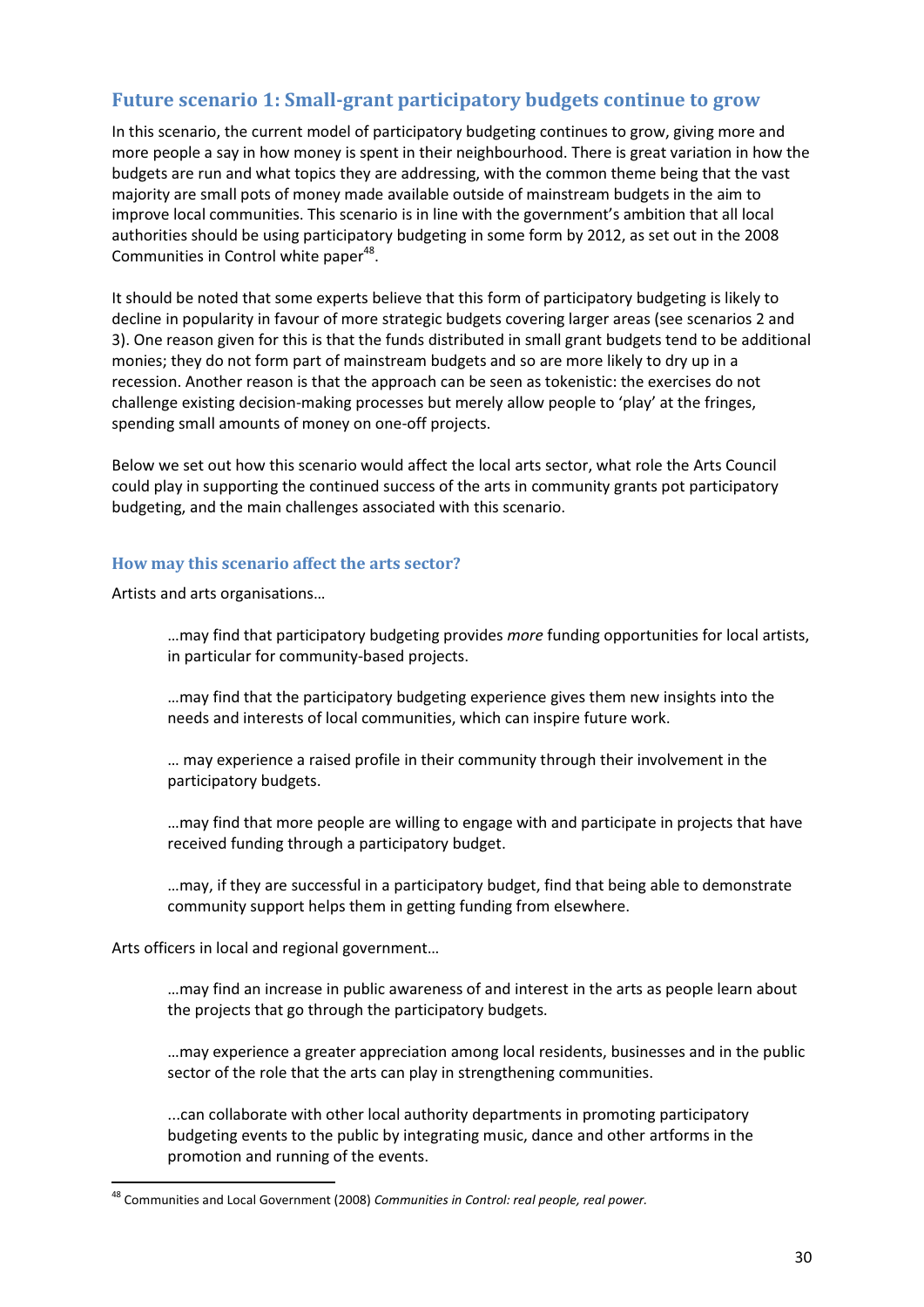# **Future scenario 1: Small-grant participatory budgets continue to grow**

In this scenario, the current model of participatory budgeting continues to grow, giving more and more people a say in how money is spent in their neighbourhood. There is great variation in how the budgets are run and what topics they are addressing, with the common theme being that the vast majority are small pots of money made available outside of mainstream budgets in the aim to improve local communities. This scenario is in line with the government's ambition that all local authorities should be using participatory budgeting in some form by 2012, as set out in the 2008 Communities in Control white paper<sup>48</sup>.

It should be noted that some experts believe that this form of participatory budgeting is likely to decline in popularity in favour of more strategic budgets covering larger areas (see scenarios 2 and 3). One reason given for this is that the funds distributed in small grant budgets tend to be additional monies; they do not form part of mainstream budgets and so are more likely to dry up in a recession. Another reason is that the approach can be seen as tokenistic: the exercises do not challenge existing decision-making processes but merely allow people to 'play' at the fringes, spending small amounts of money on one-off projects.

Below we set out how this scenario would affect the local arts sector, what role the Arts Council could play in supporting the continued success of the arts in community grants pot participatory budgeting, and the main challenges associated with this scenario.

#### **How may this scenario affect the arts sector?**

Artists and arts organisations…

…may find that participatory budgeting provides *more* funding opportunities for local artists, in particular for community-based projects.

…may find that the participatory budgeting experience gives them new insights into the needs and interests of local communities, which can inspire future work.

… may experience a raised profile in their community through their involvement in the participatory budgets.

…may find that more people are willing to engage with and participate in projects that have received funding through a participatory budget.

…may, if they are successful in a participatory budget, find that being able to demonstrate community support helps them in getting funding from elsewhere.

Arts officers in local and regional government…

-

…may find an increase in public awareness of and interest in the arts as people learn about the projects that go through the participatory budgets.

…may experience a greater appreciation among local residents, businesses and in the public sector of the role that the arts can play in strengthening communities.

...can collaborate with other local authority departments in promoting participatory budgeting events to the public by integrating music, dance and other artforms in the promotion and running of the events.

<sup>48</sup> Communities and Local Government (2008) *Communities in Control: real people, real power.*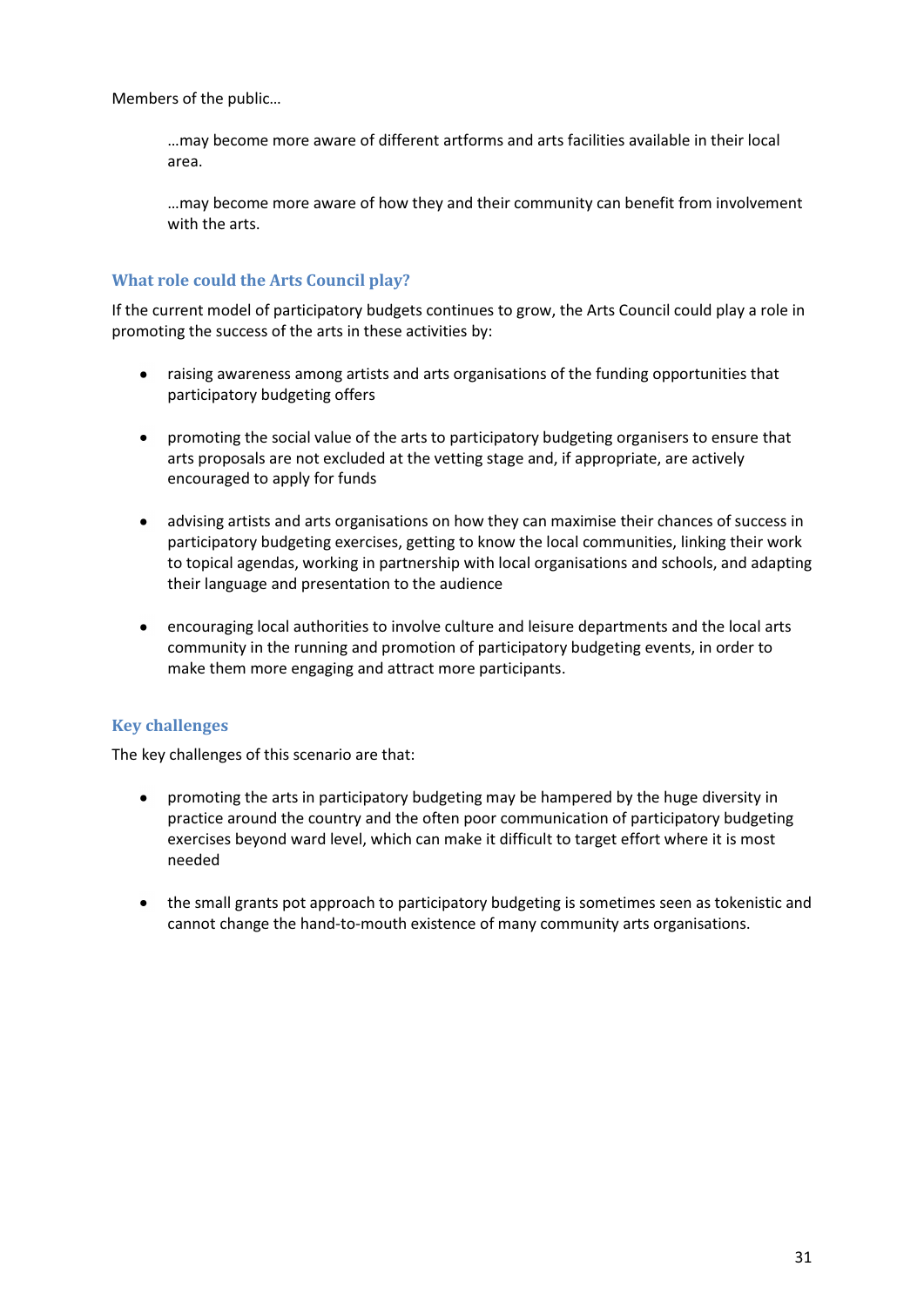Members of the public…

…may become more aware of different artforms and arts facilities available in their local area.

…may become more aware of how they and their community can benefit from involvement with the arts.

# **What role could the Arts Council play?**

If the current model of participatory budgets continues to grow, the Arts Council could play a role in promoting the success of the arts in these activities by:

- raising awareness among artists and arts organisations of the funding opportunities that  $\bullet$ participatory budgeting offers
- promoting the social value of the arts to participatory budgeting organisers to ensure that arts proposals are not excluded at the vetting stage and, if appropriate, are actively encouraged to apply for funds
- advising artists and arts organisations on how they can maximise their chances of success in participatory budgeting exercises, getting to know the local communities, linking their work to topical agendas, working in partnership with local organisations and schools, and adapting their language and presentation to the audience
- encouraging local authorities to involve culture and leisure departments and the local arts community in the running and promotion of participatory budgeting events, in order to make them more engaging and attract more participants.

# **Key challenges**

The key challenges of this scenario are that:

- promoting the arts in participatory budgeting may be hampered by the huge diversity in  $\bullet$ practice around the country and the often poor communication of participatory budgeting exercises beyond ward level, which can make it difficult to target effort where it is most needed
- the small grants pot approach to participatory budgeting is sometimes seen as tokenistic and cannot change the hand-to-mouth existence of many community arts organisations.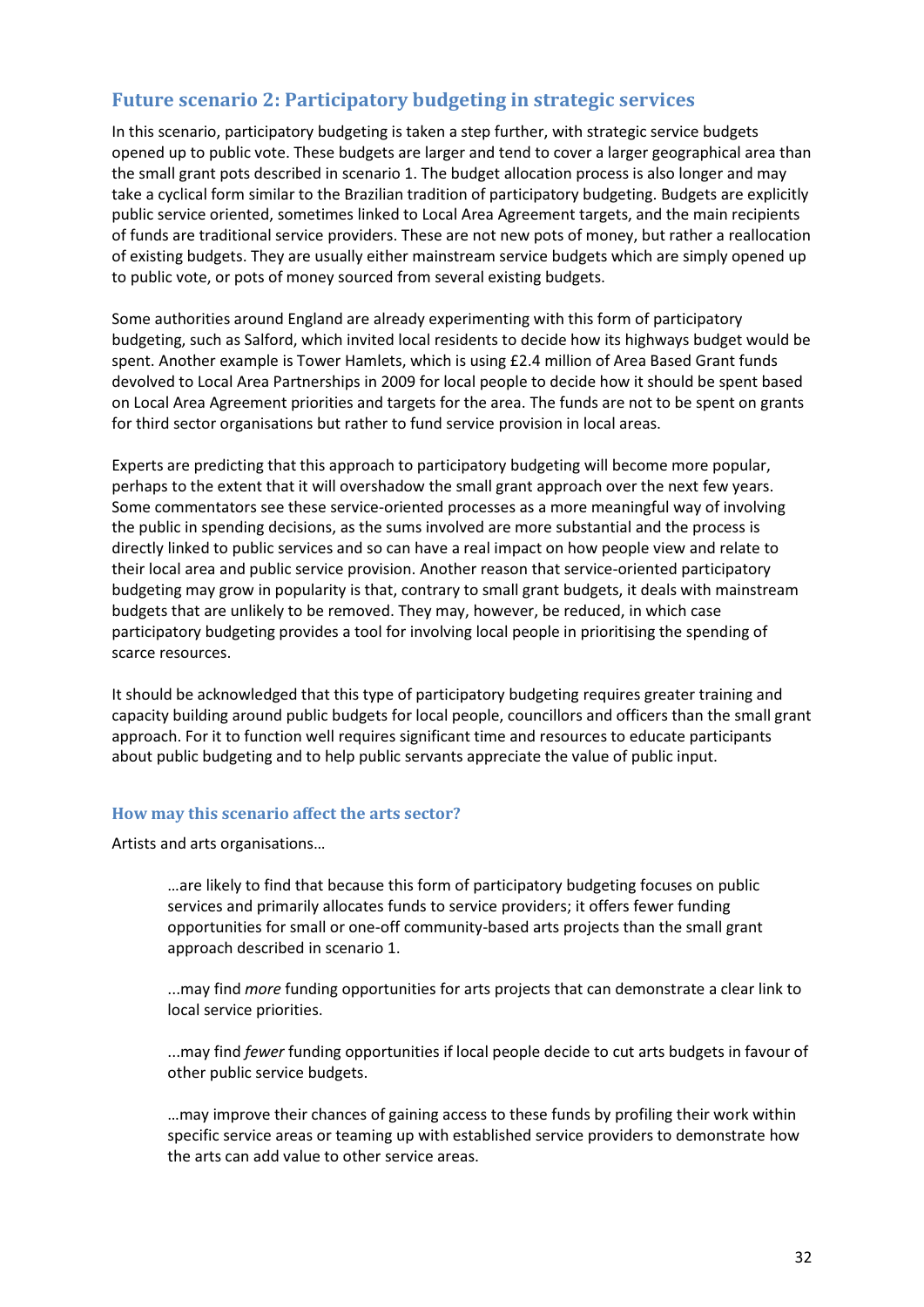# **Future scenario 2: Participatory budgeting in strategic services**

In this scenario, participatory budgeting is taken a step further, with strategic service budgets opened up to public vote. These budgets are larger and tend to cover a larger geographical area than the small grant pots described in scenario 1. The budget allocation process is also longer and may take a cyclical form similar to the Brazilian tradition of participatory budgeting. Budgets are explicitly public service oriented, sometimes linked to Local Area Agreement targets, and the main recipients of funds are traditional service providers. These are not new pots of money, but rather a reallocation of existing budgets. They are usually either mainstream service budgets which are simply opened up to public vote, or pots of money sourced from several existing budgets.

Some authorities around England are already experimenting with this form of participatory budgeting, such as Salford, which invited local residents to decide how its highways budget would be spent. Another example is Tower Hamlets, which is using £2.4 million of Area Based Grant funds devolved to Local Area Partnerships in 2009 for local people to decide how it should be spent based on Local Area Agreement priorities and targets for the area. The funds are not to be spent on grants for third sector organisations but rather to fund service provision in local areas.

Experts are predicting that this approach to participatory budgeting will become more popular, perhaps to the extent that it will overshadow the small grant approach over the next few years. Some commentators see these service-oriented processes as a more meaningful way of involving the public in spending decisions, as the sums involved are more substantial and the process is directly linked to public services and so can have a real impact on how people view and relate to their local area and public service provision. Another reason that service-oriented participatory budgeting may grow in popularity is that, contrary to small grant budgets, it deals with mainstream budgets that are unlikely to be removed. They may, however, be reduced, in which case participatory budgeting provides a tool for involving local people in prioritising the spending of scarce resources.

It should be acknowledged that this type of participatory budgeting requires greater training and capacity building around public budgets for local people, councillors and officers than the small grant approach. For it to function well requires significant time and resources to educate participants about public budgeting and to help public servants appreciate the value of public input.

#### **How may this scenario affect the arts sector?**

Artists and arts organisations…

…are likely to find that because this form of participatory budgeting focuses on public services and primarily allocates funds to service providers; it offers fewer funding opportunities for small or one-off community-based arts projects than the small grant approach described in scenario 1.

...may find *more* funding opportunities for arts projects that can demonstrate a clear link to local service priorities.

...may find *fewer* funding opportunities if local people decide to cut arts budgets in favour of other public service budgets.

…may improve their chances of gaining access to these funds by profiling their work within specific service areas or teaming up with established service providers to demonstrate how the arts can add value to other service areas.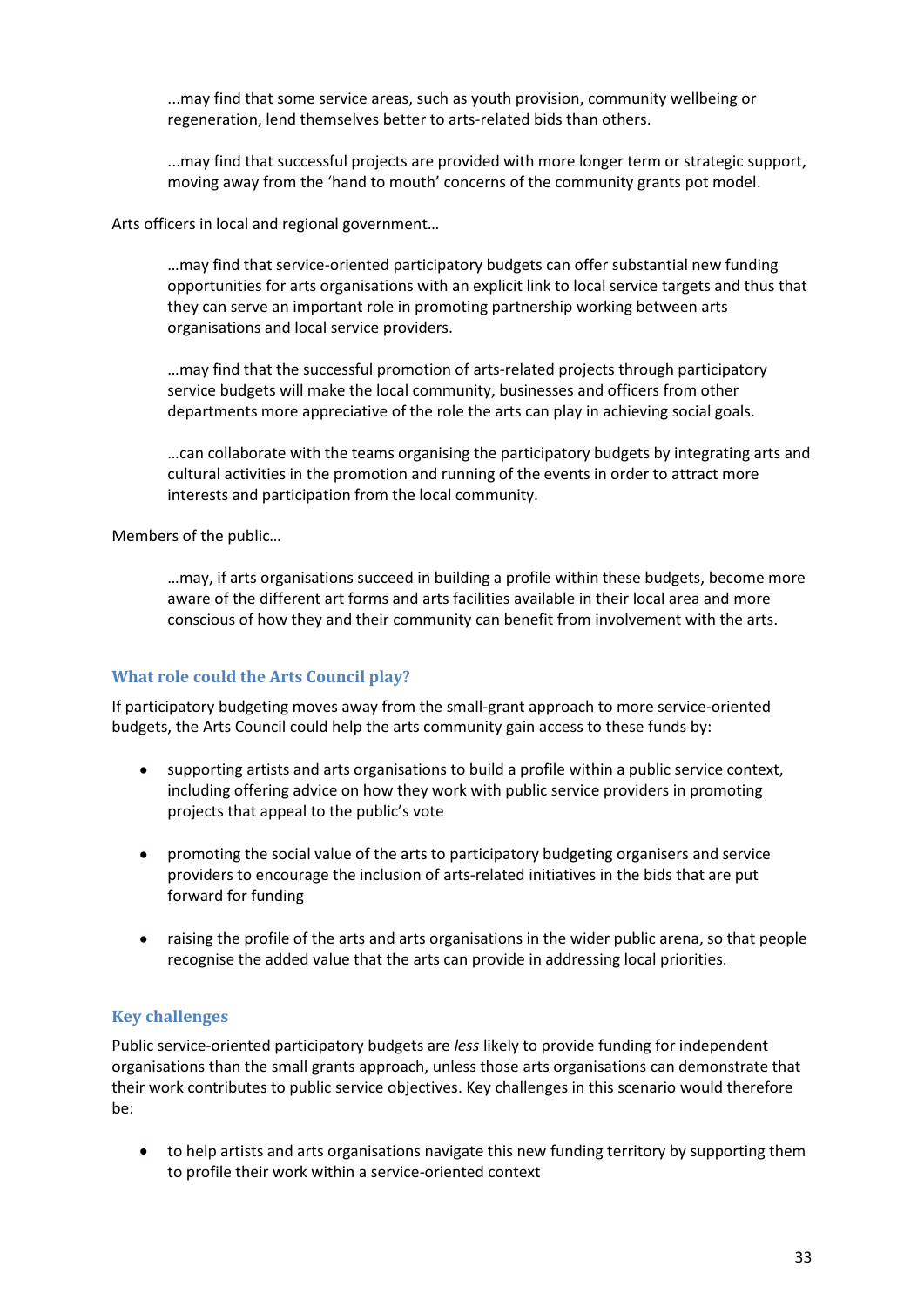...may find that some service areas, such as youth provision, community wellbeing or regeneration, lend themselves better to arts-related bids than others.

...may find that successful projects are provided with more longer term or strategic support, moving away from the 'hand to mouth' concerns of the community grants pot model.

Arts officers in local and regional government…

…may find that service-oriented participatory budgets can offer substantial new funding opportunities for arts organisations with an explicit link to local service targets and thus that they can serve an important role in promoting partnership working between arts organisations and local service providers.

…may find that the successful promotion of arts-related projects through participatory service budgets will make the local community, businesses and officers from other departments more appreciative of the role the arts can play in achieving social goals.

…can collaborate with the teams organising the participatory budgets by integrating arts and cultural activities in the promotion and running of the events in order to attract more interests and participation from the local community.

Members of the public…

…may, if arts organisations succeed in building a profile within these budgets, become more aware of the different art forms and arts facilities available in their local area and more conscious of how they and their community can benefit from involvement with the arts.

# **What role could the Arts Council play?**

If participatory budgeting moves away from the small-grant approach to more service-oriented budgets, the Arts Council could help the arts community gain access to these funds by:

- $\bullet$ supporting artists and arts organisations to build a profile within a public service context, including offering advice on how they work with public service providers in promoting projects that appeal to the public's vote
- promoting the social value of the arts to participatory budgeting organisers and service  $\bullet$ providers to encourage the inclusion of arts-related initiatives in the bids that are put forward for funding
- raising the profile of the arts and arts organisations in the wider public arena, so that people recognise the added value that the arts can provide in addressing local priorities.

# **Key challenges**

Public service-oriented participatory budgets are *less* likely to provide funding for independent organisations than the small grants approach, unless those arts organisations can demonstrate that their work contributes to public service objectives. Key challenges in this scenario would therefore be:

to help artists and arts organisations navigate this new funding territory by supporting them to profile their work within a service-oriented context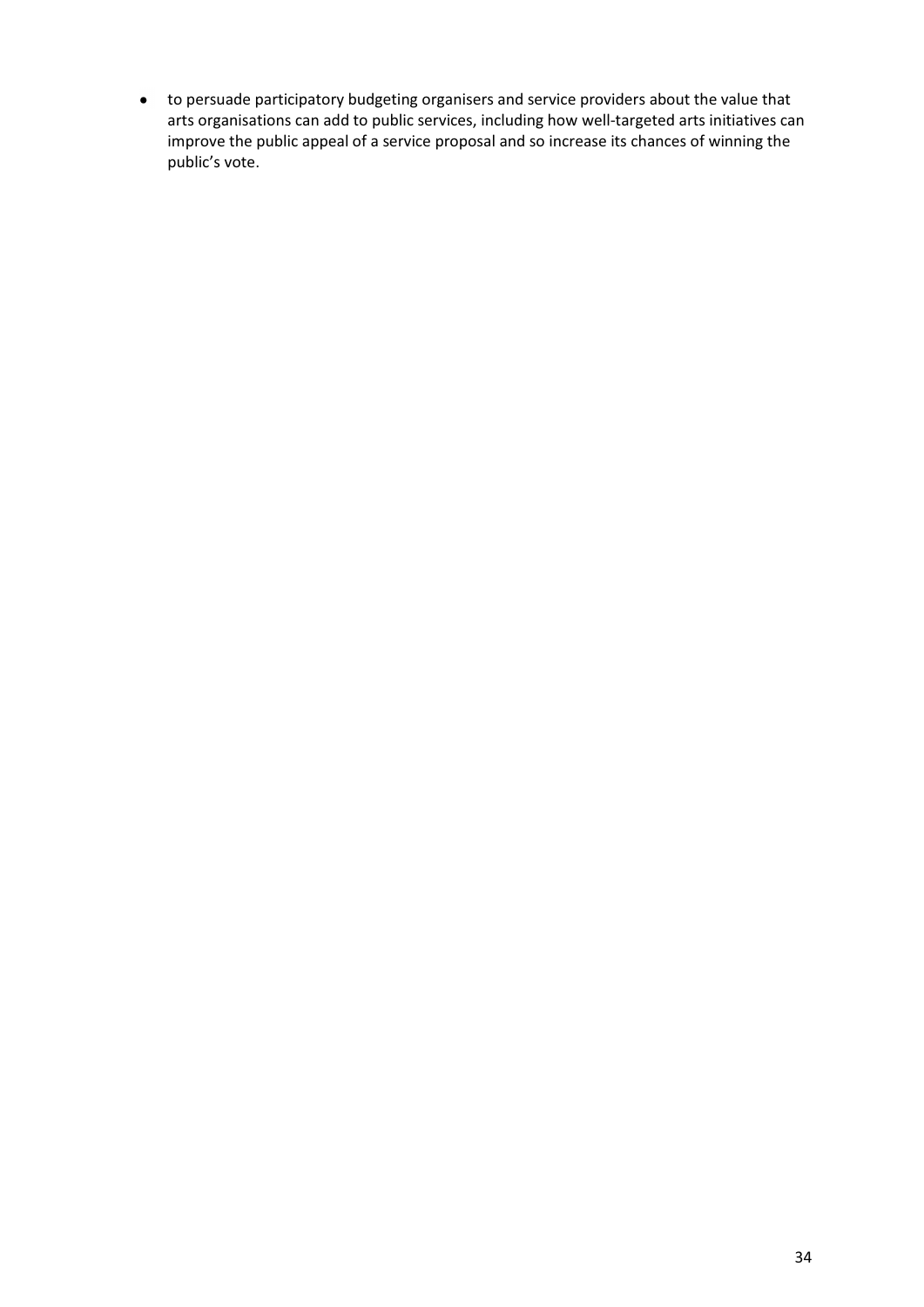to persuade participatory budgeting organisers and service providers about the value that arts organisations can add to public services, including how well-targeted arts initiatives can improve the public appeal of a service proposal and so increase its chances of winning the public's vote.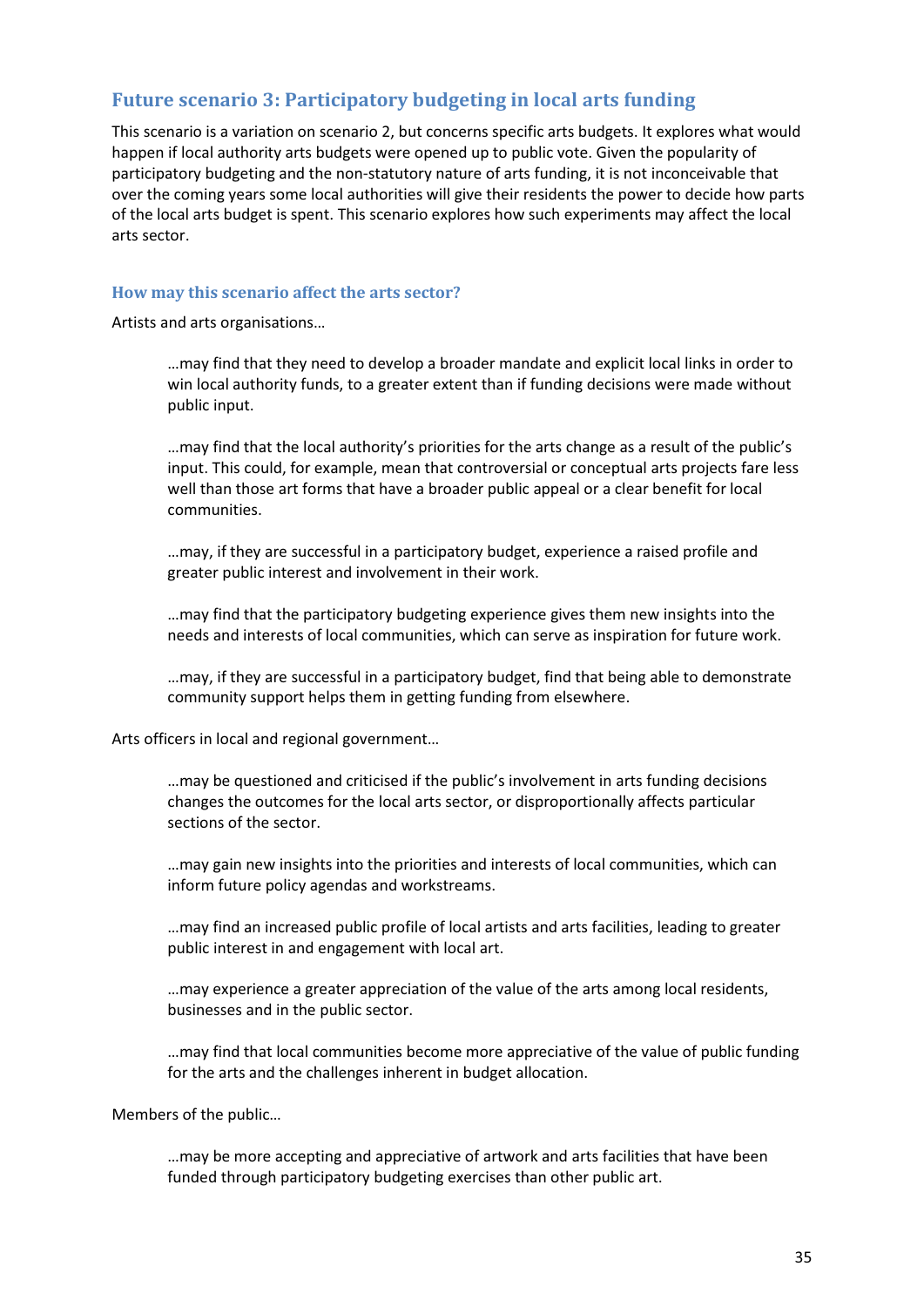# **Future scenario 3: Participatory budgeting in local arts funding**

This scenario is a variation on scenario 2, but concerns specific arts budgets. It explores what would happen if local authority arts budgets were opened up to public vote. Given the popularity of participatory budgeting and the non-statutory nature of arts funding, it is not inconceivable that over the coming years some local authorities will give their residents the power to decide how parts of the local arts budget is spent. This scenario explores how such experiments may affect the local arts sector.

#### **How may this scenario affect the arts sector?**

Artists and arts organisations…

…may find that they need to develop a broader mandate and explicit local links in order to win local authority funds, to a greater extent than if funding decisions were made without public input.

…may find that the local authority's priorities for the arts change as a result of the public's input. This could, for example, mean that controversial or conceptual arts projects fare less well than those art forms that have a broader public appeal or a clear benefit for local communities.

…may, if they are successful in a participatory budget, experience a raised profile and greater public interest and involvement in their work.

…may find that the participatory budgeting experience gives them new insights into the needs and interests of local communities, which can serve as inspiration for future work.

…may, if they are successful in a participatory budget, find that being able to demonstrate community support helps them in getting funding from elsewhere.

Arts officers in local and regional government…

…may be questioned and criticised if the public's involvement in arts funding decisions changes the outcomes for the local arts sector, or disproportionally affects particular sections of the sector.

…may gain new insights into the priorities and interests of local communities, which can inform future policy agendas and workstreams.

…may find an increased public profile of local artists and arts facilities, leading to greater public interest in and engagement with local art.

…may experience a greater appreciation of the value of the arts among local residents, businesses and in the public sector.

…may find that local communities become more appreciative of the value of public funding for the arts and the challenges inherent in budget allocation.

Members of the public…

…may be more accepting and appreciative of artwork and arts facilities that have been funded through participatory budgeting exercises than other public art.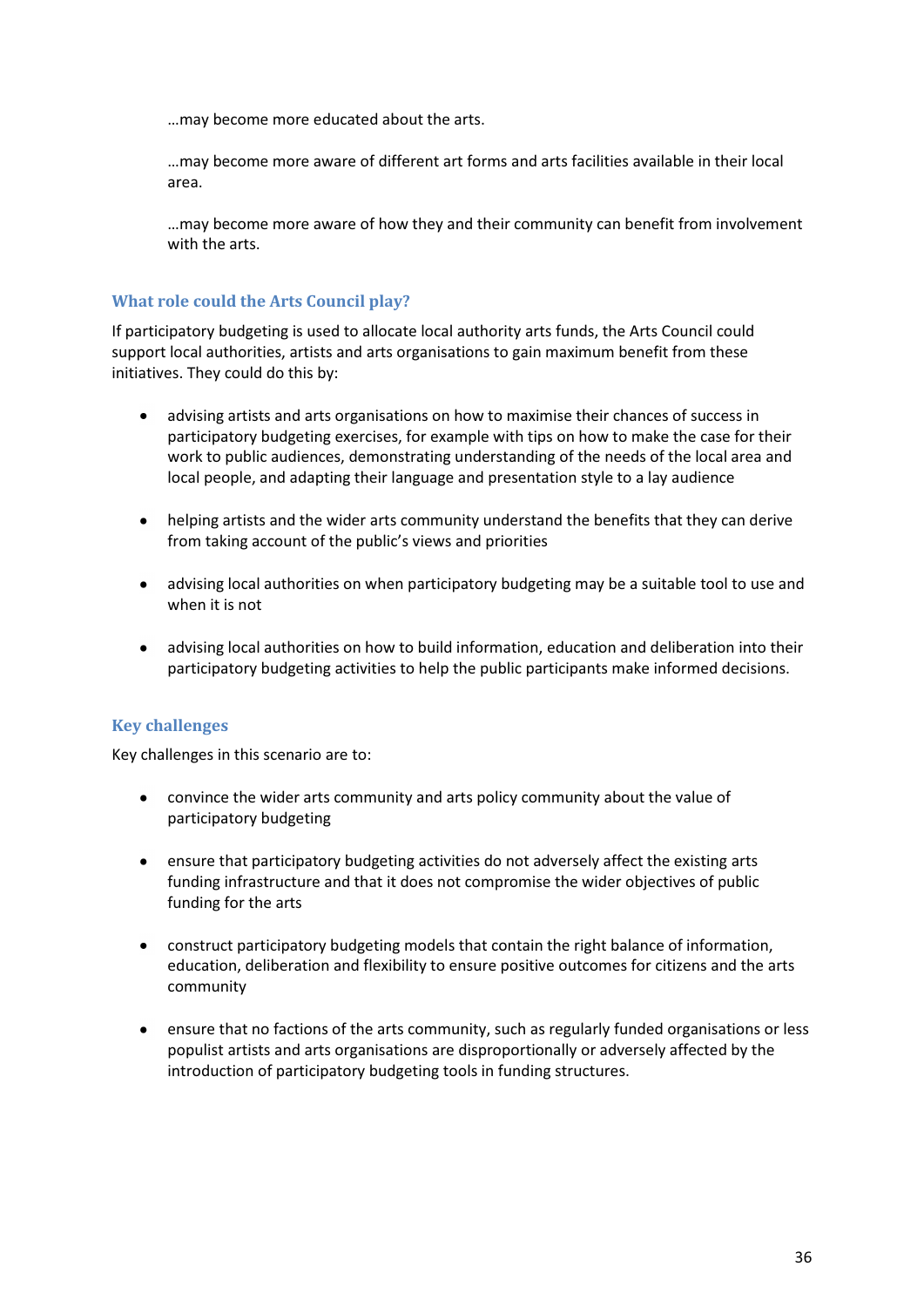…may become more educated about the arts.

…may become more aware of different art forms and arts facilities available in their local area.

…may become more aware of how they and their community can benefit from involvement with the arts.

#### **What role could the Arts Council play?**

If participatory budgeting is used to allocate local authority arts funds, the Arts Council could support local authorities, artists and arts organisations to gain maximum benefit from these initiatives. They could do this by:

- advising artists and arts organisations on how to maximise their chances of success in  $\bullet$ participatory budgeting exercises, for example with tips on how to make the case for their work to public audiences, demonstrating understanding of the needs of the local area and local people, and adapting their language and presentation style to a lay audience
- helping artists and the wider arts community understand the benefits that they can derive  $\bullet$ from taking account of the public's views and priorities
- $\bullet$ advising local authorities on when participatory budgeting may be a suitable tool to use and when it is not
- advising local authorities on how to build information, education and deliberation into their  $\bullet$ participatory budgeting activities to help the public participants make informed decisions.

# **Key challenges**

Key challenges in this scenario are to:

- convince the wider arts community and arts policy community about the value of  $\bullet$ participatory budgeting
- ensure that participatory budgeting activities do not adversely affect the existing arts  $\bullet$ funding infrastructure and that it does not compromise the wider objectives of public funding for the arts
- $\bullet$ construct participatory budgeting models that contain the right balance of information, education, deliberation and flexibility to ensure positive outcomes for citizens and the arts community
- ensure that no factions of the arts community, such as regularly funded organisations or less  $\bullet$ populist artists and arts organisations are disproportionally or adversely affected by the introduction of participatory budgeting tools in funding structures.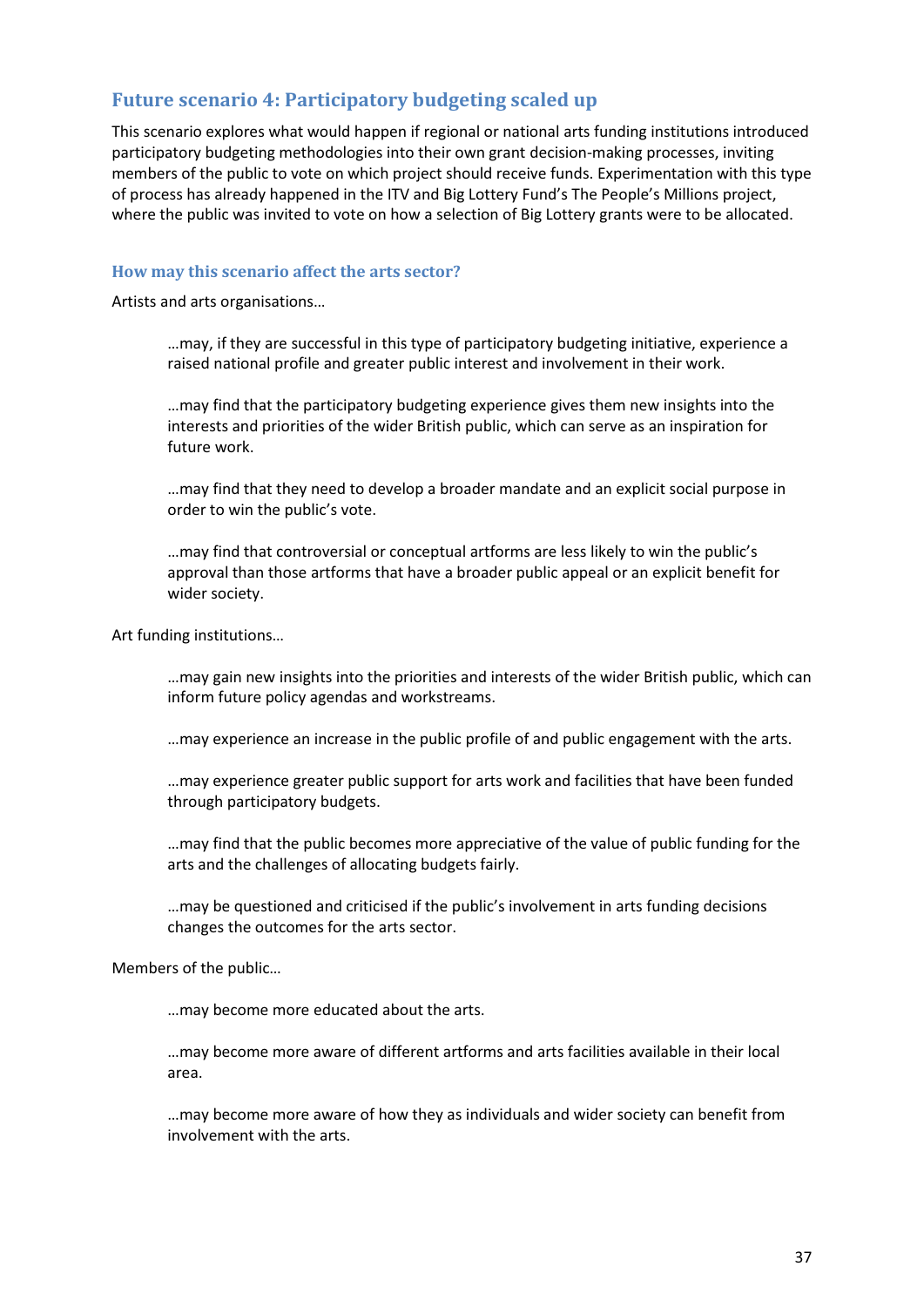# **Future scenario 4: Participatory budgeting scaled up**

This scenario explores what would happen if regional or national arts funding institutions introduced participatory budgeting methodologies into their own grant decision-making processes, inviting members of the public to vote on which project should receive funds. Experimentation with this type of process has already happened in the ITV and Big Lottery Fund's The People's Millions project, where the public was invited to vote on how a selection of Big Lottery grants were to be allocated.

#### **How may this scenario affect the arts sector?**

Artists and arts organisations…

…may, if they are successful in this type of participatory budgeting initiative, experience a raised national profile and greater public interest and involvement in their work.

…may find that the participatory budgeting experience gives them new insights into the interests and priorities of the wider British public, which can serve as an inspiration for future work.

…may find that they need to develop a broader mandate and an explicit social purpose in order to win the public's vote.

…may find that controversial or conceptual artforms are less likely to win the public's approval than those artforms that have a broader public appeal or an explicit benefit for wider society.

Art funding institutions…

…may gain new insights into the priorities and interests of the wider British public, which can inform future policy agendas and workstreams.

…may experience an increase in the public profile of and public engagement with the arts.

…may experience greater public support for arts work and facilities that have been funded through participatory budgets.

…may find that the public becomes more appreciative of the value of public funding for the arts and the challenges of allocating budgets fairly.

…may be questioned and criticised if the public's involvement in arts funding decisions changes the outcomes for the arts sector.

Members of the public…

…may become more educated about the arts.

…may become more aware of different artforms and arts facilities available in their local area.

…may become more aware of how they as individuals and wider society can benefit from involvement with the arts.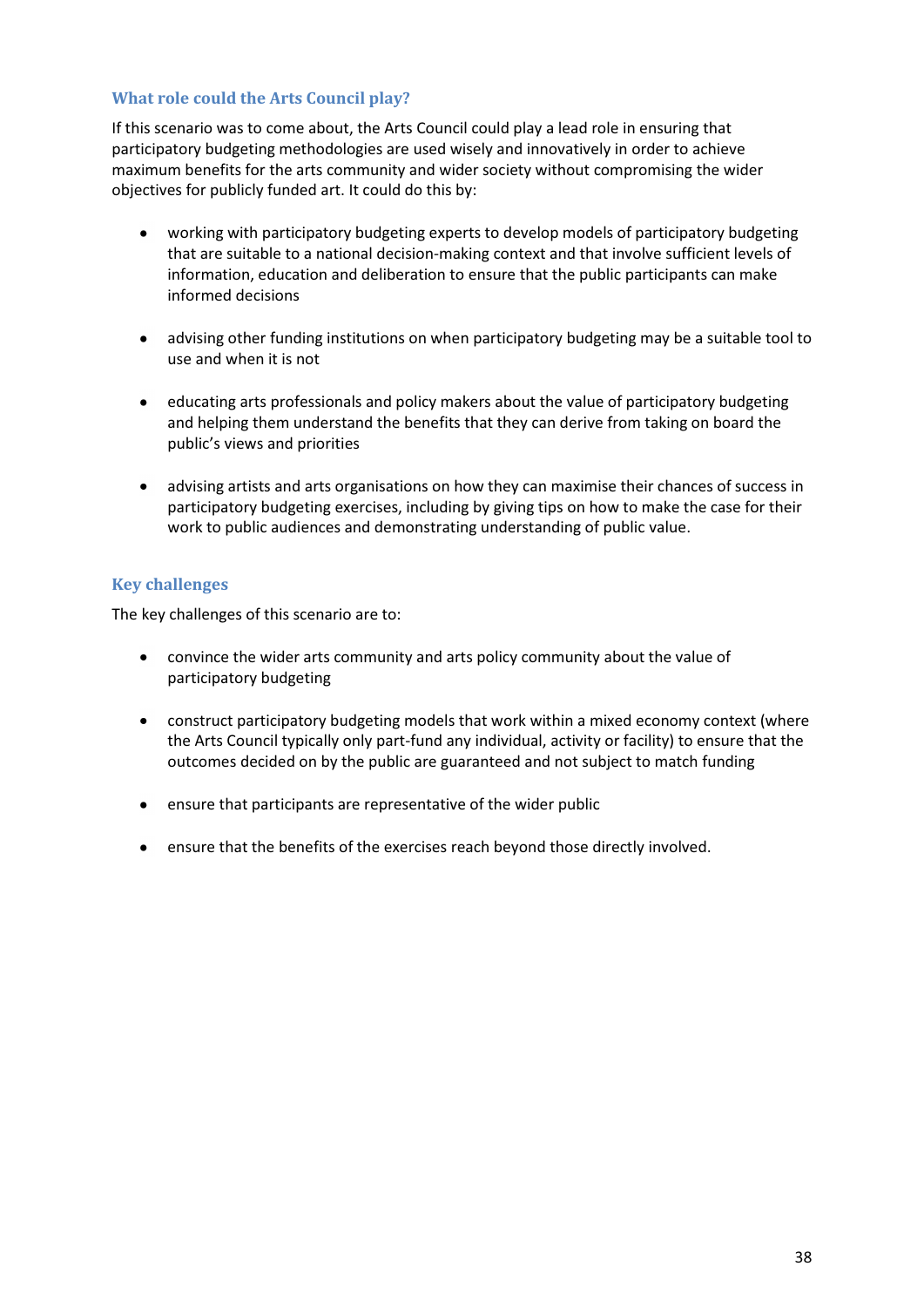## **What role could the Arts Council play?**

If this scenario was to come about, the Arts Council could play a lead role in ensuring that participatory budgeting methodologies are used wisely and innovatively in order to achieve maximum benefits for the arts community and wider society without compromising the wider objectives for publicly funded art. It could do this by:

- working with participatory budgeting experts to develop models of participatory budgeting that are suitable to a national decision-making context and that involve sufficient levels of information, education and deliberation to ensure that the public participants can make informed decisions
- advising other funding institutions on when participatory budgeting may be a suitable tool to use and when it is not
- educating arts professionals and policy makers about the value of participatory budgeting and helping them understand the benefits that they can derive from taking on board the public's views and priorities
- advising artists and arts organisations on how they can maximise their chances of success in participatory budgeting exercises, including by giving tips on how to make the case for their work to public audiences and demonstrating understanding of public value.

# **Key challenges**

The key challenges of this scenario are to:

- convince the wider arts community and arts policy community about the value of  $\bullet$ participatory budgeting
- construct participatory budgeting models that work within a mixed economy context (where the Arts Council typically only part-fund any individual, activity or facility) to ensure that the outcomes decided on by the public are guaranteed and not subject to match funding
- ensure that participants are representative of the wider public  $\bullet$
- ensure that the benefits of the exercises reach beyond those directly involved.  $\bullet$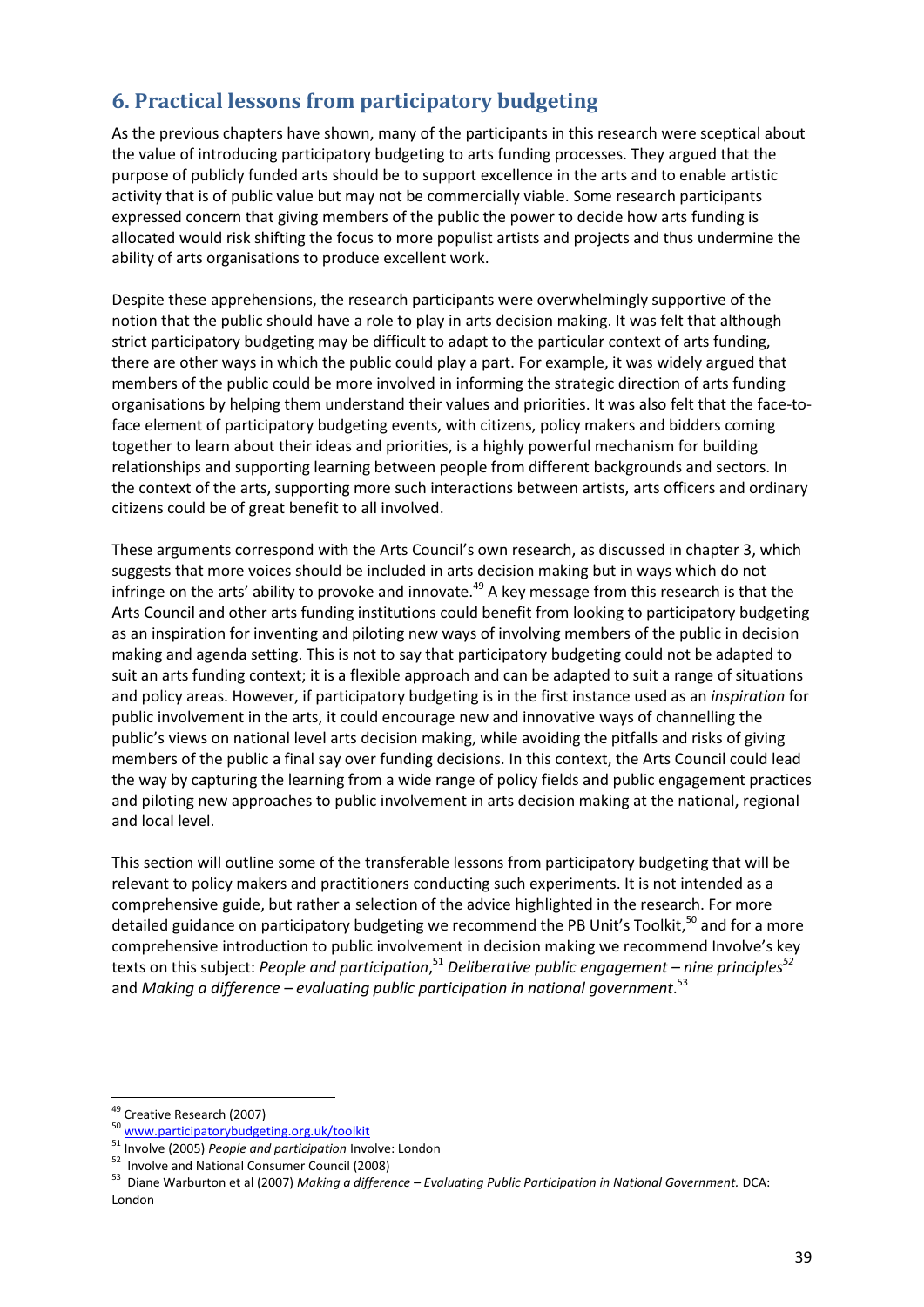# **6. Practical lessons from participatory budgeting**

As the previous chapters have shown, many of the participants in this research were sceptical about the value of introducing participatory budgeting to arts funding processes. They argued that the purpose of publicly funded arts should be to support excellence in the arts and to enable artistic activity that is of public value but may not be commercially viable. Some research participants expressed concern that giving members of the public the power to decide how arts funding is allocated would risk shifting the focus to more populist artists and projects and thus undermine the ability of arts organisations to produce excellent work.

Despite these apprehensions, the research participants were overwhelmingly supportive of the notion that the public should have a role to play in arts decision making. It was felt that although strict participatory budgeting may be difficult to adapt to the particular context of arts funding, there are other ways in which the public could play a part. For example, it was widely argued that members of the public could be more involved in informing the strategic direction of arts funding organisations by helping them understand their values and priorities. It was also felt that the face-toface element of participatory budgeting events, with citizens, policy makers and bidders coming together to learn about their ideas and priorities, is a highly powerful mechanism for building relationships and supporting learning between people from different backgrounds and sectors. In the context of the arts, supporting more such interactions between artists, arts officers and ordinary citizens could be of great benefit to all involved.

These arguments correspond with the Arts Council's own research, as discussed in chapter 3, which suggests that more voices should be included in arts decision making but in ways which do not infringe on the arts' ability to provoke and innovate.<sup>49</sup> A key message from this research is that the Arts Council and other arts funding institutions could benefit from looking to participatory budgeting as an inspiration for inventing and piloting new ways of involving members of the public in decision making and agenda setting. This is not to say that participatory budgeting could not be adapted to suit an arts funding context; it is a flexible approach and can be adapted to suit a range of situations and policy areas. However, if participatory budgeting is in the first instance used as an *inspiration* for public involvement in the arts, it could encourage new and innovative ways of channelling the public's views on national level arts decision making, while avoiding the pitfalls and risks of giving members of the public a final say over funding decisions. In this context, the Arts Council could lead the way by capturing the learning from a wide range of policy fields and public engagement practices and piloting new approaches to public involvement in arts decision making at the national, regional and local level.

This section will outline some of the transferable lessons from participatory budgeting that will be relevant to policy makers and practitioners conducting such experiments. It is not intended as a comprehensive guide, but rather a selection of the advice highlighted in the research. For more detailed guidance on participatory budgeting we recommend the PB Unit's Toolkit,<sup>50</sup> and for a more comprehensive introduction to public involvement in decision making we recommend Involve's key texts on this subject: *People and participation*, <sup>51</sup> *Deliberative public engagement – nine principles<sup>52</sup>* and *Making a difference – evaluating public participation in national government*. 53

<u>.</u>

<sup>&</sup>lt;sup>49</sup> Creative Research (2007)

<sup>50</sup> www.participatorybudgeting.org.uk/toolkit

<sup>51</sup> Involve (2005) *People and participation* Involve: London

<sup>52</sup> Involve and National Consumer Council (2008)

<sup>53</sup> Diane Warburton et al (2007) *Making a difference – Evaluating Public Participation in National Government.* DCA: London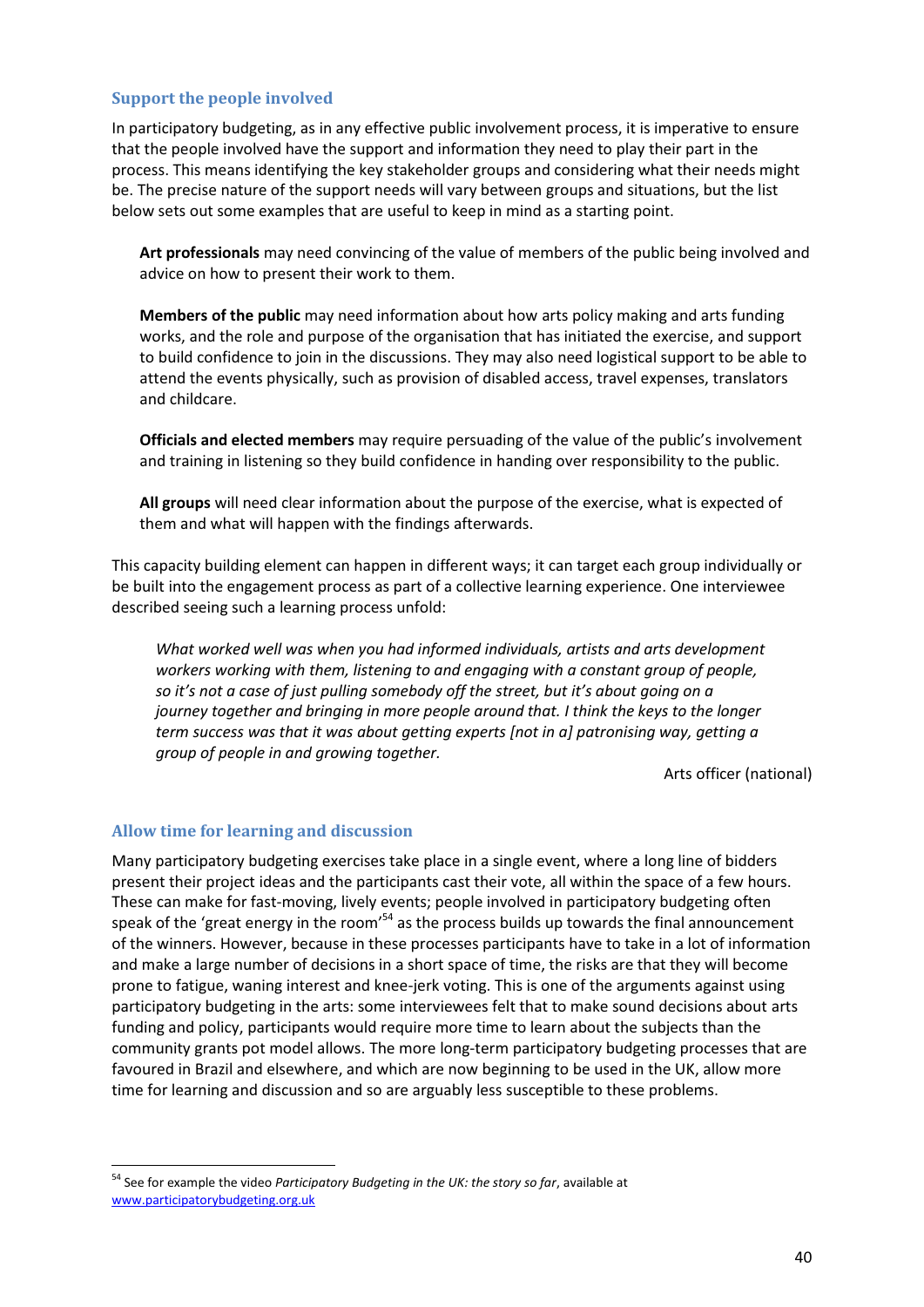#### **Support the people involved**

In participatory budgeting, as in any effective public involvement process, it is imperative to ensure that the people involved have the support and information they need to play their part in the process. This means identifying the key stakeholder groups and considering what their needs might be. The precise nature of the support needs will vary between groups and situations, but the list below sets out some examples that are useful to keep in mind as a starting point.

**Art professionals** may need convincing of the value of members of the public being involved and advice on how to present their work to them.

**Members of the public** may need information about how arts policy making and arts funding works, and the role and purpose of the organisation that has initiated the exercise, and support to build confidence to join in the discussions. They may also need logistical support to be able to attend the events physically, such as provision of disabled access, travel expenses, translators and childcare.

**Officials and elected members** may require persuading of the value of the public's involvement and training in listening so they build confidence in handing over responsibility to the public.

**All groups** will need clear information about the purpose of the exercise, what is expected of them and what will happen with the findings afterwards.

This capacity building element can happen in different ways; it can target each group individually or be built into the engagement process as part of a collective learning experience. One interviewee described seeing such a learning process unfold:

*What worked well was when you had informed individuals, artists and arts development workers working with them, listening to and engaging with a constant group of people, so it's not a case of just pulling somebody off the street, but it's about going on a journey together and bringing in more people around that. I think the keys to the longer term success was that it was about getting experts [not in a] patronising way, getting a group of people in and growing together.* 

Arts officer (national)

#### **Allow time for learning and discussion**

.<br>-

Many participatory budgeting exercises take place in a single event, where a long line of bidders present their project ideas and the participants cast their vote, all within the space of a few hours. These can make for fast-moving, lively events; people involved in participatory budgeting often speak of the 'great energy in the room'<sup>54</sup> as the process builds up towards the final announcement of the winners. However, because in these processes participants have to take in a lot of information and make a large number of decisions in a short space of time, the risks are that they will become prone to fatigue, waning interest and knee-jerk voting. This is one of the arguments against using participatory budgeting in the arts: some interviewees felt that to make sound decisions about arts funding and policy, participants would require more time to learn about the subjects than the community grants pot model allows. The more long-term participatory budgeting processes that are favoured in Brazil and elsewhere, and which are now beginning to be used in the UK, allow more time for learning and discussion and so are arguably less susceptible to these problems.

<sup>54</sup> See for example the video *Participatory Budgeting in the UK: the story so far*, available at www.participatorybudgeting.org.uk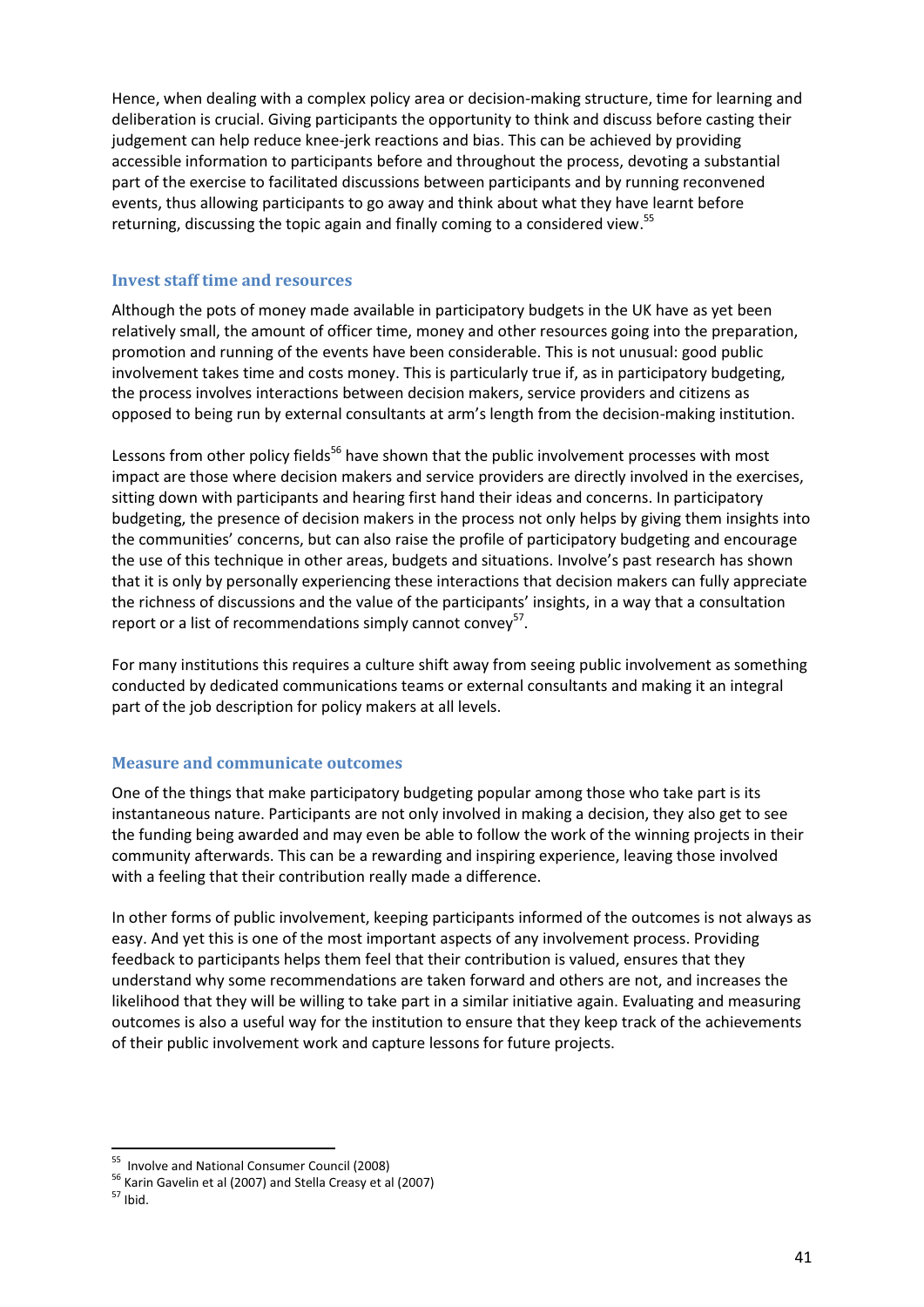Hence, when dealing with a complex policy area or decision-making structure, time for learning and deliberation is crucial. Giving participants the opportunity to think and discuss before casting their judgement can help reduce knee-jerk reactions and bias. This can be achieved by providing accessible information to participants before and throughout the process, devoting a substantial part of the exercise to facilitated discussions between participants and by running reconvened events, thus allowing participants to go away and think about what they have learnt before returning, discussing the topic again and finally coming to a considered view.<sup>55</sup>

# **Invest staff time and resources**

Although the pots of money made available in participatory budgets in the UK have as yet been relatively small, the amount of officer time, money and other resources going into the preparation, promotion and running of the events have been considerable. This is not unusual: good public involvement takes time and costs money. This is particularly true if, as in participatory budgeting, the process involves interactions between decision makers, service providers and citizens as opposed to being run by external consultants at arm's length from the decision-making institution.

Lessons from other policy fields<sup>56</sup> have shown that the public involvement processes with most impact are those where decision makers and service providers are directly involved in the exercises, sitting down with participants and hearing first hand their ideas and concerns. In participatory budgeting, the presence of decision makers in the process not only helps by giving them insights into the communities' concerns, but can also raise the profile of participatory budgeting and encourage the use of this technique in other areas, budgets and situations. Involve's past research has shown that it is only by personally experiencing these interactions that decision makers can fully appreciate the richness of discussions and the value of the participants' insights, in a way that a consultation report or a list of recommendations simply cannot convey $57$ .

For many institutions this requires a culture shift away from seeing public involvement as something conducted by dedicated communications teams or external consultants and making it an integral part of the job description for policy makers at all levels.

# **Measure and communicate outcomes**

One of the things that make participatory budgeting popular among those who take part is its instantaneous nature. Participants are not only involved in making a decision, they also get to see the funding being awarded and may even be able to follow the work of the winning projects in their community afterwards. This can be a rewarding and inspiring experience, leaving those involved with a feeling that their contribution really made a difference.

In other forms of public involvement, keeping participants informed of the outcomes is not always as easy. And yet this is one of the most important aspects of any involvement process. Providing feedback to participants helps them feel that their contribution is valued, ensures that they understand why some recommendations are taken forward and others are not, and increases the likelihood that they will be willing to take part in a similar initiative again. Evaluating and measuring outcomes is also a useful way for the institution to ensure that they keep track of the achievements of their public involvement work and capture lessons for future projects.

.<br>-

<sup>55</sup> Involve and National Consumer Council (2008)

<sup>56</sup> Karin Gavelin et al (2007) and Stella Creasy et al (2007)

 $57$  Ibid.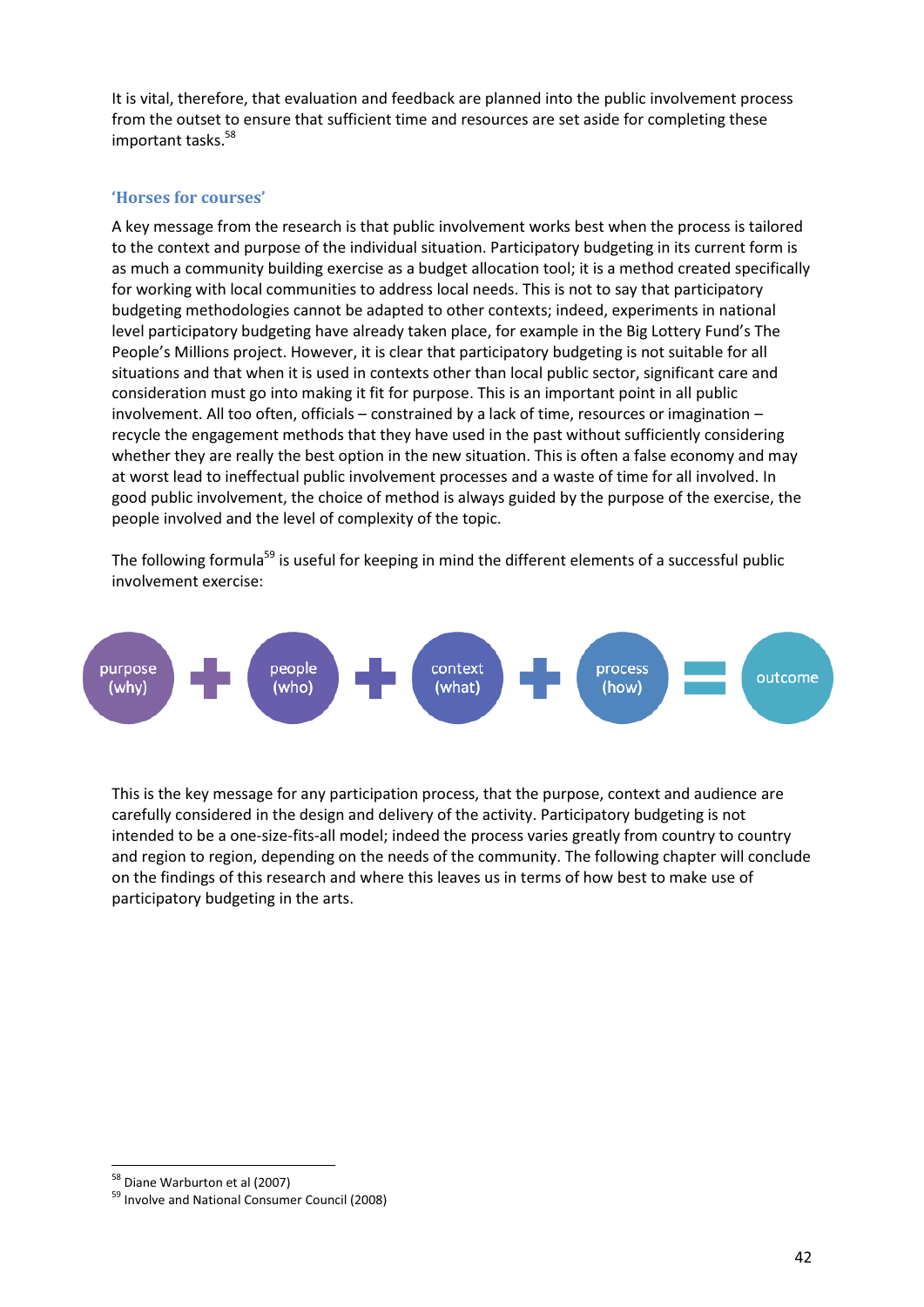It is vital, therefore, that evaluation and feedback are planned into the public involvement process from the outset to ensure that sufficient time and resources are set aside for completing these important tasks.<sup>58</sup>

# **'Horses for courses'**

A key message from the research is that public involvement works best when the process is tailored to the context and purpose of the individual situation. Participatory budgeting in its current form is as much a community building exercise as a budget allocation tool; it is a method created specifically for working with local communities to address local needs. This is not to say that participatory budgeting methodologies cannot be adapted to other contexts; indeed, experiments in national level participatory budgeting have already taken place, for example in the Big Lottery Fund's The People's Millions project. However, it is clear that participatory budgeting is not suitable for all situations and that when it is used in contexts other than local public sector, significant care and consideration must go into making it fit for purpose. This is an important point in all public involvement. All too often, officials – constrained by a lack of time, resources or imagination – recycle the engagement methods that they have used in the past without sufficiently considering whether they are really the best option in the new situation. This is often a false economy and may at worst lead to ineffectual public involvement processes and a waste of time for all involved. In good public involvement, the choice of method is always guided by the purpose of the exercise, the people involved and the level of complexity of the topic.

The following formula<sup>59</sup> is useful for keeping in mind the different elements of a successful public involvement exercise:



This is the key message for any participation process, that the purpose, context and audience are carefully considered in the design and delivery of the activity. Participatory budgeting is not intended to be a one-size-fits-all model; indeed the process varies greatly from country to country and region to region, depending on the needs of the community. The following chapter will conclude on the findings of this research and where this leaves us in terms of how best to make use of participatory budgeting in the arts.

.<br>-

<sup>58</sup> Diane Warburton et al (2007)

<sup>59</sup> Involve and National Consumer Council (2008)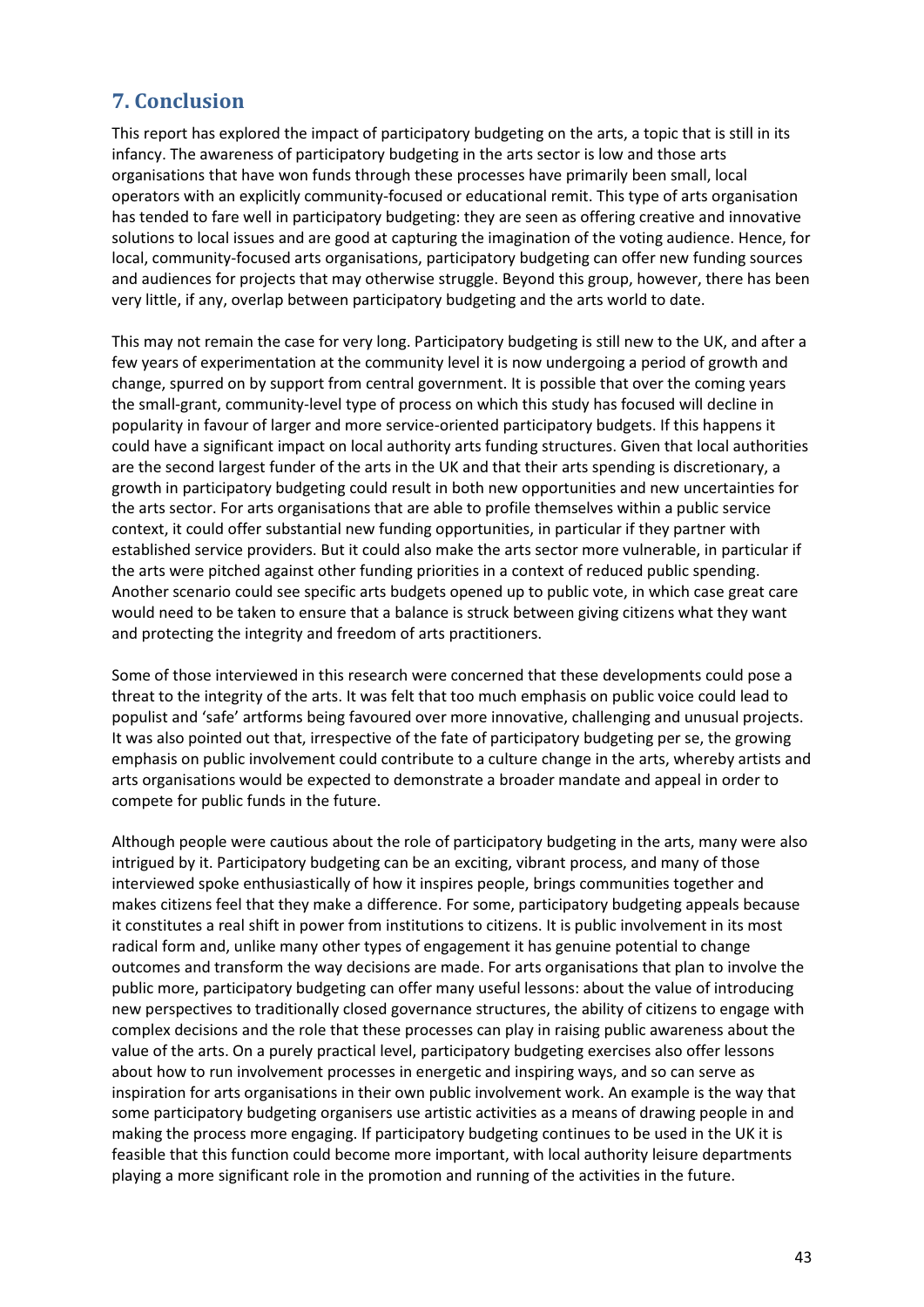# **7. Conclusion**

This report has explored the impact of participatory budgeting on the arts, a topic that is still in its infancy. The awareness of participatory budgeting in the arts sector is low and those arts organisations that have won funds through these processes have primarily been small, local operators with an explicitly community-focused or educational remit. This type of arts organisation has tended to fare well in participatory budgeting: they are seen as offering creative and innovative solutions to local issues and are good at capturing the imagination of the voting audience. Hence, for local, community-focused arts organisations, participatory budgeting can offer new funding sources and audiences for projects that may otherwise struggle. Beyond this group, however, there has been very little, if any, overlap between participatory budgeting and the arts world to date.

This may not remain the case for very long. Participatory budgeting is still new to the UK, and after a few years of experimentation at the community level it is now undergoing a period of growth and change, spurred on by support from central government. It is possible that over the coming years the small-grant, community-level type of process on which this study has focused will decline in popularity in favour of larger and more service-oriented participatory budgets. If this happens it could have a significant impact on local authority arts funding structures. Given that local authorities are the second largest funder of the arts in the UK and that their arts spending is discretionary, a growth in participatory budgeting could result in both new opportunities and new uncertainties for the arts sector. For arts organisations that are able to profile themselves within a public service context, it could offer substantial new funding opportunities, in particular if they partner with established service providers. But it could also make the arts sector more vulnerable, in particular if the arts were pitched against other funding priorities in a context of reduced public spending. Another scenario could see specific arts budgets opened up to public vote, in which case great care would need to be taken to ensure that a balance is struck between giving citizens what they want and protecting the integrity and freedom of arts practitioners.

Some of those interviewed in this research were concerned that these developments could pose a threat to the integrity of the arts. It was felt that too much emphasis on public voice could lead to populist and 'safe' artforms being favoured over more innovative, challenging and unusual projects. It was also pointed out that, irrespective of the fate of participatory budgeting per se, the growing emphasis on public involvement could contribute to a culture change in the arts, whereby artists and arts organisations would be expected to demonstrate a broader mandate and appeal in order to compete for public funds in the future.

Although people were cautious about the role of participatory budgeting in the arts, many were also intrigued by it. Participatory budgeting can be an exciting, vibrant process, and many of those interviewed spoke enthusiastically of how it inspires people, brings communities together and makes citizens feel that they make a difference. For some, participatory budgeting appeals because it constitutes a real shift in power from institutions to citizens. It is public involvement in its most radical form and, unlike many other types of engagement it has genuine potential to change outcomes and transform the way decisions are made. For arts organisations that plan to involve the public more, participatory budgeting can offer many useful lessons: about the value of introducing new perspectives to traditionally closed governance structures, the ability of citizens to engage with complex decisions and the role that these processes can play in raising public awareness about the value of the arts. On a purely practical level, participatory budgeting exercises also offer lessons about how to run involvement processes in energetic and inspiring ways, and so can serve as inspiration for arts organisations in their own public involvement work. An example is the way that some participatory budgeting organisers use artistic activities as a means of drawing people in and making the process more engaging. If participatory budgeting continues to be used in the UK it is feasible that this function could become more important, with local authority leisure departments playing a more significant role in the promotion and running of the activities in the future.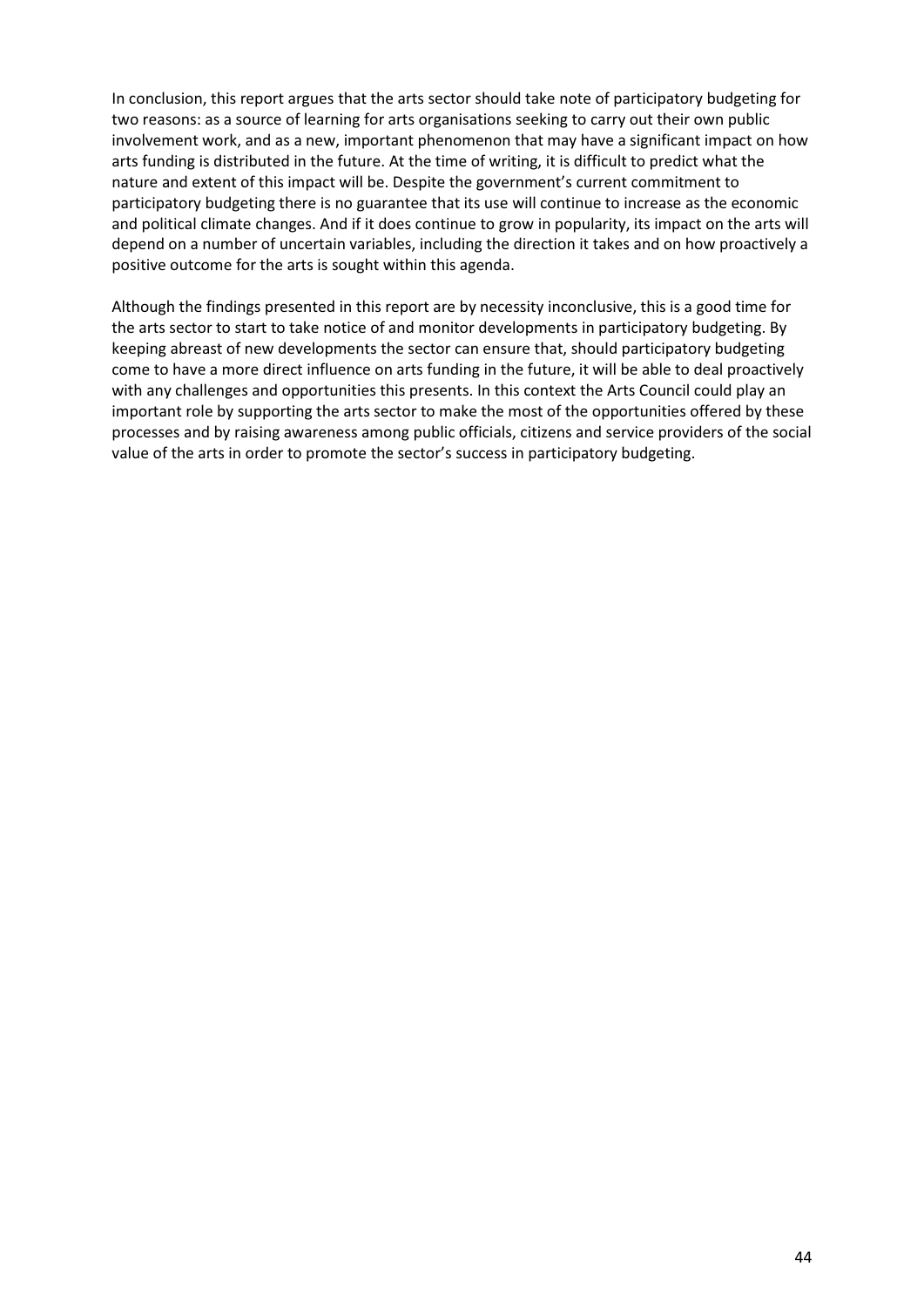In conclusion, this report argues that the arts sector should take note of participatory budgeting for two reasons: as a source of learning for arts organisations seeking to carry out their own public involvement work, and as a new, important phenomenon that may have a significant impact on how arts funding is distributed in the future. At the time of writing, it is difficult to predict what the nature and extent of this impact will be. Despite the government's current commitment to participatory budgeting there is no guarantee that its use will continue to increase as the economic and political climate changes. And if it does continue to grow in popularity, its impact on the arts will depend on a number of uncertain variables, including the direction it takes and on how proactively a positive outcome for the arts is sought within this agenda.

Although the findings presented in this report are by necessity inconclusive, this is a good time for the arts sector to start to take notice of and monitor developments in participatory budgeting. By keeping abreast of new developments the sector can ensure that, should participatory budgeting come to have a more direct influence on arts funding in the future, it will be able to deal proactively with any challenges and opportunities this presents. In this context the Arts Council could play an important role by supporting the arts sector to make the most of the opportunities offered by these processes and by raising awareness among public officials, citizens and service providers of the social value of the arts in order to promote the sector's success in participatory budgeting.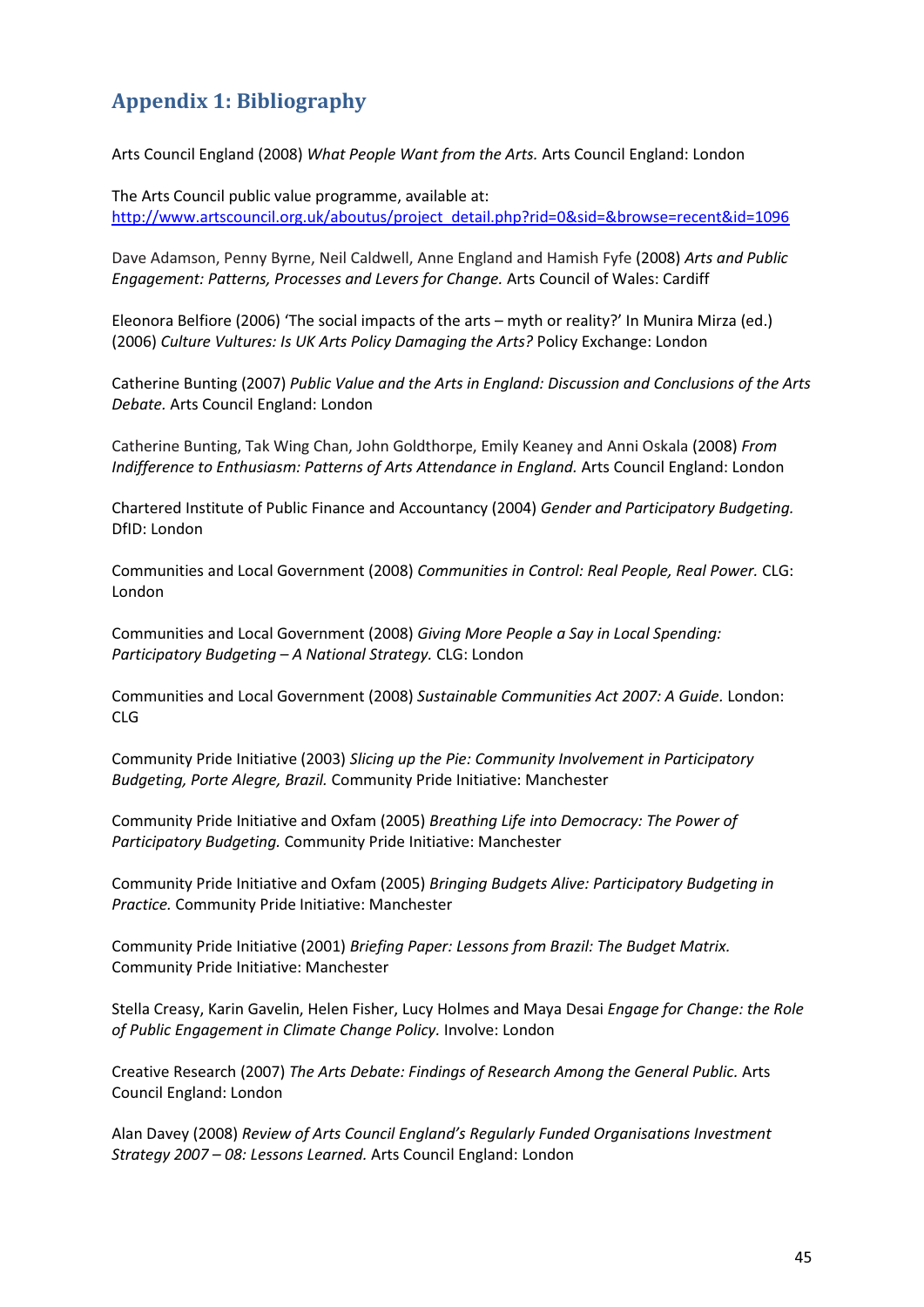# **Appendix 1: Bibliography**

Arts Council England (2008) *What People Want from the Arts.* Arts Council England: London

The Arts Council public value programme, available at: http://www.artscouncil.org.uk/aboutus/project\_detail.php?rid=0&sid=&browse=recent&id=1096

Dave Adamson, Penny Byrne, Neil Caldwell, Anne England and Hamish Fyfe (2008) *Arts and Public Engagement: Patterns, Processes and Levers for Change.* Arts Council of Wales: Cardiff

Eleonora Belfiore (2006) 'The social impacts of the arts – myth or reality?' In Munira Mirza (ed.) (2006) *Culture Vultures: Is UK Arts Policy Damaging the Arts?* Policy Exchange: London

Catherine Bunting (2007) *Public Value and the Arts in England: Discussion and Conclusions of the Arts Debate.* Arts Council England: London

Catherine Bunting, Tak Wing Chan, John Goldthorpe, Emily Keaney and Anni Oskala (2008) *From Indifference to Enthusiasm: Patterns of Arts Attendance in England.* Arts Council England: London

Chartered Institute of Public Finance and Accountancy (2004) *Gender and Participatory Budgeting.* DfID: London

Communities and Local Government (2008) *Communities in Control: Real People, Real Power.* CLG: London

Communities and Local Government (2008) *Giving More People a Say in Local Spending: Participatory Budgeting – A National Strategy.* CLG: London

Communities and Local Government (2008) *Sustainable Communities Act 2007: A Guide.* London: CLG

Community Pride Initiative (2003) *Slicing up the Pie: Community Involvement in Participatory Budgeting, Porte Alegre, Brazil.* Community Pride Initiative: Manchester

Community Pride Initiative and Oxfam (2005) *Breathing Life into Democracy: The Power of Participatory Budgeting.* Community Pride Initiative: Manchester

Community Pride Initiative and Oxfam (2005) *Bringing Budgets Alive: Participatory Budgeting in Practice.* Community Pride Initiative: Manchester

Community Pride Initiative (2001) *Briefing Paper: Lessons from Brazil: The Budget Matrix.* Community Pride Initiative: Manchester

Stella Creasy, Karin Gavelin, Helen Fisher, Lucy Holmes and Maya Desai *Engage for Change: the Role of Public Engagement in Climate Change Policy.* Involve: London

Creative Research (2007) *The Arts Debate: Findings of Research Among the General Public.* Arts Council England: London

Alan Davey (2008) *Review of Arts Council England's Regularly Funded Organisations Investment Strategy 2007 – 08: Lessons Learned.* Arts Council England: London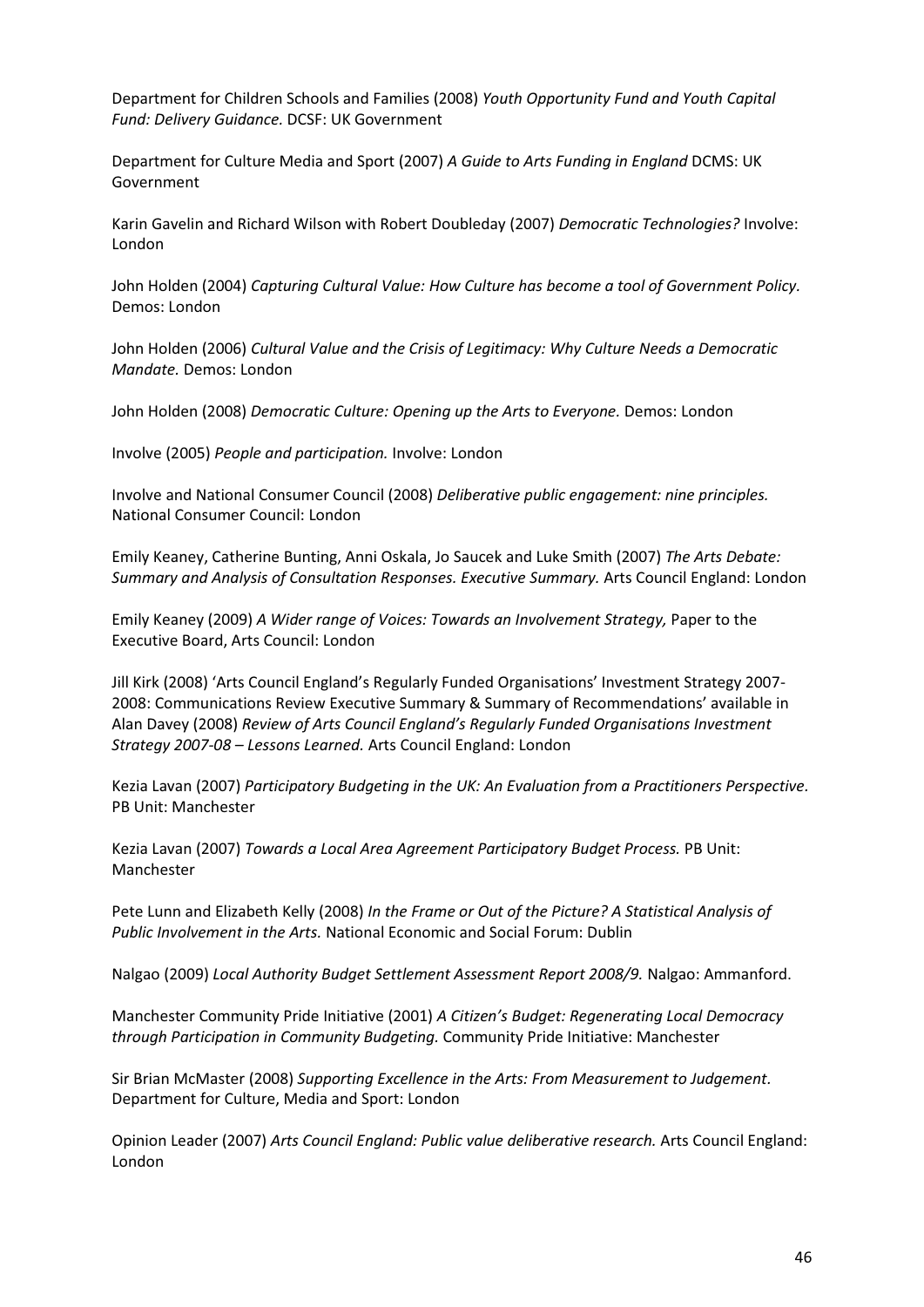Department for Children Schools and Families (2008) *Youth Opportunity Fund and Youth Capital Fund: Delivery Guidance.* DCSF: UK Government

Department for Culture Media and Sport (2007) *A Guide to Arts Funding in England* DCMS: UK Government

Karin Gavelin and Richard Wilson with Robert Doubleday (2007) *Democratic Technologies?* Involve: London

John Holden (2004) *Capturing Cultural Value: How Culture has become a tool of Government Policy.* Demos: London

John Holden (2006) *Cultural Value and the Crisis of Legitimacy: Why Culture Needs a Democratic Mandate.* Demos: London

John Holden (2008) *Democratic Culture: Opening up the Arts to Everyone.* Demos: London

Involve (2005) *People and participation.* Involve: London

Involve and National Consumer Council (2008) *Deliberative public engagement: nine principles.* National Consumer Council: London

Emily Keaney, Catherine Bunting, Anni Oskala, Jo Saucek and Luke Smith (2007) *The Arts Debate: Summary and Analysis of Consultation Responses. Executive Summary.* Arts Council England: London

Emily Keaney (2009) *A Wider range of Voices: Towards an Involvement Strategy,* Paper to the Executive Board, Arts Council: London

Jill Kirk (2008) 'Arts Council England's Regularly Funded Organisations' Investment Strategy 2007- 2008: Communications Review Executive Summary & Summary of Recommendations' available in Alan Davey (2008) *Review of Arts Council England's Regularly Funded Organisations Investment Strategy 2007-08 – Lessons Learned.* Arts Council England: London

Kezia Lavan (2007) *Participatory Budgeting in the UK: An Evaluation from a Practitioners Perspective.* PB Unit: Manchester

Kezia Lavan (2007) *Towards a Local Area Agreement Participatory Budget Process.* PB Unit: Manchester

Pete Lunn and Elizabeth Kelly (2008) *In the Frame or Out of the Picture? A Statistical Analysis of Public Involvement in the Arts.* National Economic and Social Forum: Dublin

Nalgao (2009) *Local Authority Budget Settlement Assessment Report 2008/9.* Nalgao: Ammanford.

Manchester Community Pride Initiative (2001) *A Citizen's Budget: Regenerating Local Democracy through Participation in Community Budgeting.* Community Pride Initiative: Manchester

Sir Brian McMaster (2008) *Supporting Excellence in the Arts: From Measurement to Judgement.*  Department for Culture, Media and Sport: London

Opinion Leader (2007) *Arts Council England: Public value deliberative research.* Arts Council England: London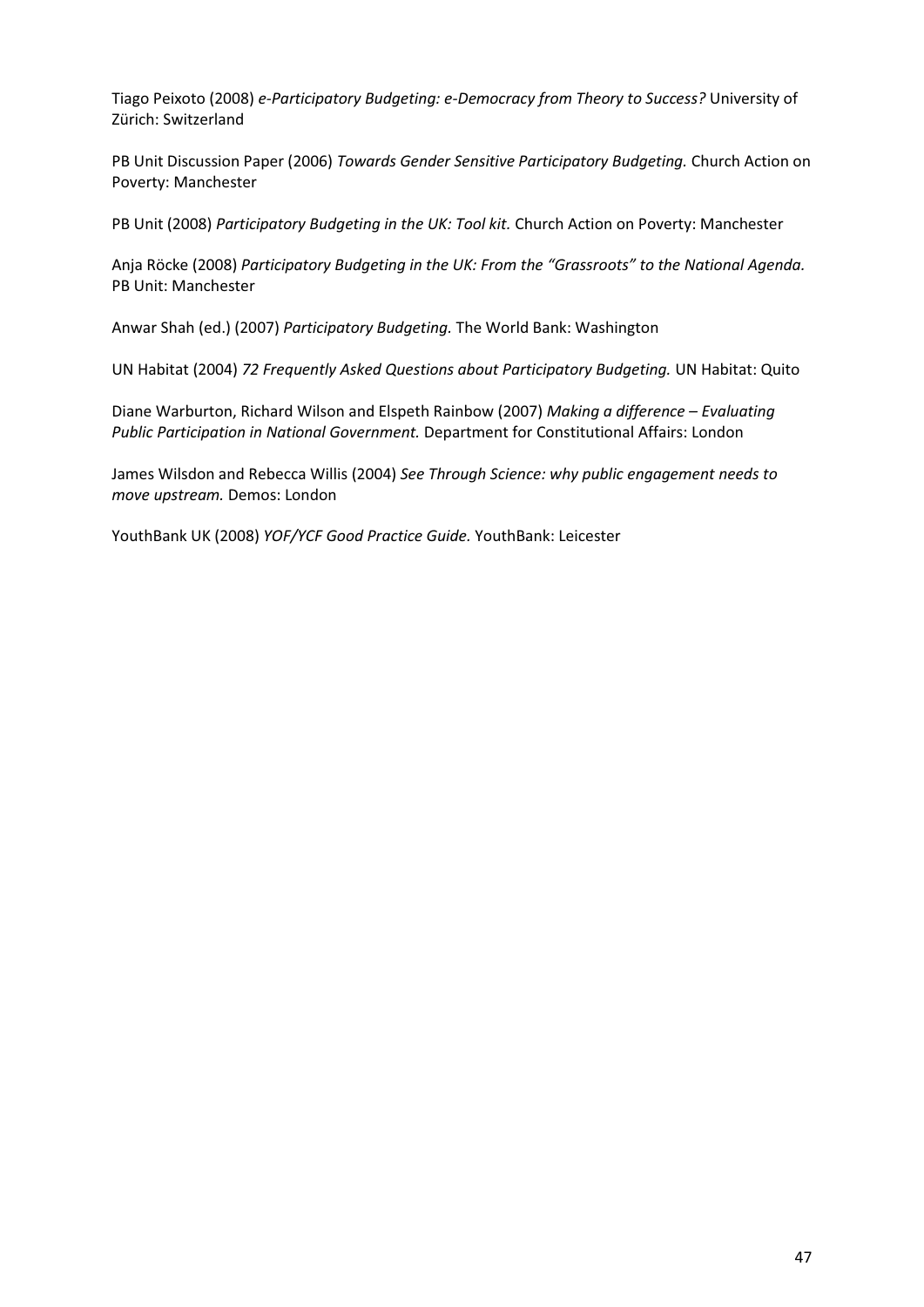Tiago Peixoto (2008) *e-Participatory Budgeting: e-Democracy from Theory to Success?* University of Zürich: Switzerland

PB Unit Discussion Paper (2006) *Towards Gender Sensitive Participatory Budgeting.* Church Action on Poverty: Manchester

PB Unit (2008) *Participatory Budgeting in the UK: Tool kit.* Church Action on Poverty: Manchester

Anja Röcke (2008) *Participatory Budgeting in the UK: From the "Grassroots" to the National Agenda.* PB Unit: Manchester

Anwar Shah (ed.) (2007) *Participatory Budgeting.* The World Bank: Washington

UN Habitat (2004) *72 Frequently Asked Questions about Participatory Budgeting.* UN Habitat: Quito

Diane Warburton, Richard Wilson and Elspeth Rainbow (2007) *Making a difference – Evaluating Public Participation in National Government.* Department for Constitutional Affairs: London

James Wilsdon and Rebecca Willis (2004) *See Through Science: why public engagement needs to move upstream.* Demos: London

YouthBank UK (2008) *YOF/YCF Good Practice Guide.* YouthBank: Leicester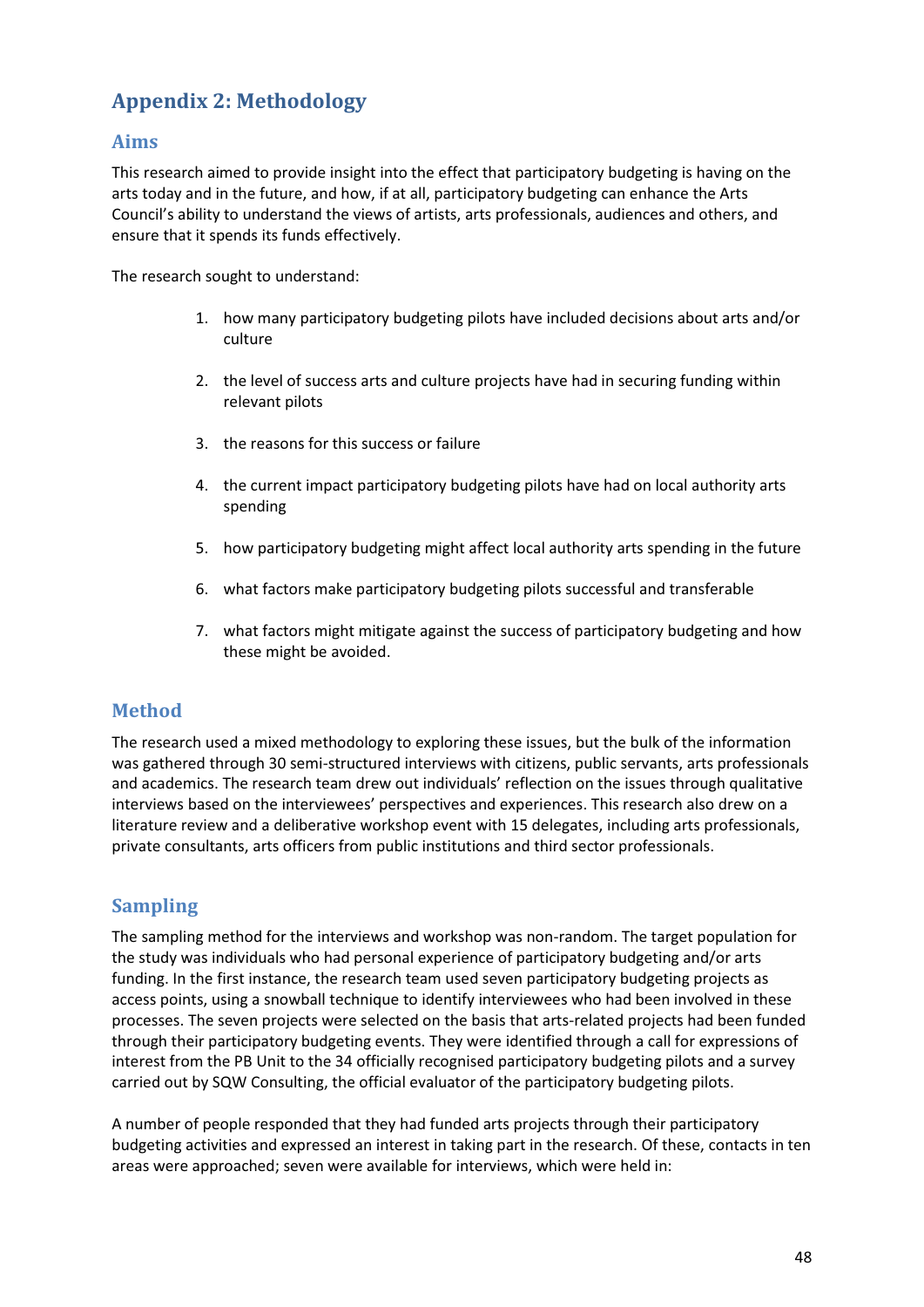# **Appendix 2: Methodology**

# **Aims**

This research aimed to provide insight into the effect that participatory budgeting is having on the arts today and in the future, and how, if at all, participatory budgeting can enhance the Arts Council's ability to understand the views of artists, arts professionals, audiences and others, and ensure that it spends its funds effectively.

The research sought to understand:

- 1. how many participatory budgeting pilots have included decisions about arts and/or culture
- 2. the level of success arts and culture projects have had in securing funding within relevant pilots
- 3. the reasons for this success or failure
- 4. the current impact participatory budgeting pilots have had on local authority arts spending
- 5. how participatory budgeting might affect local authority arts spending in the future
- 6. what factors make participatory budgeting pilots successful and transferable
- 7. what factors might mitigate against the success of participatory budgeting and how these might be avoided.

# **Method**

The research used a mixed methodology to exploring these issues, but the bulk of the information was gathered through 30 semi-structured interviews with citizens, public servants, arts professionals and academics. The research team drew out individuals' reflection on the issues through qualitative interviews based on the interviewees' perspectives and experiences. This research also drew on a literature review and a deliberative workshop event with 15 delegates, including arts professionals, private consultants, arts officers from public institutions and third sector professionals.

# **Sampling**

The sampling method for the interviews and workshop was non-random. The target population for the study was individuals who had personal experience of participatory budgeting and/or arts funding. In the first instance, the research team used seven participatory budgeting projects as access points, using a snowball technique to identify interviewees who had been involved in these processes. The seven projects were selected on the basis that arts-related projects had been funded through their participatory budgeting events. They were identified through a call for expressions of interest from the PB Unit to the 34 officially recognised participatory budgeting pilots and a survey carried out by SQW Consulting, the official evaluator of the participatory budgeting pilots.

A number of people responded that they had funded arts projects through their participatory budgeting activities and expressed an interest in taking part in the research. Of these, contacts in ten areas were approached; seven were available for interviews, which were held in: